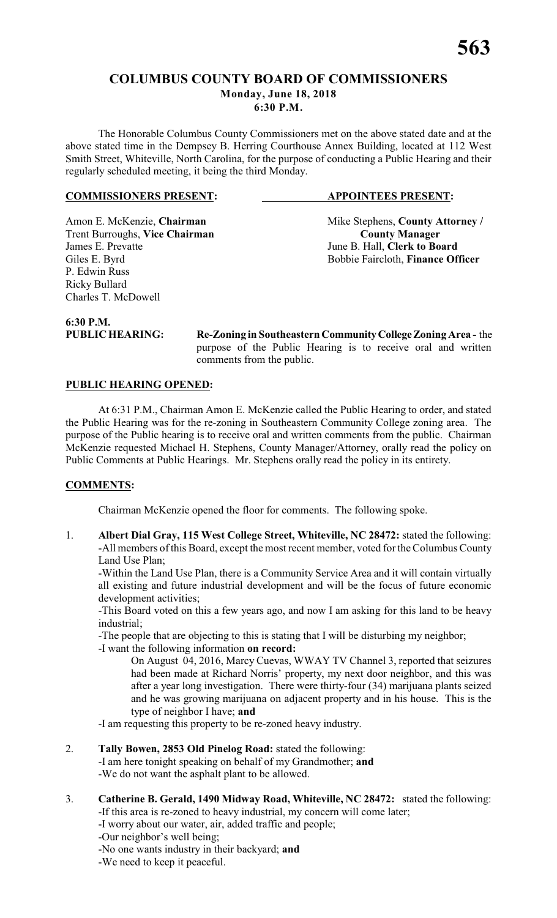# **COLUMBUS COUNTY BOARD OF COMMISSIONERS Monday, June 18, 2018 6:30 P.M.**

The Honorable Columbus County Commissioners met on the above stated date and at the above stated time in the Dempsey B. Herring Courthouse Annex Building, located at 112 West Smith Street, Whiteville, North Carolina, for the purpose of conducting a Public Hearing and their regularly scheduled meeting, it being the third Monday.

### **COMMISSIONERS PRESENT: APPOINTEES PRESENT:**

Trent Burroughs, Vice Chairman<br>James E. Prevatte P. Edwin Russ Ricky Bullard Charles T. McDowell

Amon E. McKenzie, **Chairman** Mike Stephens, **County Attorney** / **Trent Burroughs, Vice Chairman County Manager** June B. Hall, **Clerk to Board** Giles E. Byrd Bobbie Faircloth, **Finance Officer** 

**6:30 P.M.**

**PUBLIC HEARING: Re-Zoning in Southeastern Community College Zoning Area -** the purpose of the Public Hearing is to receive oral and written comments from the public.

# **PUBLIC HEARING OPENED:**

At 6:31 P.M., Chairman Amon E. McKenzie called the Public Hearing to order, and stated the Public Hearing was for the re-zoning in Southeastern Community College zoning area. The purpose of the Public hearing is to receive oral and written comments from the public. Chairman McKenzie requested Michael H. Stephens, County Manager/Attorney, orally read the policy on Public Comments at Public Hearings. Mr. Stephens orally read the policy in its entirety.

### **COMMENTS:**

Chairman McKenzie opened the floor for comments. The following spoke.

1. **Albert Dial Gray, 115 West College Street, Whiteville, NC 28472:** stated the following: -All members of this Board, except the most recent member, voted for the Columbus County Land Use Plan;

-Within the Land Use Plan, there is a Community Service Area and it will contain virtually all existing and future industrial development and will be the focus of future economic development activities;

-This Board voted on this a few years ago, and now I am asking for this land to be heavy industrial;

-The people that are objecting to this is stating that I will be disturbing my neighbor; -I want the following information **on record:**

On August 04, 2016, Marcy Cuevas, WWAY TV Channel 3, reported that seizures had been made at Richard Norris' property, my next door neighbor, and this was after a year long investigation. There were thirty-four (34) marijuana plants seized and he was growing marijuana on adjacent property and in his house. This is the type of neighbor I have; **and**

-I am requesting this property to be re-zoned heavy industry.

2. **Tally Bowen, 2853 Old Pinelog Road:** stated the following:

-I am here tonight speaking on behalf of my Grandmother; **and**

-We do not want the asphalt plant to be allowed.

- 3. **Catherine B. Gerald, 1490 Midway Road, Whiteville, NC 28472:** stated the following: -If this area is re-zoned to heavy industrial, my concern will come later;
	- -I worry about our water, air, added traffic and people;
	- -Our neighbor's well being;
	- -No one wants industry in their backyard; **and**

-We need to keep it peaceful.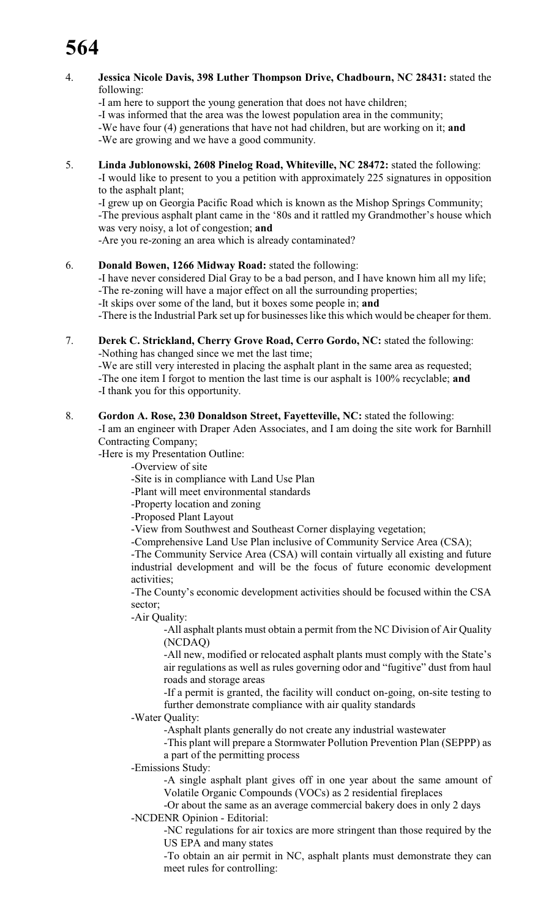- 4. **Jessica Nicole Davis, 398 Luther Thompson Drive, Chadbourn, NC 28431:** stated the following:
	- -I am here to support the young generation that does not have children;

-I was informed that the area was the lowest population area in the community;

-We have four (4) generations that have not had children, but are working on it; **and**

-We are growing and we have a good community.

5. **Linda Jublonowski, 2608 Pinelog Road, Whiteville, NC 28472:** stated the following: -I would like to present to you a petition with approximately 225 signatures in opposition to the asphalt plant;

-I grew up on Georgia Pacific Road which is known as the Mishop Springs Community; -The previous asphalt plant came in the '80s and it rattled my Grandmother's house which was very noisy, a lot of congestion; **and**

-Are you re-zoning an area which is already contaminated?

6. **Donald Bowen, 1266 Midway Road:** stated the following:

-I have never considered Dial Gray to be a bad person, and I have known him all my life; -The re-zoning will have a major effect on all the surrounding properties;

-It skips over some of the land, but it boxes some people in; **and**

-There is the Industrial Park set up for businesses like this which would be cheaper for them.

7. **Derek C. Strickland, Cherry Grove Road, Cerro Gordo, NC:** stated the following: -Nothing has changed since we met the last time;

-We are still very interested in placing the asphalt plant in the same area as requested; -The one item I forgot to mention the last time is our asphalt is 100% recyclable; **and** -I thank you for this opportunity.

### 8. **Gordon A. Rose, 230 Donaldson Street, Fayetteville, NC:** stated the following:

-I am an engineer with Draper Aden Associates, and I am doing the site work for Barnhill Contracting Company;

-Here is my Presentation Outline:

-Overview of site

-Site is in compliance with Land Use Plan

-Plant will meet environmental standards

-Property location and zoning

-Proposed Plant Layout

-View from Southwest and Southeast Corner displaying vegetation;

-Comprehensive Land Use Plan inclusive of Community Service Area (CSA);

-The Community Service Area (CSA) will contain virtually all existing and future industrial development and will be the focus of future economic development activities;

-The County's economic development activities should be focused within the CSA sector;

-Air Quality:

-All asphalt plants must obtain a permit from the NC Division of Air Quality (NCDAQ)

-All new, modified or relocated asphalt plants must comply with the State's air regulations as well as rules governing odor and "fugitive" dust from haul roads and storage areas

-If a permit is granted, the facility will conduct on-going, on-site testing to further demonstrate compliance with air quality standards

-Water Quality:

-Asphalt plants generally do not create any industrial wastewater

-This plant will prepare a Stormwater Pollution Prevention Plan (SEPPP) as a part of the permitting process

-Emissions Study:

-A single asphalt plant gives off in one year about the same amount of Volatile Organic Compounds (VOCs) as 2 residential fireplaces

-Or about the same as an average commercial bakery does in only 2 days -NCDENR Opinion - Editorial:

-NC regulations for air toxics are more stringent than those required by the US EPA and many states

-To obtain an air permit in NC, asphalt plants must demonstrate they can meet rules for controlling: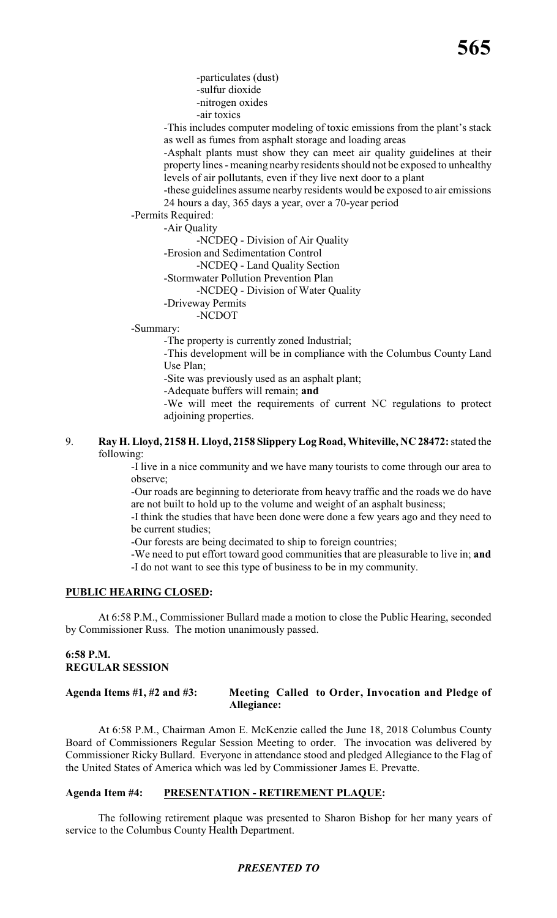-particulates (dust) -sulfur dioxide -nitrogen oxides

-air toxics

-This includes computer modeling of toxic emissions from the plant's stack as well as fumes from asphalt storage and loading areas

-Asphalt plants must show they can meet air quality guidelines at their property lines - meaning nearby residents should not be exposed to unhealthy levels of air pollutants, even if they live next door to a plant

-these guidelines assume nearby residents would be exposed to air emissions 24 hours a day, 365 days a year, over a 70-year period

-Permits Required:

-Air Quality

-NCDEQ - Division of Air Quality

- -Erosion and Sedimentation Control
	- -NCDEQ Land Quality Section
- -Stormwater Pollution Prevention Plan
	- -NCDEQ Division of Water Quality

-Driveway Permits

-NCDOT

-Summary:

-The property is currently zoned Industrial;

-This development will be in compliance with the Columbus County Land Use Plan;

-Site was previously used as an asphalt plant;

-Adequate buffers will remain; **and**

-We will meet the requirements of current NC regulations to protect adjoining properties.

### 9. **Ray H. Lloyd, 2158 H. Lloyd, 2158 Slippery Log Road, Whiteville, NC 28472:** stated the following:

-I live in a nice community and we have many tourists to come through our area to observe;

-Our roads are beginning to deteriorate from heavy traffic and the roads we do have are not built to hold up to the volume and weight of an asphalt business;

-I think the studies that have been done were done a few years ago and they need to be current studies;

-Our forests are being decimated to ship to foreign countries;

-We need to put effort toward good communities that are pleasurable to live in; **and** -I do not want to see this type of business to be in my community.

### **PUBLIC HEARING CLOSED:**

At 6:58 P.M., Commissioner Bullard made a motion to close the Public Hearing, seconded by Commissioner Russ. The motion unanimously passed.

# **6:58 P.M. REGULAR SESSION**

### **Agenda Items #1, #2 and #3: Meeting Called to Order, Invocation and Pledge of Allegiance:**

At 6:58 P.M., Chairman Amon E. McKenzie called the June 18, 2018 Columbus County Board of Commissioners Regular Session Meeting to order. The invocation was delivered by Commissioner Ricky Bullard. Everyone in attendance stood and pledged Allegiance to the Flag of the United States of America which was led by Commissioner James E. Prevatte.

### **Agenda Item #4: PRESENTATION - RETIREMENT PLAQUE:**

The following retirement plaque was presented to Sharon Bishop for her many years of service to the Columbus County Health Department.

### *PRESENTED TO*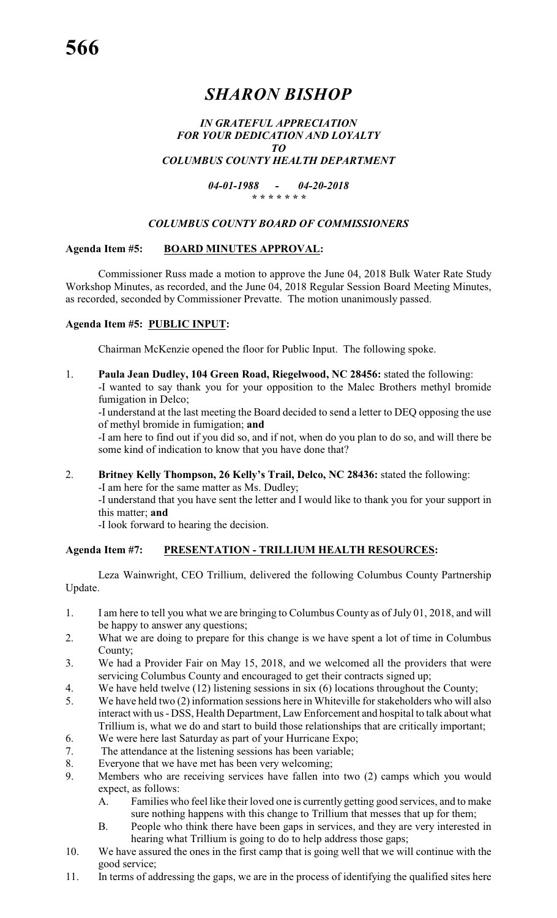# *SHARON BISHOP*

### *IN GRATEFUL APPRECIATION FOR YOUR DEDICATION AND LOYALTY TO COLUMBUS COUNTY HEALTH DEPARTMENT*

*04-01-1988 - 04-20-2018 \* \* \* \* \* \* \**

### *COLUMBUS COUNTY BOARD OF COMMISSIONERS*

# **Agenda Item #5: BOARD MINUTES APPROVAL:**

Commissioner Russ made a motion to approve the June 04, 2018 Bulk Water Rate Study Workshop Minutes, as recorded, and the June 04, 2018 Regular Session Board Meeting Minutes, as recorded, seconded by Commissioner Prevatte. The motion unanimously passed.

# **Agenda Item #5: PUBLIC INPUT:**

Chairman McKenzie opened the floor for Public Input. The following spoke.

1. **Paula Jean Dudley, 104 Green Road, Riegelwood, NC 28456:** stated the following: -I wanted to say thank you for your opposition to the Malec Brothers methyl bromide fumigation in Delco;

-I understand at the last meeting the Board decided to send a letter to DEQ opposing the use of methyl bromide in fumigation; **and**

-I am here to find out if you did so, and if not, when do you plan to do so, and will there be some kind of indication to know that you have done that?

2. **Britney Kelly Thompson, 26 Kelly's Trail, Delco, NC 28436:** stated the following:

-I am here for the same matter as Ms. Dudley;

-I understand that you have sent the letter and I would like to thank you for your support in this matter; **and**

-I look forward to hearing the decision.

### **Agenda Item #7: PRESENTATION - TRILLIUM HEALTH RESOURCES:**

Leza Wainwright, CEO Trillium, delivered the following Columbus County Partnership Update.

- 1. I am here to tell you what we are bringing to Columbus County as of July 01, 2018, and will be happy to answer any questions;
- 2. What we are doing to prepare for this change is we have spent a lot of time in Columbus County;
- 3. We had a Provider Fair on May 15, 2018, and we welcomed all the providers that were servicing Columbus County and encouraged to get their contracts signed up;
- 4. We have held twelve (12) listening sessions in six (6) locations throughout the County;
- 5. We have held two (2) information sessions here in Whiteville for stakeholders who will also interact with us - DSS, Health Department, Law Enforcement and hospital to talk about what Trillium is, what we do and start to build those relationships that are critically important;
- 6. We were here last Saturday as part of your Hurricane Expo;
- 7. The attendance at the listening sessions has been variable;
- 8. Everyone that we have met has been very welcoming;
- 9. Members who are receiving services have fallen into two (2) camps which you would expect, as follows:
	- A. Families who feel like their loved one is currently getting good services, and to make sure nothing happens with this change to Trillium that messes that up for them;
	- B. People who think there have been gaps in services, and they are very interested in hearing what Trillium is going to do to help address those gaps;
- 10. We have assured the ones in the first camp that is going well that we will continue with the good service;
- 11. In terms of addressing the gaps, we are in the process of identifying the qualified sites here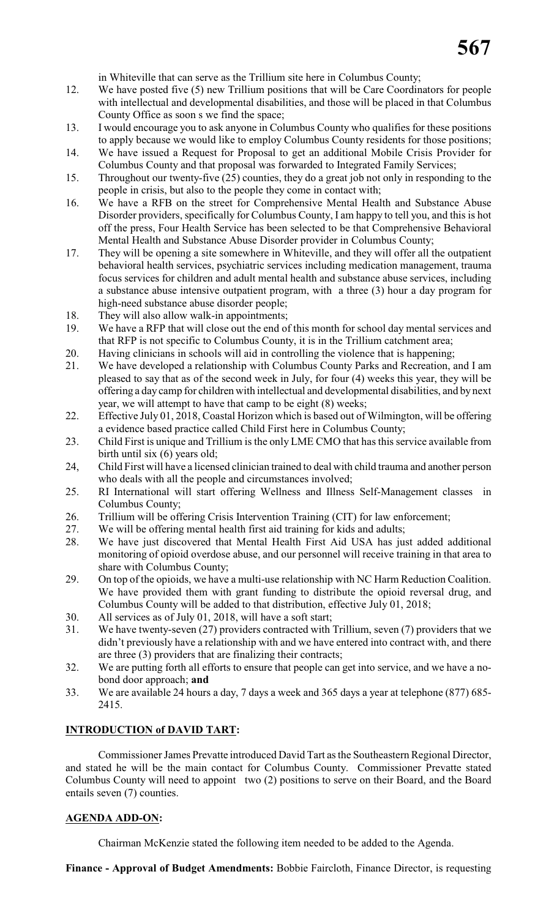in Whiteville that can serve as the Trillium site here in Columbus County;

- 12. We have posted five (5) new Trillium positions that will be Care Coordinators for people with intellectual and developmental disabilities, and those will be placed in that Columbus County Office as soon s we find the space;
- 13. I would encourage you to ask anyone in Columbus County who qualifies for these positions to apply because we would like to employ Columbus County residents for those positions;
- 14. We have issued a Request for Proposal to get an additional Mobile Crisis Provider for Columbus County and that proposal was forwarded to Integrated Family Services;
- 15. Throughout our twenty-five (25) counties, they do a great job not only in responding to the people in crisis, but also to the people they come in contact with;
- 16. We have a RFB on the street for Comprehensive Mental Health and Substance Abuse Disorder providers, specifically for Columbus County, I am happy to tell you, and this is hot off the press, Four Health Service has been selected to be that Comprehensive Behavioral Mental Health and Substance Abuse Disorder provider in Columbus County;
- 17. They will be opening a site somewhere in Whiteville, and they will offer all the outpatient behavioral health services, psychiatric services including medication management, trauma focus services for children and adult mental health and substance abuse services, including a substance abuse intensive outpatient program, with a three (3) hour a day program for high-need substance abuse disorder people;
- 18. They will also allow walk-in appointments;
- 19. We have a RFP that will close out the end of this month for school day mental services and that RFP is not specific to Columbus County, it is in the Trillium catchment area;
- 20. Having clinicians in schools will aid in controlling the violence that is happening;
- 21. We have developed a relationship with Columbus County Parks and Recreation, and I am pleased to say that as of the second week in July, for four (4) weeks this year, they will be offering a day camp for children with intellectual and developmental disabilities, and by next year, we will attempt to have that camp to be eight (8) weeks;
- 22. Effective July 01, 2018, Coastal Horizon which is based out of Wilmington, will be offering a evidence based practice called Child First here in Columbus County;
- 23. Child First is unique and Trillium is the only LME CMO that has this service available from birth until six (6) years old;
- 24, Child First will have a licensed clinician trained to deal with child trauma and another person who deals with all the people and circumstances involved;
- 25. RI International will start offering Wellness and Illness Self-Management classes in Columbus County;
- 26. Trillium will be offering Crisis Intervention Training (CIT) for law enforcement;
- 27. We will be offering mental health first aid training for kids and adults;
- 28. We have just discovered that Mental Health First Aid USA has just added additional monitoring of opioid overdose abuse, and our personnel will receive training in that area to share with Columbus County;
- 29. On top of the opioids, we have a multi-use relationship with NC Harm Reduction Coalition. We have provided them with grant funding to distribute the opioid reversal drug, and Columbus County will be added to that distribution, effective July 01, 2018;
- 30. All services as of July 01, 2018, will have a soft start;
- 31. We have twenty-seven (27) providers contracted with Trillium, seven (7) providers that we didn't previously have a relationship with and we have entered into contract with, and there are three (3) providers that are finalizing their contracts;
- 32. We are putting forth all efforts to ensure that people can get into service, and we have a nobond door approach; **and**
- 33. We are available 24 hours a day, 7 days a week and 365 days a year at telephone (877) 685- 2415.

### **INTRODUCTION of DAVID TART:**

Commissioner James Prevatte introduced David Tart as the Southeastern Regional Director, and stated he will be the main contact for Columbus County. Commissioner Prevatte stated Columbus County will need to appoint two (2) positions to serve on their Board, and the Board entails seven (7) counties.

#### **AGENDA ADD-ON:**

Chairman McKenzie stated the following item needed to be added to the Agenda.

**Finance - Approval of Budget Amendments:** Bobbie Faircloth, Finance Director, is requesting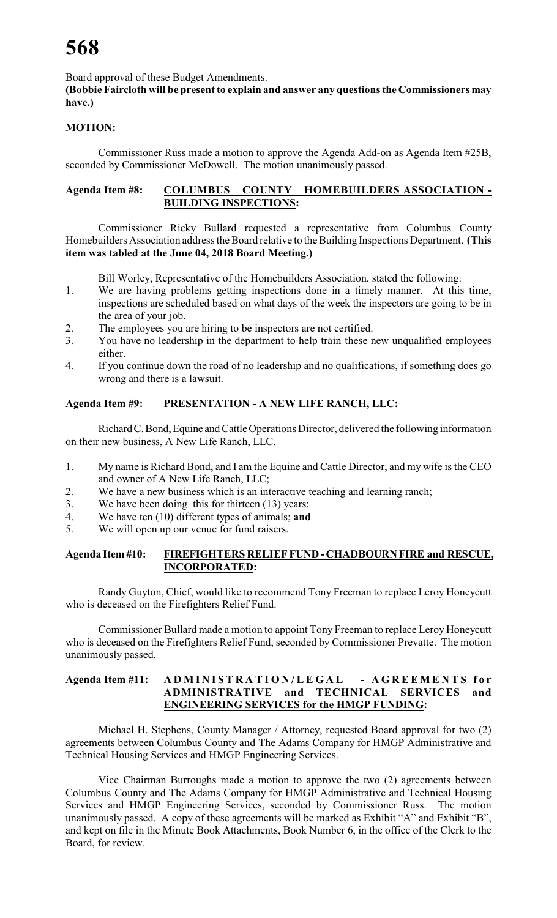Board approval of these Budget Amendments.

**(Bobbie Faircloth will be present to explain and answer any questions the Commissioners may have.)**

# **MOTION:**

Commissioner Russ made a motion to approve the Agenda Add-on as Agenda Item #25B, seconded by Commissioner McDowell. The motion unanimously passed.

### **Agenda Item #8: COLUMBUS COUNTY HOMEBUILDERS ASSOCIATION - BUILDING INSPECTIONS:**

Commissioner Ricky Bullard requested a representative from Columbus County Homebuilders Association address the Board relative to the Building Inspections Department. **(This item was tabled at the June 04, 2018 Board Meeting.)**

Bill Worley, Representative of the Homebuilders Association, stated the following:

- 1. We are having problems getting inspections done in a timely manner. At this time, inspections are scheduled based on what days of the week the inspectors are going to be in the area of your job.
- 2. The employees you are hiring to be inspectors are not certified.
- 3. You have no leadership in the department to help train these new unqualified employees either.
- 4. If you continue down the road of no leadership and no qualifications, if something does go wrong and there is a lawsuit.

# **Agenda Item #9: PRESENTATION - A NEW LIFE RANCH, LLC:**

Richard C. Bond, Equine and Cattle Operations Director, delivered the following information on their new business, A New Life Ranch, LLC.

- 1. My name is Richard Bond, and I am the Equine and Cattle Director, and my wife is the CEO and owner of A New Life Ranch, LLC;
- 2. We have a new business which is an interactive teaching and learning ranch;
- 3. We have been doing this for thirteen (13) years;
- 4. We have ten (10) different types of animals; **and**
- 5. We will open up our venue for fund raisers.

### **Agenda Item #10: FIREFIGHTERS RELIEF FUND - CHADBOURN FIRE and RESCUE, INCORPORATED:**

Randy Guyton, Chief, would like to recommend Tony Freeman to replace Leroy Honeycutt who is deceased on the Firefighters Relief Fund.

Commissioner Bullard made a motion to appoint Tony Freeman to replace Leroy Honeycutt who is deceased on the Firefighters Relief Fund, seconded by Commissioner Prevatte. The motion unanimously passed.

### **Agenda Item #11: ADMIN IST R A T I O N / L E G A L - A G REEMENTS for ADMINISTRATIVE and TECHNICAL SERVICES and ENGINEERING SERVICES for the HMGP FUNDING:**

Michael H. Stephens, County Manager / Attorney, requested Board approval for two (2) agreements between Columbus County and The Adams Company for HMGP Administrative and Technical Housing Services and HMGP Engineering Services.

Vice Chairman Burroughs made a motion to approve the two (2) agreements between Columbus County and The Adams Company for HMGP Administrative and Technical Housing Services and HMGP Engineering Services, seconded by Commissioner Russ. The motion unanimously passed. A copy of these agreements will be marked as Exhibit "A" and Exhibit "B", and kept on file in the Minute Book Attachments, Book Number 6, in the office of the Clerk to the Board, for review.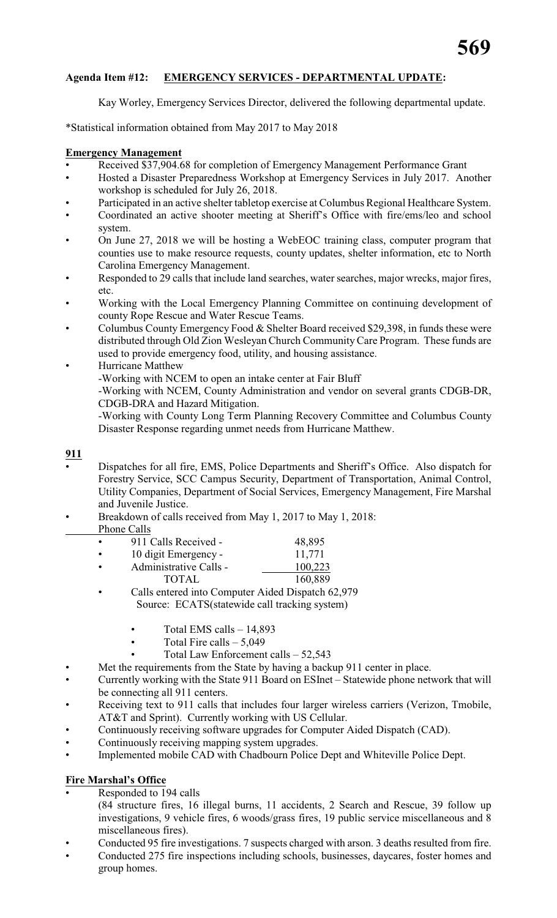# **Agenda Item #12: EMERGENCY SERVICES - DEPARTMENTAL UPDATE:**

Kay Worley, Emergency Services Director, delivered the following departmental update.

\*Statistical information obtained from May 2017 to May 2018

### **Emergency Management**

- Received \$37,904.68 for completion of Emergency Management Performance Grant
- Hosted a Disaster Preparedness Workshop at Emergency Services in July 2017. Another workshop is scheduled for July 26, 2018.
- Participated in an active shelter tabletop exercise at Columbus Regional Healthcare System.
- Coordinated an active shooter meeting at Sheriff's Office with fire/ems/leo and school system.
- On June 27, 2018 we will be hosting a WebEOC training class, computer program that counties use to make resource requests, county updates, shelter information, etc to North Carolina Emergency Management.
- Responded to 29 calls that include land searches, water searches, major wrecks, major fires, etc.
- Working with the Local Emergency Planning Committee on continuing development of county Rope Rescue and Water Rescue Teams.
- Columbus County Emergency Food & Shelter Board received \$29,398, in funds these were distributed through Old Zion Wesleyan Church Community Care Program. These funds are used to provide emergency food, utility, and housing assistance.
	- Hurricane Matthew

-Working with NCEM to open an intake center at Fair Bluff

-Working with NCEM, County Administration and vendor on several grants CDGB-DR, CDGB-DRA and Hazard Mitigation.

-Working with County Long Term Planning Recovery Committee and Columbus County Disaster Response regarding unmet needs from Hurricane Matthew.

### **911**

- Dispatches for all fire, EMS, Police Departments and Sheriff's Office. Also dispatch for Forestry Service, SCC Campus Security, Department of Transportation, Animal Control, Utility Companies, Department of Social Services, Emergency Management, Fire Marshal and Juvenile Justice.
- Breakdown of calls received from May 1, 2017 to May 1, 2018:
- Phone Calls

| 911 Calls Received -   | 48,895  |
|------------------------|---------|
| 10 digit Emergency -   | 11,771  |
| Administrative Calls - | 100,223 |
| <b>TOTAL</b>           | 160,889 |

- Calls entered into Computer Aided Dispatch 62,979 Source: ECATS(statewide call tracking system)
	- Total EMS calls  $-14,893$
	- Total Fire calls  $5,049$ 
		- Total Law Enforcement calls 52,543
- Met the requirements from the State by having a backup 911 center in place.
- Currently working with the State 911 Board on ESInet Statewide phone network that will be connecting all 911 centers.
- Receiving text to 911 calls that includes four larger wireless carriers (Verizon, Tmobile, AT&T and Sprint). Currently working with US Cellular.
- Continuously receiving software upgrades for Computer Aided Dispatch (CAD).
- Continuously receiving mapping system upgrades.
- Implemented mobile CAD with Chadbourn Police Dept and Whiteville Police Dept.

# **Fire Marshal's Office**

- Responded to 194 calls
- (84 structure fires, 16 illegal burns, 11 accidents, 2 Search and Rescue, 39 follow up investigations, 9 vehicle fires, 6 woods/grass fires, 19 public service miscellaneous and 8 miscellaneous fires).
- Conducted 95 fire investigations. 7 suspects charged with arson. 3 deaths resulted from fire.
- Conducted 275 fire inspections including schools, businesses, daycares, foster homes and group homes.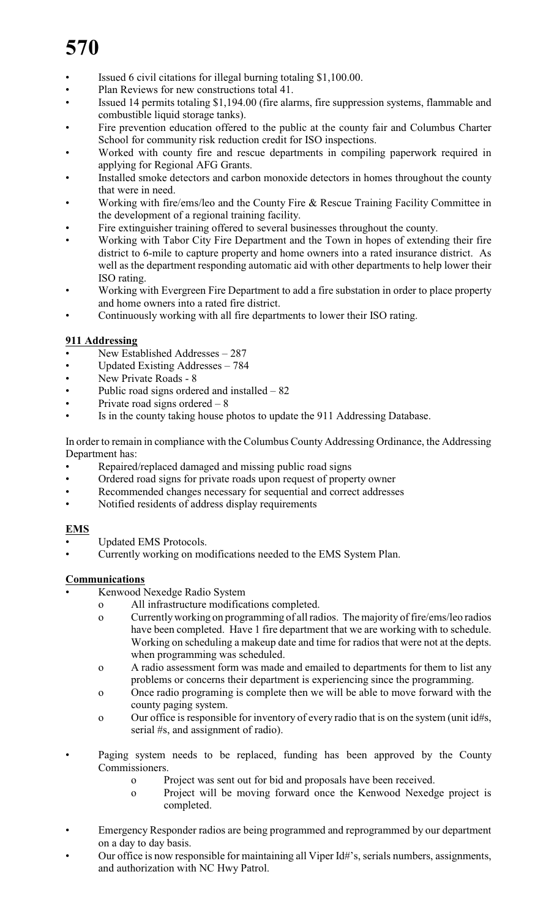- Issued 6 civil citations for illegal burning totaling \$1,100.00.
- Plan Reviews for new constructions total 41.
- Issued 14 permits totaling \$1,194.00 (fire alarms, fire suppression systems, flammable and combustible liquid storage tanks).
- Fire prevention education offered to the public at the county fair and Columbus Charter School for community risk reduction credit for ISO inspections.
- Worked with county fire and rescue departments in compiling paperwork required in applying for Regional AFG Grants.
- Installed smoke detectors and carbon monoxide detectors in homes throughout the county that were in need.
- Working with fire/ems/leo and the County Fire & Rescue Training Facility Committee in the development of a regional training facility.
- Fire extinguisher training offered to several businesses throughout the county.
- Working with Tabor City Fire Department and the Town in hopes of extending their fire district to 6-mile to capture property and home owners into a rated insurance district. As well as the department responding automatic aid with other departments to help lower their ISO rating.
- Working with Evergreen Fire Department to add a fire substation in order to place property and home owners into a rated fire district.
- Continuously working with all fire departments to lower their ISO rating.

# **911 Addressing**

- New Established Addresses 287
- Updated Existing Addresses 784
- New Private Roads 8
- Public road signs ordered and installed  $-82$
- Private road signs ordered  $-8$
- Is in the county taking house photos to update the 911 Addressing Database.

In order to remain in compliance with the Columbus County Addressing Ordinance, the Addressing Department has:

- Repaired/replaced damaged and missing public road signs
- Ordered road signs for private roads upon request of property owner
- Recommended changes necessary for sequential and correct addresses
- Notified residents of address display requirements

# **EMS**

- Updated EMS Protocols.
- Currently working on modifications needed to the EMS System Plan.

# **Communications**

- Kenwood Nexedge Radio System
	- o All infrastructure modifications completed.
		- o Currently working on programming of all radios. The majority of fire/ems/leo radios have been completed. Have 1 fire department that we are working with to schedule. Working on scheduling a makeup date and time for radios that were not at the depts. when programming was scheduled.
		- o A radio assessment form was made and emailed to departments for them to list any problems or concerns their department is experiencing since the programming.
		- o Once radio programing is complete then we will be able to move forward with the county paging system.
		- o Our office is responsible for inventory of every radio that is on the system (unit id#s, serial #s, and assignment of radio).
- Paging system needs to be replaced, funding has been approved by the County Commissioners.
	- o Project was sent out for bid and proposals have been received.
	- o Project will be moving forward once the Kenwood Nexedge project is completed.
- Emergency Responder radios are being programmed and reprogrammed by our department on a day to day basis.
- Our office is now responsible for maintaining all Viper Id#'s, serials numbers, assignments, and authorization with NC Hwy Patrol.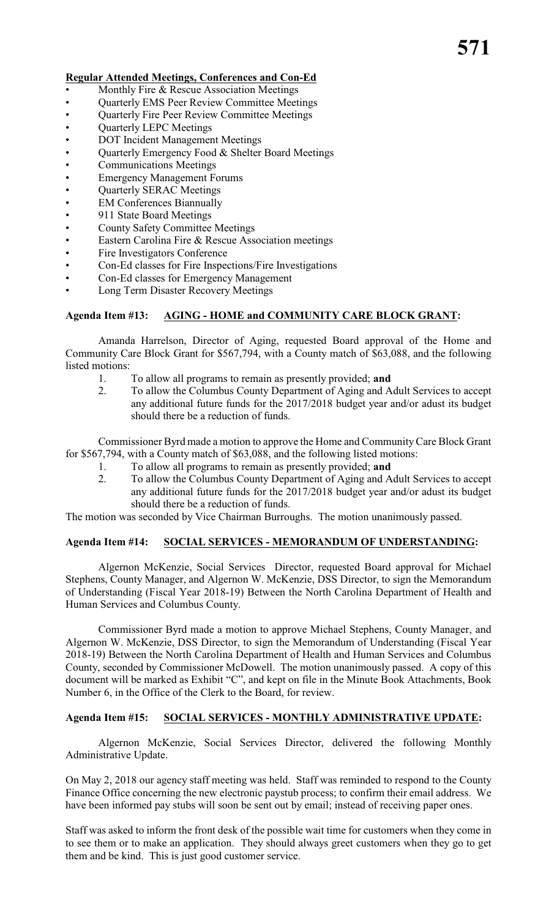## **Regular Attended Meetings, Conferences and Con-Ed**

- Monthly Fire & Rescue Association Meetings
- Quarterly EMS Peer Review Committee Meetings
- Quarterly Fire Peer Review Committee Meetings
- Quarterly LEPC Meetings
- DOT Incident Management Meetings
- Quarterly Emergency Food & Shelter Board Meetings
- Communications Meetings
- Emergency Management Forums
- Quarterly SERAC Meetings
- **EM Conferences Biannually**
- 911 State Board Meetings
- County Safety Committee Meetings
- Eastern Carolina Fire & Rescue Association meetings
- Fire Investigators Conference
- Con-Ed classes for Fire Inspections/Fire Investigations
- Con-Ed classes for Emergency Management
- Long Term Disaster Recovery Meetings

# **Agenda Item #13: AGING - HOME and COMMUNITY CARE BLOCK GRANT:**

Amanda Harrelson, Director of Aging, requested Board approval of the Home and Community Care Block Grant for \$567,794, with a County match of \$63,088, and the following listed motions:

- 1. To allow all programs to remain as presently provided; **and**
- 2. To allow the Columbus County Department of Aging and Adult Services to accept any additional future funds for the 2017/2018 budget year and/or adust its budget should there be a reduction of funds.

Commissioner Byrd made a motion to approve the Home and Community Care Block Grant for \$567,794, with a County match of \$63,088, and the following listed motions:

- 1. To allow all programs to remain as presently provided; **and**<br>2. To allow the Columbus County Department of Aging and A
	- To allow the Columbus County Department of Aging and Adult Services to accept any additional future funds for the 2017/2018 budget year and/or adust its budget should there be a reduction of funds.

The motion was seconded by Vice Chairman Burroughs. The motion unanimously passed.

### **Agenda Item #14: SOCIAL SERVICES - MEMORANDUM OF UNDERSTANDING:**

Algernon McKenzie, Social Services Director, requested Board approval for Michael Stephens, County Manager, and Algernon W. McKenzie, DSS Director, to sign the Memorandum of Understanding (Fiscal Year 2018-19) Between the North Carolina Department of Health and Human Services and Columbus County.

Commissioner Byrd made a motion to approve Michael Stephens, County Manager, and Algernon W. McKenzie, DSS Director, to sign the Memorandum of Understanding (Fiscal Year 2018-19) Between the North Carolina Department of Health and Human Services and Columbus County, seconded by Commissioner McDowell. The motion unanimously passed. A copy of this document will be marked as Exhibit "C", and kept on file in the Minute Book Attachments, Book Number 6, in the Office of the Clerk to the Board, for review.

### **Agenda Item #15: SOCIAL SERVICES - MONTHLY ADMINISTRATIVE UPDATE:**

Algernon McKenzie, Social Services Director, delivered the following Monthly Administrative Update.

On May 2, 2018 our agency staff meeting was held. Staff was reminded to respond to the County Finance Office concerning the new electronic paystub process; to confirm their email address. We have been informed pay stubs will soon be sent out by email; instead of receiving paper ones.

Staff was asked to inform the front desk of the possible wait time for customers when they come in to see them or to make an application. They should always greet customers when they go to get them and be kind. This is just good customer service.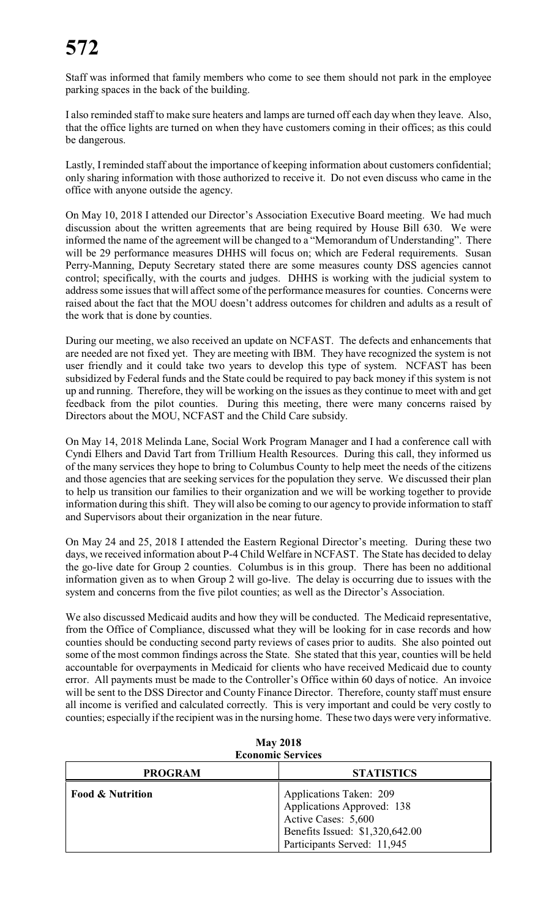Staff was informed that family members who come to see them should not park in the employee parking spaces in the back of the building.

I also reminded staff to make sure heaters and lamps are turned off each day when they leave. Also, that the office lights are turned on when they have customers coming in their offices; as this could be dangerous.

Lastly, I reminded staff about the importance of keeping information about customers confidential; only sharing information with those authorized to receive it. Do not even discuss who came in the office with anyone outside the agency.

On May 10, 2018 I attended our Director's Association Executive Board meeting. We had much discussion about the written agreements that are being required by House Bill 630. We were informed the name of the agreement will be changed to a "Memorandum of Understanding". There will be 29 performance measures DHHS will focus on; which are Federal requirements. Susan Perry-Manning, Deputy Secretary stated there are some measures county DSS agencies cannot control; specifically, with the courts and judges. DHHS is working with the judicial system to address some issues that will affect some of the performance measures for counties. Concerns were raised about the fact that the MOU doesn't address outcomes for children and adults as a result of the work that is done by counties.

During our meeting, we also received an update on NCFAST. The defects and enhancements that are needed are not fixed yet. They are meeting with IBM. They have recognized the system is not user friendly and it could take two years to develop this type of system. NCFAST has been subsidized by Federal funds and the State could be required to pay back money if this system is not up and running. Therefore, they will be working on the issues as they continue to meet with and get feedback from the pilot counties. During this meeting, there were many concerns raised by Directors about the MOU, NCFAST and the Child Care subsidy.

On May 14, 2018 Melinda Lane, Social Work Program Manager and I had a conference call with Cyndi Elhers and David Tart from Trillium Health Resources. During this call, they informed us of the many services they hope to bring to Columbus County to help meet the needs of the citizens and those agencies that are seeking services for the population they serve. We discussed their plan to help us transition our families to their organization and we will be working together to provide information during this shift. They will also be coming to our agency to provide information to staff and Supervisors about their organization in the near future.

On May 24 and 25, 2018 I attended the Eastern Regional Director's meeting. During these two days, we received information about P-4 Child Welfare in NCFAST. The State has decided to delay the go-live date for Group 2 counties. Columbus is in this group. There has been no additional information given as to when Group 2 will go-live. The delay is occurring due to issues with the system and concerns from the five pilot counties; as well as the Director's Association.

We also discussed Medicaid audits and how they will be conducted. The Medicaid representative, from the Office of Compliance, discussed what they will be looking for in case records and how counties should be conducting second party reviews of cases prior to audits. She also pointed out some of the most common findings across the State. She stated that this year, counties will be held accountable for overpayments in Medicaid for clients who have received Medicaid due to county error. All payments must be made to the Controller's Office within 60 days of notice. An invoice will be sent to the DSS Director and County Finance Director. Therefore, county staff must ensure all income is verified and calculated correctly. This is very important and could be very costly to counties; especially if the recipient was in the nursing home. These two days were very informative.

| <b>ECONOMIC SETVICES</b>    |                                                                                                                                                |  |  |  |  |  |
|-----------------------------|------------------------------------------------------------------------------------------------------------------------------------------------|--|--|--|--|--|
| <b>PROGRAM</b>              | <b>STATISTICS</b>                                                                                                                              |  |  |  |  |  |
| <b>Food &amp; Nutrition</b> | Applications Taken: 209<br>Applications Approved: 138<br>Active Cases: 5,600<br>Benefits Issued: \$1,320,642.00<br>Participants Served: 11,945 |  |  |  |  |  |

| <b>May 2018</b>          |
|--------------------------|
| <b>Economic Services</b> |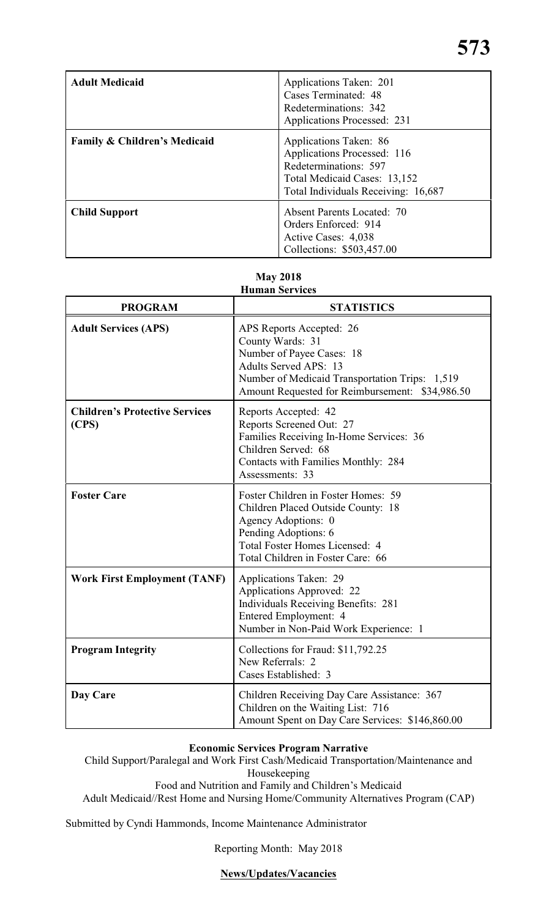| <b>Adult Medicaid</b>                   | Applications Taken: 201<br>Cases Terminated: 48<br>Redeterminations: 342<br>Applications Processed: 231                                               |
|-----------------------------------------|-------------------------------------------------------------------------------------------------------------------------------------------------------|
| <b>Family &amp; Children's Medicaid</b> | Applications Taken: 86<br>Applications Processed: 116<br>Redeterminations: 597<br>Total Medicaid Cases: 13,152<br>Total Individuals Receiving: 16,687 |
| <b>Child Support</b>                    | <b>Absent Parents Located: 70</b><br>Orders Enforced: 914<br>Active Cases: 4,038<br>Collections: \$503,457.00                                         |

# **May 2018**

| <b>PROGRAM</b>                                 | <b>STATISTICS</b>                                                                                                                                                                                              |
|------------------------------------------------|----------------------------------------------------------------------------------------------------------------------------------------------------------------------------------------------------------------|
| <b>Adult Services (APS)</b>                    | APS Reports Accepted: 26<br>County Wards: 31<br>Number of Payee Cases: 18<br><b>Adults Served APS: 13</b><br>Number of Medicaid Transportation Trips: 1,519<br>Amount Requested for Reimbursement: \$34,986.50 |
| <b>Children's Protective Services</b><br>(CPS) | Reports Accepted: 42<br>Reports Screened Out: 27<br>Families Receiving In-Home Services: 36<br>Children Served: 68<br>Contacts with Families Monthly: 284<br>Assessments: 33                                   |
| <b>Foster Care</b>                             | Foster Children in Foster Homes: 59<br>Children Placed Outside County: 18<br>Agency Adoptions: 0<br>Pending Adoptions: 6<br>Total Foster Homes Licensed: 4<br>Total Children in Foster Care: 66                |
| <b>Work First Employment (TANF)</b>            | Applications Taken: 29<br>Applications Approved: 22<br><b>Individuals Receiving Benefits: 281</b><br>Entered Employment: 4<br>Number in Non-Paid Work Experience: 1                                            |
| <b>Program Integrity</b>                       | Collections for Fraud: \$11,792.25<br>New Referrals: 2<br>Cases Established: 3                                                                                                                                 |
| Day Care                                       | Children Receiving Day Care Assistance: 367<br>Children on the Waiting List: 716<br>Amount Spent on Day Care Services: \$146,860.00                                                                            |

# **Economic Services Program Narrative**

Child Support/Paralegal and Work First Cash/Medicaid Transportation/Maintenance and Housekeeping

Food and Nutrition and Family and Children's Medicaid

Adult Medicaid//Rest Home and Nursing Home/Community Alternatives Program (CAP)

Submitted by Cyndi Hammonds, Income Maintenance Administrator

Reporting Month: May 2018

# **News/Updates/Vacancies**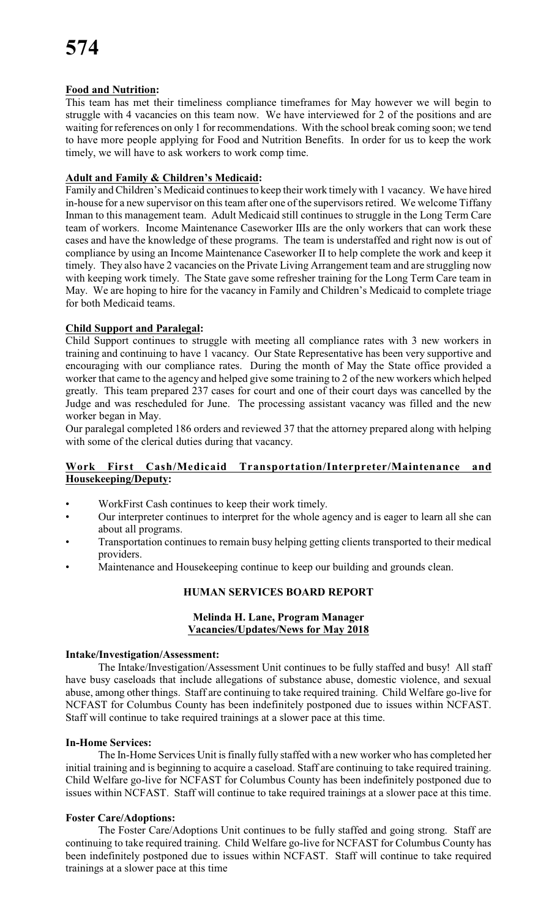# **Food and Nutrition:**

This team has met their timeliness compliance timeframes for May however we will begin to struggle with 4 vacancies on this team now. We have interviewed for 2 of the positions and are waiting for references on only 1 for recommendations. With the school break coming soon; we tend to have more people applying for Food and Nutrition Benefits. In order for us to keep the work timely, we will have to ask workers to work comp time.

# **Adult and Family & Children's Medicaid:**

Family and Children's Medicaid continues to keep their work timely with 1 vacancy. We have hired in-house for a new supervisor on this team after one of the supervisors retired. We welcome Tiffany Inman to this management team. Adult Medicaid still continues to struggle in the Long Term Care team of workers. Income Maintenance Caseworker IIIs are the only workers that can work these cases and have the knowledge of these programs. The team is understaffed and right now is out of compliance by using an Income Maintenance Caseworker II to help complete the work and keep it timely. They also have 2 vacancies on the Private Living Arrangement team and are struggling now with keeping work timely. The State gave some refresher training for the Long Term Care team in May. We are hoping to hire for the vacancy in Family and Children's Medicaid to complete triage for both Medicaid teams.

# **Child Support and Paralegal:**

Child Support continues to struggle with meeting all compliance rates with 3 new workers in training and continuing to have 1 vacancy. Our State Representative has been very supportive and encouraging with our compliance rates. During the month of May the State office provided a worker that came to the agency and helped give some training to 2 of the new workers which helped greatly. This team prepared 237 cases for court and one of their court days was cancelled by the Judge and was rescheduled for June. The processing assistant vacancy was filled and the new worker began in May.

Our paralegal completed 186 orders and reviewed 37 that the attorney prepared along with helping with some of the clerical duties during that vacancy.

# **Work First Cash/Medicaid Transportation/Interpreter/Maintenance and Housekeeping/Deputy:**

- WorkFirst Cash continues to keep their work timely.
- Our interpreter continues to interpret for the whole agency and is eager to learn all she can about all programs.
- Transportation continues to remain busy helping getting clients transported to their medical providers.
- Maintenance and Housekeeping continue to keep our building and grounds clean.

### **HUMAN SERVICES BOARD REPORT**

### **Melinda H. Lane, Program Manager Vacancies/Updates/News for May 2018**

### **Intake/Investigation/Assessment:**

The Intake/Investigation/Assessment Unit continues to be fully staffed and busy! All staff have busy caseloads that include allegations of substance abuse, domestic violence, and sexual abuse, among other things. Staff are continuing to take required training. Child Welfare go-live for NCFAST for Columbus County has been indefinitely postponed due to issues within NCFAST. Staff will continue to take required trainings at a slower pace at this time.

### **In-Home Services:**

The In-Home Services Unit is finally fully staffed with a new worker who has completed her initial training and is beginning to acquire a caseload. Staff are continuing to take required training. Child Welfare go-live for NCFAST for Columbus County has been indefinitely postponed due to issues within NCFAST. Staff will continue to take required trainings at a slower pace at this time.

### **Foster Care/Adoptions:**

The Foster Care/Adoptions Unit continues to be fully staffed and going strong. Staff are continuing to take required training. Child Welfare go-live for NCFAST for Columbus County has been indefinitely postponed due to issues within NCFAST. Staff will continue to take required trainings at a slower pace at this time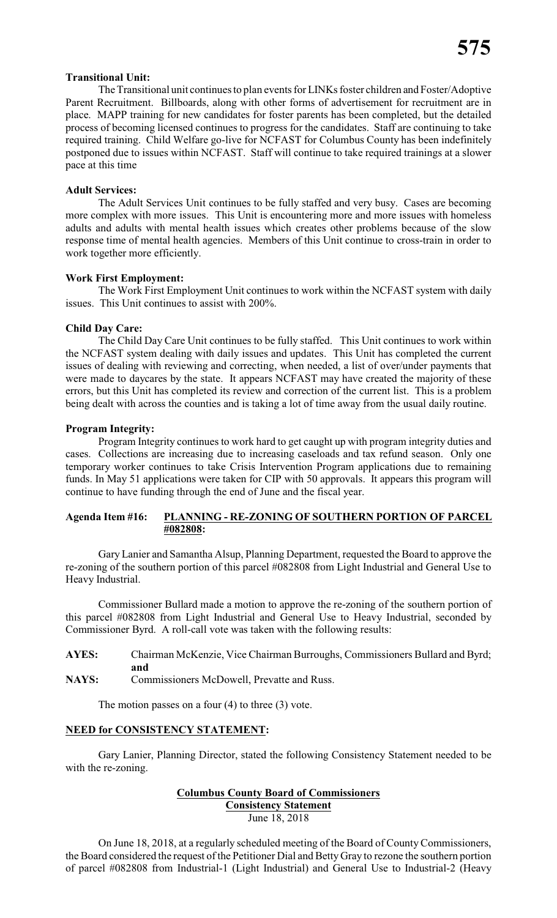### **Transitional Unit:**

The Transitional unit continues to plan events for LINKs foster children and Foster/Adoptive Parent Recruitment. Billboards, along with other forms of advertisement for recruitment are in place. MAPP training for new candidates for foster parents has been completed, but the detailed process of becoming licensed continues to progress for the candidates. Staff are continuing to take required training. Child Welfare go-live for NCFAST for Columbus County has been indefinitely postponed due to issues within NCFAST. Staff will continue to take required trainings at a slower pace at this time

### **Adult Services:**

The Adult Services Unit continues to be fully staffed and very busy. Cases are becoming more complex with more issues. This Unit is encountering more and more issues with homeless adults and adults with mental health issues which creates other problems because of the slow response time of mental health agencies. Members of this Unit continue to cross-train in order to work together more efficiently.

### **Work First Employment:**

The Work First Employment Unit continues to work within the NCFAST system with daily issues. This Unit continues to assist with 200%.

### **Child Day Care:**

The Child Day Care Unit continues to be fully staffed. This Unit continues to work within the NCFAST system dealing with daily issues and updates. This Unit has completed the current issues of dealing with reviewing and correcting, when needed, a list of over/under payments that were made to daycares by the state. It appears NCFAST may have created the majority of these errors, but this Unit has completed its review and correction of the current list. This is a problem being dealt with across the counties and is taking a lot of time away from the usual daily routine.

### **Program Integrity:**

Program Integrity continues to work hard to get caught up with program integrity duties and cases. Collections are increasing due to increasing caseloads and tax refund season. Only one temporary worker continues to take Crisis Intervention Program applications due to remaining funds. In May 51 applications were taken for CIP with 50 approvals. It appears this program will continue to have funding through the end of June and the fiscal year.

### **Agenda Item #16: PLANNING - RE-ZONING OF SOUTHERN PORTION OF PARCEL #082808:**

Gary Lanier and Samantha Alsup, Planning Department, requested the Board to approve the re-zoning of the southern portion of this parcel #082808 from Light Industrial and General Use to Heavy Industrial.

Commissioner Bullard made a motion to approve the re-zoning of the southern portion of this parcel #082808 from Light Industrial and General Use to Heavy Industrial, seconded by Commissioner Byrd. A roll-call vote was taken with the following results:

- **AYES:** Chairman McKenzie, Vice Chairman Burroughs, Commissioners Bullard and Byrd; **and**
- **NAYS:** Commissioners McDowell, Prevatte and Russ.

The motion passes on a four  $(4)$  to three  $(3)$  vote.

#### **NEED for CONSISTENCY STATEMENT:**

Gary Lanier, Planning Director, stated the following Consistency Statement needed to be with the re-zoning.

# **Columbus County Board of Commissioners Consistency Statement**

June 18, 2018

On June 18, 2018, at a regularly scheduled meeting of the Board of County Commissioners, the Board considered the request of the Petitioner Dial and Betty Gray to rezone the southern portion of parcel #082808 from Industrial-1 (Light Industrial) and General Use to Industrial-2 (Heavy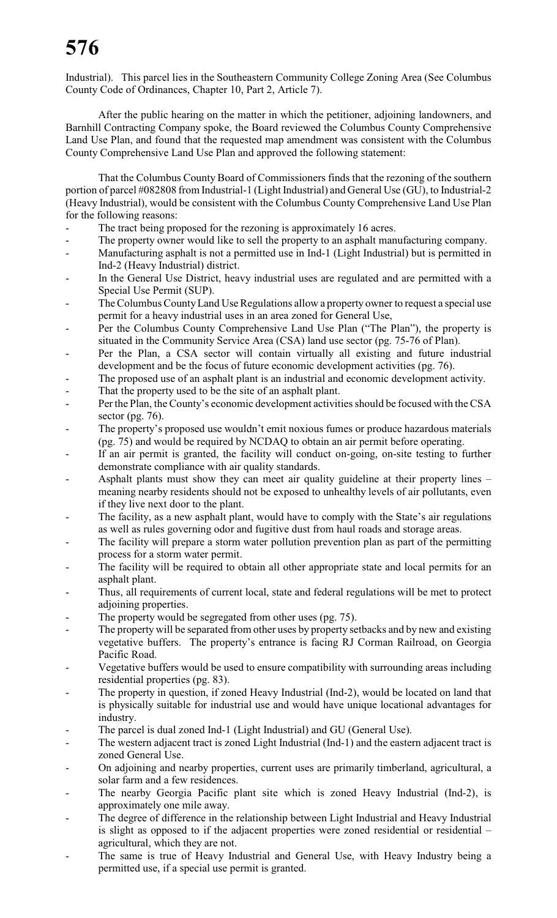Industrial). This parcel lies in the Southeastern Community College Zoning Area (See Columbus County Code of Ordinances, Chapter 10, Part 2, Article 7).

After the public hearing on the matter in which the petitioner, adjoining landowners, and Barnhill Contracting Company spoke, the Board reviewed the Columbus County Comprehensive Land Use Plan, and found that the requested map amendment was consistent with the Columbus County Comprehensive Land Use Plan and approved the following statement:

That the Columbus County Board of Commissioners finds that the rezoning of the southern portion of parcel #082808 from Industrial-1 (Light Industrial) and General Use (GU), to Industrial-2 (Heavy Industrial), would be consistent with the Columbus County Comprehensive Land Use Plan for the following reasons:

- The tract being proposed for the rezoning is approximately 16 acres.
- The property owner would like to sell the property to an asphalt manufacturing company.
- Manufacturing asphalt is not a permitted use in Ind-1 (Light Industrial) but is permitted in Ind-2 (Heavy Industrial) district.
- In the General Use District, heavy industrial uses are regulated and are permitted with a Special Use Permit (SUP).
- The Columbus County Land Use Regulations allow a property owner to request a special use permit for a heavy industrial uses in an area zoned for General Use,
- Per the Columbus County Comprehensive Land Use Plan ("The Plan"), the property is situated in the Community Service Area (CSA) land use sector (pg. 75-76 of Plan).
- Per the Plan, a CSA sector will contain virtually all existing and future industrial development and be the focus of future economic development activities (pg. 76).
- The proposed use of an asphalt plant is an industrial and economic development activity.
- That the property used to be the site of an asphalt plant.
- Per the Plan, the County's economic development activities should be focused with the CSA sector (pg.  $76$ ).
- The property's proposed use wouldn't emit noxious fumes or produce hazardous materials (pg. 75) and would be required by NCDAQ to obtain an air permit before operating.
- If an air permit is granted, the facility will conduct on-going, on-site testing to further demonstrate compliance with air quality standards.
- Asphalt plants must show they can meet air quality guideline at their property lines meaning nearby residents should not be exposed to unhealthy levels of air pollutants, even if they live next door to the plant.
- The facility, as a new asphalt plant, would have to comply with the State's air regulations as well as rules governing odor and fugitive dust from haul roads and storage areas.
- The facility will prepare a storm water pollution prevention plan as part of the permitting process for a storm water permit.
- The facility will be required to obtain all other appropriate state and local permits for an asphalt plant.
- Thus, all requirements of current local, state and federal regulations will be met to protect adjoining properties.
- The property would be segregated from other uses (pg. 75).
- The property will be separated from other uses by property setbacks and by new and existing vegetative buffers. The property's entrance is facing RJ Corman Railroad, on Georgia Pacific Road.
- Vegetative buffers would be used to ensure compatibility with surrounding areas including residential properties (pg. 83).
- The property in question, if zoned Heavy Industrial (Ind-2), would be located on land that is physically suitable for industrial use and would have unique locational advantages for industry.
- The parcel is dual zoned Ind-1 (Light Industrial) and GU (General Use).
- The western adjacent tract is zoned Light Industrial (Ind-1) and the eastern adjacent tract is zoned General Use.
- On adjoining and nearby properties, current uses are primarily timberland, agricultural, a solar farm and a few residences.
- The nearby Georgia Pacific plant site which is zoned Heavy Industrial (Ind-2), is approximately one mile away.
- The degree of difference in the relationship between Light Industrial and Heavy Industrial is slight as opposed to if the adjacent properties were zoned residential or residential – agricultural, which they are not.
- The same is true of Heavy Industrial and General Use, with Heavy Industry being a permitted use, if a special use permit is granted.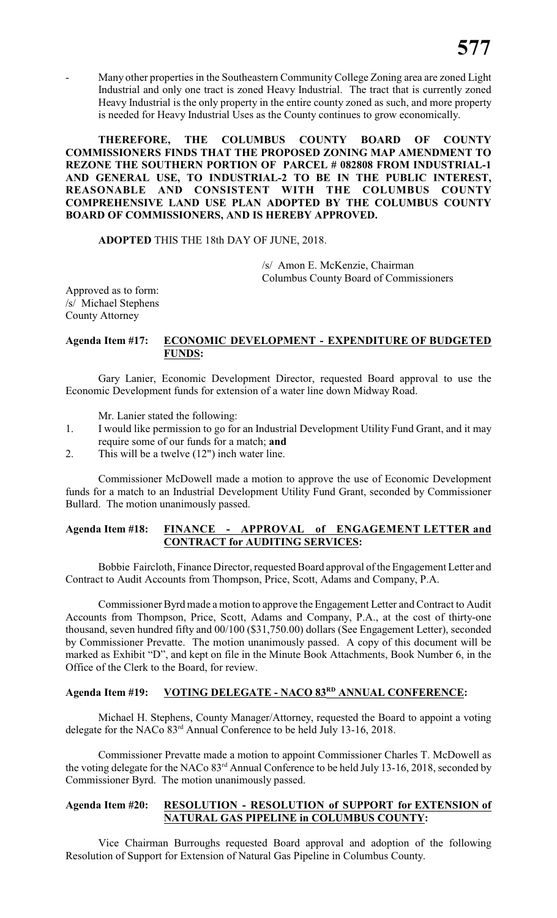Many other properties in the Southeastern Community College Zoning area are zoned Light Industrial and only one tract is zoned Heavy Industrial. The tract that is currently zoned Heavy Industrial is the only property in the entire county zoned as such, and more property is needed for Heavy Industrial Uses as the County continues to grow economically.

**THEREFORE, THE COLUMBUS COUNTY BOARD OF COUNTY COMMISSIONERS FINDS THAT THE PROPOSED ZONING MAP AMENDMENT TO REZONE THE SOUTHERN PORTION OF PARCEL # 082808 FROM INDUSTRIAL-1 AND GENERAL USE, TO INDUSTRIAL-2 TO BE IN THE PUBLIC INTEREST, REASONABLE AND CONSISTENT WITH THE COLUMBUS COUNTY COMPREHENSIVE LAND USE PLAN ADOPTED BY THE COLUMBUS COUNTY BOARD OF COMMISSIONERS, AND IS HEREBY APPROVED.**

### **ADOPTED** THIS THE 18th DAY OF JUNE, 2018.

/s/ Amon E. McKenzie, Chairman Columbus County Board of Commissioners

Approved as to form: /s/ Michael Stephens County Attorney

### **Agenda Item #17: ECONOMIC DEVELOPMENT - EXPENDITURE OF BUDGETED FUNDS:**

Gary Lanier, Economic Development Director, requested Board approval to use the Economic Development funds for extension of a water line down Midway Road.

Mr. Lanier stated the following:

- 1. I would like permission to go for an Industrial Development Utility Fund Grant, and it may require some of our funds for a match; **and**
- 2. This will be a twelve (12") inch water line.

Commissioner McDowell made a motion to approve the use of Economic Development funds for a match to an Industrial Development Utility Fund Grant, seconded by Commissioner Bullard. The motion unanimously passed.

# **Agenda Item #18: FINANCE - APPROVAL of ENGAGEMENT LETTER and CONTRACT for AUDITING SERVICES:**

Bobbie Faircloth, Finance Director, requested Board approval of the Engagement Letter and Contract to Audit Accounts from Thompson, Price, Scott, Adams and Company, P.A.

Commissioner Byrd made a motion to approve the Engagement Letter and Contract to Audit Accounts from Thompson, Price, Scott, Adams and Company, P.A., at the cost of thirty-one thousand, seven hundred fifty and 00/100 (\$31,750.00) dollars (See Engagement Letter), seconded by Commissioner Prevatte. The motion unanimously passed. A copy of this document will be marked as Exhibit "D", and kept on file in the Minute Book Attachments, Book Number 6, in the Office of the Clerk to the Board, for review.

### **Agenda Item #19: VOTING DELEGATE - NACO 83 ANNUAL CONFERENCE: RD**

Michael H. Stephens, County Manager/Attorney, requested the Board to appoint a voting delegate for the NACo 83<sup>rd</sup> Annual Conference to be held July 13-16, 2018.

Commissioner Prevatte made a motion to appoint Commissioner Charles T. McDowell as the voting delegate for the NACo  $83<sup>rd</sup>$  Annual Conference to be held July 13-16, 2018, seconded by Commissioner Byrd. The motion unanimously passed.

### **Agenda Item #20: RESOLUTION - RESOLUTION of SUPPORT for EXTENSION of NATURAL GAS PIPELINE in COLUMBUS COUNTY:**

Vice Chairman Burroughs requested Board approval and adoption of the following Resolution of Support for Extension of Natural Gas Pipeline in Columbus County.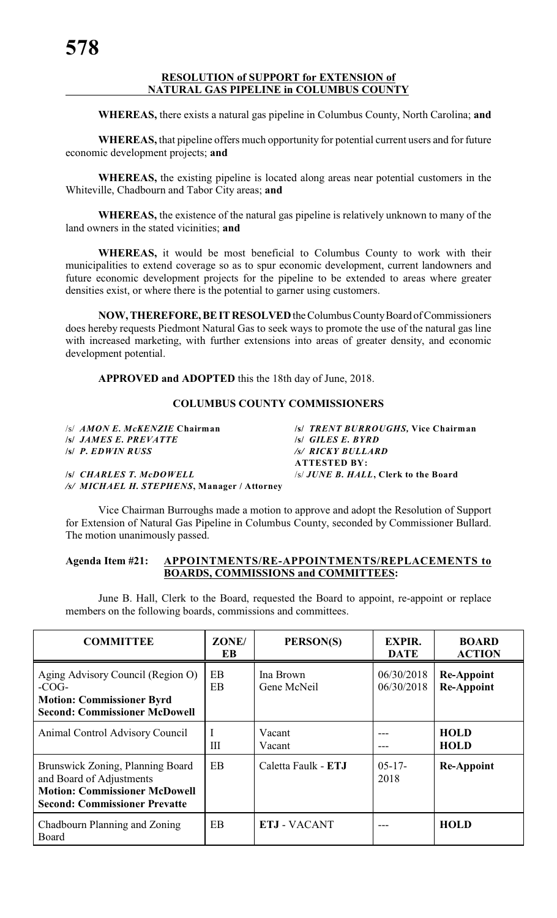### **RESOLUTION of SUPPORT for EXTENSION of NATURAL GAS PIPELINE in COLUMBUS COUNTY**

**WHEREAS,** there exists a natural gas pipeline in Columbus County, North Carolina; **and**

**WHEREAS,** that pipeline offers much opportunity for potential current users and for future economic development projects; **and**

**WHEREAS,** the existing pipeline is located along areas near potential customers in the Whiteville, Chadbourn and Tabor City areas; **and**

**WHEREAS,** the existence of the natural gas pipeline is relatively unknown to many of the land owners in the stated vicinities; **and**

**WHEREAS,** it would be most beneficial to Columbus County to work with their municipalities to extend coverage so as to spur economic development, current landowners and future economic development projects for the pipeline to be extended to areas where greater densities exist, or where there is the potential to garner using customers.

**NOW, THEREFORE, BE IT RESOLVED** the Columbus County Board of Commissioners does hereby requests Piedmont Natural Gas to seek ways to promote the use of the natural gas line with increased marketing, with further extensions into areas of greater density, and economic development potential.

**APPROVED and ADOPTED** this the 18th day of June, 2018.

### **COLUMBUS COUNTY COMMISSIONERS**

**/s/** *JAMES E. PREVATTE* **/s/** *GILES E. BYRD*

*/s/ MICHAEL H. STEPHENS***, Manager / Attorney**

/s/ *AMON E. McKENZIE* **Chairman /s/** *TRENT BURROUGHS,* **Vice Chairman /s/** *P. EDWIN RUSS /s/ RICKY BULLARD* **ATTESTED BY: /s/** *CHARLES T. McDOWELL* /s/ *JUNE B. HALL***, Clerk to the Board**

Vice Chairman Burroughs made a motion to approve and adopt the Resolution of Support for Extension of Natural Gas Pipeline in Columbus County, seconded by Commissioner Bullard. The motion unanimously passed.

### **Agenda Item #21: APPOINTMENTS/RE-APPOINTMENTS/REPLACEMENTS to BOARDS, COMMISSIONS and COMMITTEES:**

June B. Hall, Clerk to the Board, requested the Board to appoint, re-appoint or replace members on the following boards, commissions and committees.

| <b>COMMITTEE</b>                                                                                                                             | ZONE/<br>EB | PERSON(S)                | <b>EXPIR.</b><br><b>DATE</b> | <b>BOARD</b><br><b>ACTION</b>          |
|----------------------------------------------------------------------------------------------------------------------------------------------|-------------|--------------------------|------------------------------|----------------------------------------|
| Aging Advisory Council (Region O)<br>$-COG-$<br><b>Motion: Commissioner Byrd</b><br><b>Second: Commissioner McDowell</b>                     | EB<br>EB    | Ina Brown<br>Gene McNeil | 06/30/2018<br>06/30/2018     | <b>Re-Appoint</b><br><b>Re-Appoint</b> |
| Animal Control Advisory Council                                                                                                              | Ш           | Vacant<br>Vacant         |                              | <b>HOLD</b><br><b>HOLD</b>             |
| Brunswick Zoning, Planning Board<br>and Board of Adjustments<br><b>Motion: Commissioner McDowell</b><br><b>Second: Commissioner Prevatte</b> | EB          | Caletta Faulk - ETJ      | $05-17-$<br>2018             | <b>Re-Appoint</b>                      |
| Chadbourn Planning and Zoning<br>Board                                                                                                       | EB          | <b>ETJ - VACANT</b>      |                              | <b>HOLD</b>                            |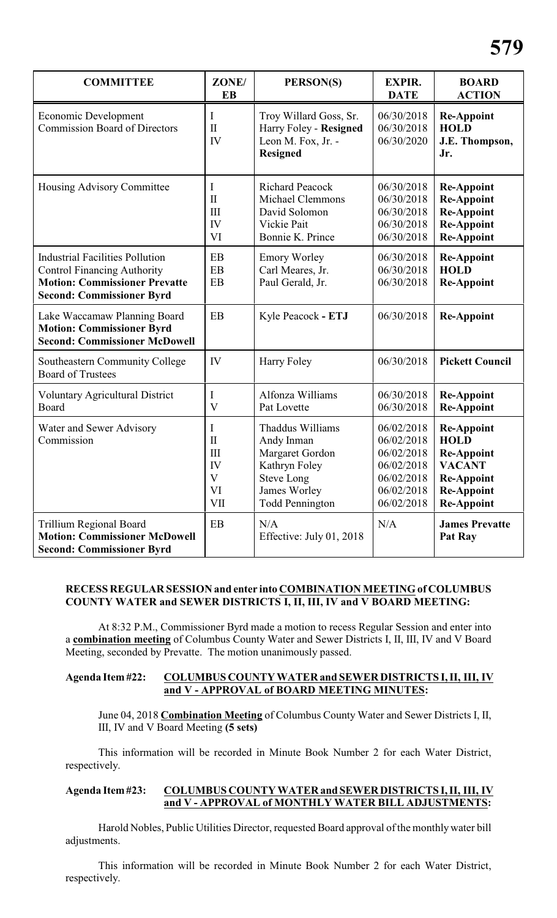| <b>COMMITTEE</b>                                                                                                                                         | ZONE/<br><b>EB</b>                                                                         | PERSON(S)                                                                                                                         | <b>EXPIR.</b><br><b>DATE</b>                                                                   | <b>BOARD</b><br><b>ACTION</b>                                                                                                         |
|----------------------------------------------------------------------------------------------------------------------------------------------------------|--------------------------------------------------------------------------------------------|-----------------------------------------------------------------------------------------------------------------------------------|------------------------------------------------------------------------------------------------|---------------------------------------------------------------------------------------------------------------------------------------|
| Economic Development<br><b>Commission Board of Directors</b>                                                                                             | Ι<br>$\mathbf{I}$<br>IV                                                                    | Troy Willard Goss, Sr.<br>Harry Foley - Resigned<br>Leon M. Fox, Jr. -<br><b>Resigned</b>                                         | 06/30/2018<br>06/30/2018<br>06/30/2020                                                         | <b>Re-Appoint</b><br><b>HOLD</b><br>J.E. Thompson,<br>Jr.                                                                             |
| Housing Advisory Committee                                                                                                                               | Ι<br>$\mathbf{I}$<br>$\mathop{\rm III}\nolimits$<br>IV<br>VI                               | <b>Richard Peacock</b><br><b>Michael Clemmons</b><br>David Solomon<br>Vickie Pait<br>Bonnie K. Prince                             | 06/30/2018<br>06/30/2018<br>06/30/2018<br>06/30/2018<br>06/30/2018                             | <b>Re-Appoint</b><br><b>Re-Appoint</b><br><b>Re-Appoint</b><br><b>Re-Appoint</b><br><b>Re-Appoint</b>                                 |
| <b>Industrial Facilities Pollution</b><br><b>Control Financing Authority</b><br><b>Motion: Commissioner Prevatte</b><br><b>Second: Commissioner Byrd</b> | EB<br>EB<br>EB                                                                             | <b>Emory Worley</b><br>Carl Meares, Jr.<br>Paul Gerald, Jr.                                                                       | 06/30/2018<br>06/30/2018<br>06/30/2018                                                         | Re-Appoint<br><b>HOLD</b><br><b>Re-Appoint</b>                                                                                        |
| Lake Waccamaw Planning Board<br><b>Motion: Commissioner Byrd</b><br><b>Second: Commissioner McDowell</b>                                                 | EB                                                                                         | Kyle Peacock - ETJ                                                                                                                | 06/30/2018                                                                                     | <b>Re-Appoint</b>                                                                                                                     |
| Southeastern Community College<br><b>Board of Trustees</b>                                                                                               | IV                                                                                         | Harry Foley                                                                                                                       | 06/30/2018                                                                                     | <b>Pickett Council</b>                                                                                                                |
| <b>Voluntary Agricultural District</b><br>Board                                                                                                          | I<br>$\overline{\mathsf{V}}$                                                               | Alfonza Williams<br>Pat Lovette                                                                                                   | 06/30/2018<br>06/30/2018                                                                       | <b>Re-Appoint</b><br><b>Re-Appoint</b>                                                                                                |
| Water and Sewer Advisory<br>Commission                                                                                                                   | I<br>$\mathbf{I}$<br>$\mathop{\rm III}\nolimits$<br>IV<br>$\mathbf{V}$<br>VI<br>$\rm{VII}$ | Thaddus Williams<br>Andy Inman<br>Margaret Gordon<br>Kathryn Foley<br><b>Steve Long</b><br>James Worley<br><b>Todd Pennington</b> | 06/02/2018<br>06/02/2018<br>06/02/2018<br>06/02/2018<br>06/02/2018<br>06/02/2018<br>06/02/2018 | <b>Re-Appoint</b><br><b>HOLD</b><br><b>Re-Appoint</b><br><b>VACANT</b><br><b>Re-Appoint</b><br><b>Re-Appoint</b><br><b>Re-Appoint</b> |
| <b>Trillium Regional Board</b><br><b>Motion: Commissioner McDowell</b><br><b>Second: Commissioner Byrd</b>                                               | EB                                                                                         | N/A<br>Effective: July 01, 2018                                                                                                   | N/A                                                                                            | <b>James Prevatte</b><br>Pat Ray                                                                                                      |

# **RECESS REGULAR SESSION and enter into COMBINATION MEETING of COLUMBUS COUNTY WATER and SEWER DISTRICTS I, II, III, IV and V BOARD MEETING:**

At 8:32 P.M., Commissioner Byrd made a motion to recess Regular Session and enter into a **combination meeting** of Columbus County Water and Sewer Districts I, II, III, IV and V Board Meeting, seconded by Prevatte. The motion unanimously passed.

### **Agenda Item #22: COLUMBUS COUNTY WATER and SEWER DISTRICTS I, II, III, IV and V - APPROVAL of BOARD MEETING MINUTES:**

June 04, 2018 **Combination Meeting** of Columbus County Water and Sewer Districts I, II, III, IV and V Board Meeting **(5 sets)**

This information will be recorded in Minute Book Number 2 for each Water District, respectively.

### **Agenda Item #23: COLUMBUS COUNTY WATER and SEWER DISTRICTS I, II, III, IV and V - APPROVAL of MONTHLY WATER BILL ADJUSTMENTS:**

Harold Nobles, Public Utilities Director, requested Board approval of the monthly water bill adjustments.

This information will be recorded in Minute Book Number 2 for each Water District, respectively.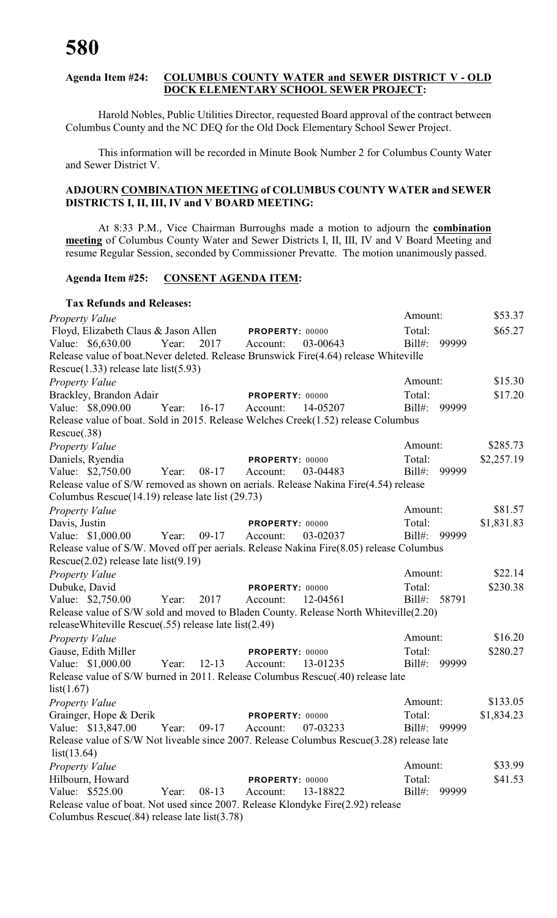### **Agenda Item #24: COLUMBUS COUNTY WATER and SEWER DISTRICT V - OLD DOCK ELEMENTARY SCHOOL SEWER PROJECT:**

Harold Nobles, Public Utilities Director, requested Board approval of the contract between Columbus County and the NC DEQ for the Old Dock Elementary School Sewer Project.

This information will be recorded in Minute Book Number 2 for Columbus County Water and Sewer District V.

### **ADJOURN COMBINATION MEETING of COLUMBUS COUNTY WATER and SEWER DISTRICTS I, II, III, IV and V BOARD MEETING:**

At 8:33 P.M., Vice Chairman Burroughs made a motion to adjourn the **combination meeting** of Columbus County Water and Sewer Districts I, II, III, IV and V Board Meeting and resume Regular Session, seconded by Commissioner Prevatte. The motion unanimously passed.

### **Agenda Item #25: CONSENT AGENDA ITEM:**

| <b>Tax Refunds and Releases:</b>                                                                                                      |                                         |                      |
|---------------------------------------------------------------------------------------------------------------------------------------|-----------------------------------------|----------------------|
| <b>Property Value</b>                                                                                                                 |                                         | \$53.37<br>Amount:   |
| Floyd, Elizabeth Claus & Jason Allen PROPERTY: 00000                                                                                  |                                         | \$65.27<br>Total:    |
| Value: \$6,630.00<br>2017<br>Year:                                                                                                    | 03-00643<br>Account:                    | $Bill#$ :<br>99999   |
| Release value of boat. Never deleted. Release Brunswick Fire(4.64) release Whiteville                                                 |                                         |                      |
| Rescue $(1.33)$ release late list $(5.93)$                                                                                            |                                         |                      |
| Property Value                                                                                                                        |                                         | \$15.30<br>Amount:   |
| Brackley, Brandon Adair                                                                                                               | PROPERTY: 00000                         | \$17.20<br>Total:    |
| Value: \$8,090.00<br>Year:<br>$16-17$                                                                                                 | 14-05207<br>Account:                    | 99999<br>$Bill#$ :   |
| Release value of boat. Sold in 2015. Release Welches Creek(1.52) release Columbus<br>Rescue(.38)                                      |                                         |                      |
| Property Value                                                                                                                        |                                         | \$285.73<br>Amount:  |
| Daniels, Ryendia                                                                                                                      | PROPERTY: 00000                         | Total:<br>\$2,257.19 |
| Value: \$2,750.00<br>$08-17$<br>Year:                                                                                                 | Account:<br>03-04483                    | Bill#:<br>99999      |
| Release value of S/W removed as shown on aerials. Release Nakina Fire(4.54) release                                                   |                                         |                      |
| Columbus Rescue(14.19) release late list (29.73)                                                                                      |                                         |                      |
| Property Value                                                                                                                        |                                         | \$81.57<br>Amount:   |
| Davis, Justin                                                                                                                         | PROPERTY: 00000                         | \$1,831.83<br>Total: |
| Value: \$1,000.00<br>Year:<br>$09-17$                                                                                                 | Account:<br>03-02037                    | Bill#:<br>99999      |
| Release value of S/W. Moved off per aerials. Release Nakina Fire(8.05) release Columbus<br>Rescue $(2.02)$ release late list $(9.19)$ |                                         |                      |
|                                                                                                                                       |                                         | \$22.14<br>Amount:   |
| <b>Property Value</b><br>Dubuke, David                                                                                                |                                         | \$230.38<br>Total:   |
| Value: \$2,750.00<br>2017<br>Year:                                                                                                    | PROPERTY: 00000<br>12-04561<br>Account: | $Bill#$ :<br>58791   |
| Release value of S/W sold and moved to Bladen County. Release North Whiteville(2.20)                                                  |                                         |                      |
| releaseWhiteville Rescue(.55) release late list(2.49)                                                                                 |                                         |                      |
| Property Value                                                                                                                        |                                         | \$16.20<br>Amount:   |
| Gause, Edith Miller                                                                                                                   | PROPERTY: 00000                         | \$280.27<br>Total:   |
| Value: \$1,000.00<br>$12-13$<br>Year:                                                                                                 | 13-01235<br>Account:                    | $Bill#$ :<br>99999   |
| Release value of S/W burned in 2011. Release Columbus Rescue(.40) release late                                                        |                                         |                      |
| list(1.67)                                                                                                                            |                                         |                      |
| <b>Property Value</b>                                                                                                                 |                                         | \$133.05<br>Amount:  |
| Grainger, Hope & Derik                                                                                                                | <b>PROPERTY: 00000</b>                  | Total:<br>\$1,834.23 |
| Value: \$13,847.00<br>Year:<br>$09-17$                                                                                                | 07-03233<br>Account:                    | Bill#:<br>99999      |
| Release value of S/W Not liveable since 2007. Release Columbus Rescue(3.28) release late<br>list(13.64)                               |                                         |                      |
| Property Value                                                                                                                        |                                         | \$33.99<br>Amount:   |
| Hilbourn, Howard                                                                                                                      | PROPERTY: 00000                         | Total:<br>\$41.53    |
| Value: \$525.00<br>Year:<br>$08-13$                                                                                                   | Account:<br>13-18822                    | $Bill#$ :<br>99999   |
| Release value of boat. Not used since 2007. Release Klondyke Fire(2.92) release                                                       |                                         |                      |
| Columbus Rescue(.84) release late list(3.78)                                                                                          |                                         |                      |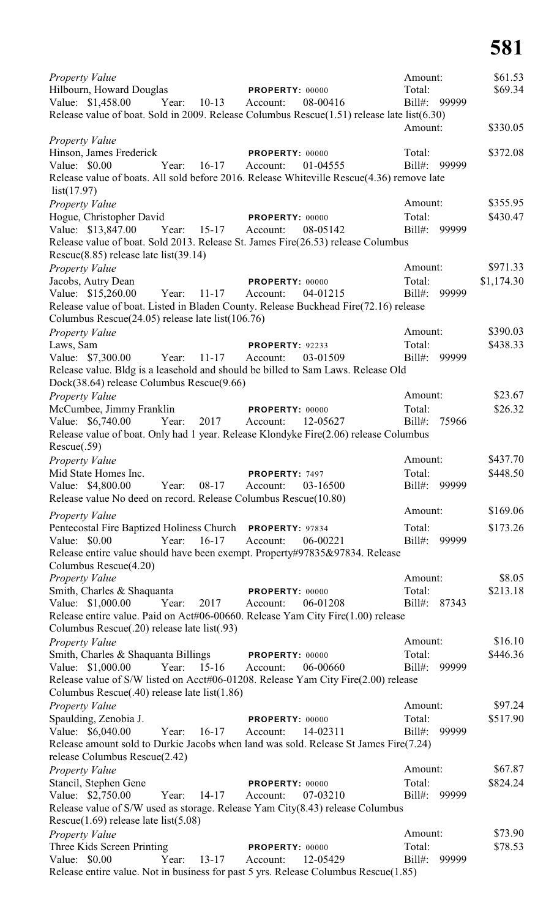| <b>Property Value</b>                                                                                                             |                                         | Amount:            | \$61.53\$  |
|-----------------------------------------------------------------------------------------------------------------------------------|-----------------------------------------|--------------------|------------|
| Hilbourn, Howard Douglas                                                                                                          | <b>PROPERTY: 00000</b>                  | Total:             | \$69.34    |
| Value: \$1,458.00<br>Year: 10-13                                                                                                  | 08-00416<br>Account:                    | Bill#: 99999       |            |
| Release value of boat. Sold in 2009. Release Columbus Rescue(1.51) release late list(6.30)                                        |                                         |                    |            |
|                                                                                                                                   |                                         | Amount:            | \$330.05   |
| <b>Property Value</b><br>Hinson, James Frederick                                                                                  |                                         | Total:             | \$372.08   |
| $16-17$<br>Value: \$0.00<br>Year:                                                                                                 | PROPERTY: 00000<br>01-04555<br>Account: | $Bill#$ :<br>99999 |            |
| Release value of boats. All sold before 2016. Release Whiteville Rescue(4.36) remove late                                         |                                         |                    |            |
| list(17.97)                                                                                                                       |                                         |                    |            |
| <b>Property Value</b>                                                                                                             |                                         | Amount:            | \$355.95   |
| Hogue, Christopher David                                                                                                          | PROPERTY: 00000                         | Total:             | \$430.47   |
| Value: \$13,847.00<br>Year: 15-17                                                                                                 | 08-05142<br>Account:                    | $Bill#$ :<br>99999 |            |
| Release value of boat. Sold 2013. Release St. James Fire(26.53) release Columbus                                                  |                                         |                    |            |
| Rescue $(8.85)$ release late list $(39.14)$                                                                                       |                                         |                    |            |
| Property Value                                                                                                                    |                                         | Amount:            | \$971.33   |
| Jacobs, Autry Dean                                                                                                                | PROPERTY: 00000                         | Total:             | \$1,174.30 |
| Value: \$15,260.00<br>Year: $11-17$                                                                                               | Account:<br>04-01215                    | Bill#:<br>99999    |            |
| Release value of boat. Listed in Bladen County. Release Buckhead Fire(72.16) release                                              |                                         |                    |            |
| Columbus Rescue(24.05) release late list(106.76)                                                                                  |                                         |                    |            |
| <b>Property Value</b>                                                                                                             |                                         | Amount:            | \$390.03   |
| Laws, Sam                                                                                                                         | PROPERTY: 92233                         | Total:             | \$438.33   |
| $11 - 17$<br>Value: \$7,300.00<br>Year:                                                                                           | Account:<br>03-01509                    | $Bill#$ :<br>99999 |            |
| Release value. Bldg is a leasehold and should be billed to Sam Laws. Release Old                                                  |                                         |                    |            |
| Dock(38.64) release Columbus Rescue(9.66)                                                                                         |                                         |                    |            |
| Property Value                                                                                                                    |                                         | Amount:            | \$23.67    |
| McCumbee, Jimmy Franklin                                                                                                          | PROPERTY: 00000                         | Total:             | \$26.32    |
| Value: \$6,740.00<br>Year:<br>2017                                                                                                | Account:<br>12-05627                    | $Bill#$ :<br>75966 |            |
| Release value of boat. Only had 1 year. Release Klondyke Fire(2.06) release Columbus                                              |                                         |                    |            |
| Rescue(.59)                                                                                                                       |                                         |                    |            |
| Property Value                                                                                                                    |                                         | Amount:            | \$437.70   |
| Mid State Homes Inc.                                                                                                              | PROPERTY: 7497                          | Total:             | \$448.50   |
| 08-17<br>Value: \$4,800.00<br>Year:                                                                                               | Account:<br>03-16500                    | 99999<br>$Bill#$ : |            |
| Release value No deed on record. Release Columbus Rescue(10.80)                                                                   |                                         |                    |            |
| <b>Property Value</b>                                                                                                             |                                         | Amount:            | \$169.06   |
| Pentecostal Fire Baptized Holiness Church PROPERTY: 97834                                                                         |                                         | Total:             | \$173.26   |
| Value: \$0.00<br>$16-17$<br>Year:                                                                                                 | Account:<br>06-00221                    | $Bill#$ :<br>99999 |            |
| Release entire value should have been exempt. Property#97835&97834. Release                                                       |                                         |                    |            |
| Columbus Rescue(4.20)                                                                                                             |                                         |                    |            |
| Property Value                                                                                                                    |                                         | Amount:            | \$8.05     |
| Smith, Charles & Shaquanta                                                                                                        | PROPERTY: 00000                         | Total:             | \$213.18   |
| Value: \$1,000.00<br>Year:<br>2017                                                                                                | 06-01208<br>Account:                    | Bill#:<br>87343    |            |
| Release entire value. Paid on Act#06-00660. Release Yam City Fire(1.00) release                                                   |                                         |                    |            |
| Columbus Rescue(.20) release late list(.93)                                                                                       |                                         |                    |            |
| <b>Property Value</b>                                                                                                             |                                         | Amount:            | \$16.10    |
| Smith, Charles & Shaquanta Billings                                                                                               | <b>PROPERTY: 00000</b>                  | Total:             | \$446.36   |
| $15-16$<br>Value: \$1,000.00<br>Year:                                                                                             | 06-00660<br>Account:                    | $Bill#$ :<br>99999 |            |
| Release value of S/W listed on Acct#06-01208. Release Yam City Fire(2.00) release<br>Columbus Rescue(.40) release late list(1.86) |                                         |                    |            |
|                                                                                                                                   |                                         | Amount:            | \$97.24    |
| <b>Property Value</b><br>Spaulding, Zenobia J.                                                                                    | PROPERTY: 00000                         | Total:             | \$517.90   |
| Value: \$6,040.00<br>$16-17$<br>Year:                                                                                             | 14-02311<br>Account:                    | $Bill#$ :<br>99999 |            |
| Release amount sold to Durkie Jacobs when land was sold. Release St James Fire(7.24)                                              |                                         |                    |            |
| release Columbus Rescue(2.42)                                                                                                     |                                         |                    |            |
| <b>Property Value</b>                                                                                                             |                                         | Amount:            | \$67.87    |
| Stancil, Stephen Gene                                                                                                             | PROPERTY: 00000                         | Total:             | \$824.24   |
| Value: \$2,750.00<br>Year:<br>$14 - 17$                                                                                           | Account:<br>07-03210                    | Bill#:<br>99999    |            |
| Release value of S/W used as storage. Release Yam City(8.43) release Columbus                                                     |                                         |                    |            |
| Rescue $(1.69)$ release late list $(5.08)$                                                                                        |                                         |                    |            |
| <b>Property Value</b>                                                                                                             |                                         | Amount:            | \$73.90    |
| Three Kids Screen Printing                                                                                                        | <b>PROPERTY: 00000</b>                  | Total:             | \$78.53    |
| Value: \$0.00<br>Year:<br>$13 - 17$                                                                                               | 12-05429<br>Account:                    | $Bill#$ :<br>99999 |            |
| Release entire value. Not in business for past 5 yrs. Release Columbus Rescue(1.85)                                               |                                         |                    |            |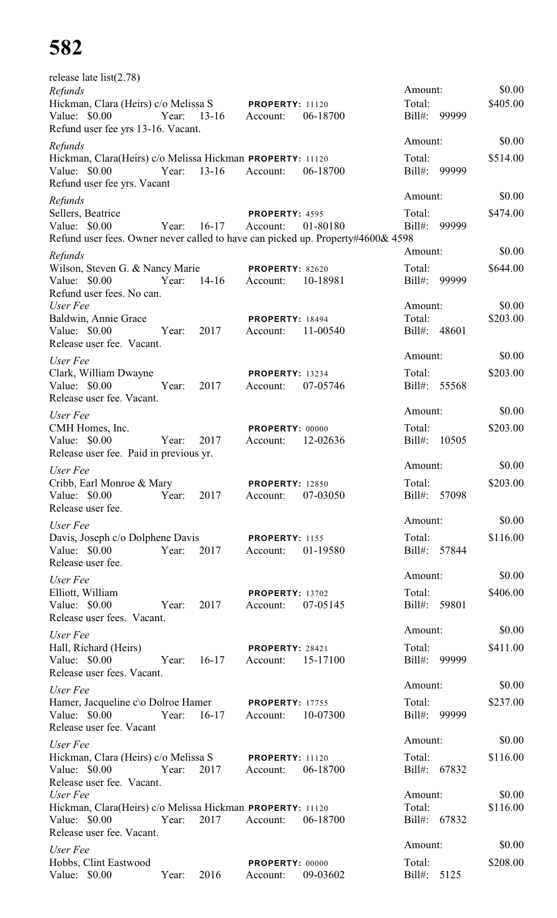| release late $list(2.78)$                                                                        |             |           |                                    |          | Amount:               |       | \$0.00   |
|--------------------------------------------------------------------------------------------------|-------------|-----------|------------------------------------|----------|-----------------------|-------|----------|
| Refunds<br>Hickman, Clara (Heirs) c/o Melissa S                                                  |             |           | <b>PROPERTY: 11120</b>             |          | Total:                |       | \$405.00 |
| Value: \$0.00                                                                                    | Year:       | $13 - 16$ | Account:                           | 06-18700 | $Bill#$ :             | 99999 |          |
| Refund user fee yrs 13-16. Vacant.                                                               |             |           |                                    |          |                       |       |          |
| Refunds                                                                                          |             |           |                                    |          | Amount:               |       | \$0.00   |
| Hickman, Clara(Heirs) c/o Melissa Hickman PROPERTY: 11120                                        |             |           |                                    |          | Total:                |       | \$514.00 |
| Value: \$0.00                                                                                    | Year:       | $13-16$   | Account:                           | 06-18700 | Bill#:                | 99999 |          |
| Refund user fee yrs. Vacant                                                                      |             |           |                                    |          |                       |       |          |
| Refunds                                                                                          |             |           |                                    |          | Amount:               |       | \$0.00   |
| Sellers, Beatrice                                                                                |             |           | PROPERTY: 4595                     |          | Total:                |       | \$474.00 |
| Value: \$0.00<br>Refund user fees. Owner never called to have can picked up. Property#4600& 4598 | Year:       | $16-17$   | Account:                           | 01-80180 | $Bill#$ :             | 99999 |          |
|                                                                                                  |             |           |                                    |          | Amount:               |       | \$0.00   |
| Refunds<br>Wilson, Steven G. & Nancy Marie                                                       |             |           | <b>PROPERTY: 82620</b>             |          | Total:                |       | \$644.00 |
| Value: $$0.00$                                                                                   | Year:       | $14-16$   | Account:                           | 10-18981 | Bill#:                | 99999 |          |
| Refund user fees. No can.                                                                        |             |           |                                    |          |                       |       |          |
| User Fee                                                                                         |             |           |                                    |          | Amount:               |       | \$0.00   |
| Baldwin, Annie Grace                                                                             |             |           | <b>PROPERTY: 18494</b>             |          | Total:                |       | \$203.00 |
| Value: \$0.00                                                                                    | Year:       | 2017      | Account:                           | 11-00540 | Bill#:                | 48601 |          |
| Release user fee. Vacant.                                                                        |             |           |                                    |          | Amount:               |       | \$0.00   |
| User Fee                                                                                         |             |           |                                    |          |                       |       |          |
| Clark, William Dwayne<br>Value: \$0.00                                                           | Year:       | 2017      | <b>PROPERTY: 13234</b><br>Account: | 07-05746 | Total:<br>$Bill#$ :   | 55568 | \$203.00 |
| Release user fee. Vacant.                                                                        |             |           |                                    |          |                       |       |          |
| User Fee                                                                                         |             |           |                                    |          | Amount:               |       | \$0.00   |
| CMH Homes, Inc.                                                                                  |             |           | PROPERTY: 00000                    |          | Total:                |       | \$203.00 |
| Value: \$0.00                                                                                    | Year:       | 2017      | Account:                           | 12-02636 | $Bill#$ :             | 10505 |          |
| Release user fee. Paid in previous yr.                                                           |             |           |                                    |          |                       |       |          |
| User Fee                                                                                         |             |           |                                    |          | Amount:               |       | \$0.00   |
| Cribb, Earl Monroe & Mary                                                                        |             |           | <b>PROPERTY: 12850</b>             |          | Total:                |       | \$203.00 |
| Value: $$0.00$                                                                                   | Year:       | 2017      | Account:                           | 07-03050 | $Bill#$ :             | 57098 |          |
| Release user fee.                                                                                |             |           |                                    |          |                       |       |          |
| User Fee                                                                                         |             |           |                                    |          | Amount:               |       | \$0.00   |
| Davis, Joseph c/o Dolphene Davis                                                                 | Year:       |           | PROPERTY: 1155                     |          | Total:                |       | \$116.00 |
| Value: $$0.00$<br>Release user fee.                                                              |             | 2017      | Account:                           | 01-19580 | Bill#: 57844          |       |          |
|                                                                                                  |             |           |                                    |          | Amount:               |       | \$0.00   |
| User Fee<br>Elliott, William                                                                     |             |           | <b>PROPERTY: 13702</b>             |          | Total:                |       | \$406.00 |
| Value: $$0.00$                                                                                   | Year:       | 2017      | Account:                           | 07-05145 | Bill#: 59801          |       |          |
| Release user fees. Vacant.                                                                       |             |           |                                    |          |                       |       |          |
| User Fee                                                                                         |             |           |                                    |          | Amount:               |       | \$0.00   |
| Hall, Richard (Heirs)                                                                            |             |           | <b>PROPERTY: 28421</b>             |          | Total:                |       | \$411.00 |
| Value: $$0.00$                                                                                   | Year: 16-17 |           | Account:                           | 15-17100 | $Bill#$ :             | 99999 |          |
| Release user fees. Vacant.                                                                       |             |           |                                    |          |                       |       |          |
| User Fee                                                                                         |             |           |                                    |          | Amount:               |       | \$0.00   |
| Hamer, Jacqueline c\o Dolroe Hamer                                                               |             |           | <b>PROPERTY: 17755</b>             |          | Total:                |       | \$237.00 |
| Value: \$0.00<br>Release user fee. Vacant                                                        | Year:       | $16-17$   | Account:                           | 10-07300 | $Bill#$ :             | 99999 |          |
|                                                                                                  |             |           |                                    |          | Amount:               |       | \$0.00   |
| User Fee<br>Hickman, Clara (Heirs) c/o Melissa S                                                 |             |           |                                    |          | Total:                |       | \$116.00 |
| Value: \$0.00                                                                                    | Year:       | 2017      | <b>PROPERTY: 11120</b><br>Account: | 06-18700 | Bill#:                | 67832 |          |
| Release user fee. Vacant.                                                                        |             |           |                                    |          |                       |       |          |
| User Fee                                                                                         |             |           |                                    |          | Amount:               |       | \$0.00   |
| Hickman, Clara(Heirs) c/o Melissa Hickman PROPERTY: 11120                                        |             |           |                                    |          | Total:                |       | \$116.00 |
| Value: $$0.00$<br>Year:                                                                          |             | 2017      | Account:                           | 06-18700 | Bill#: 67832          |       |          |
| Release user fee. Vacant.                                                                        |             |           |                                    |          | Amount:               |       | \$0.00   |
| User Fee                                                                                         |             |           |                                    |          |                       |       | \$208.00 |
| Hobbs, Clint Eastwood<br>Value: \$0.00                                                           | Year:       | 2016      | PROPERTY: 00000<br>Account:        | 09-03602 | Total:<br>Bill#: 5125 |       |          |
|                                                                                                  |             |           |                                    |          |                       |       |          |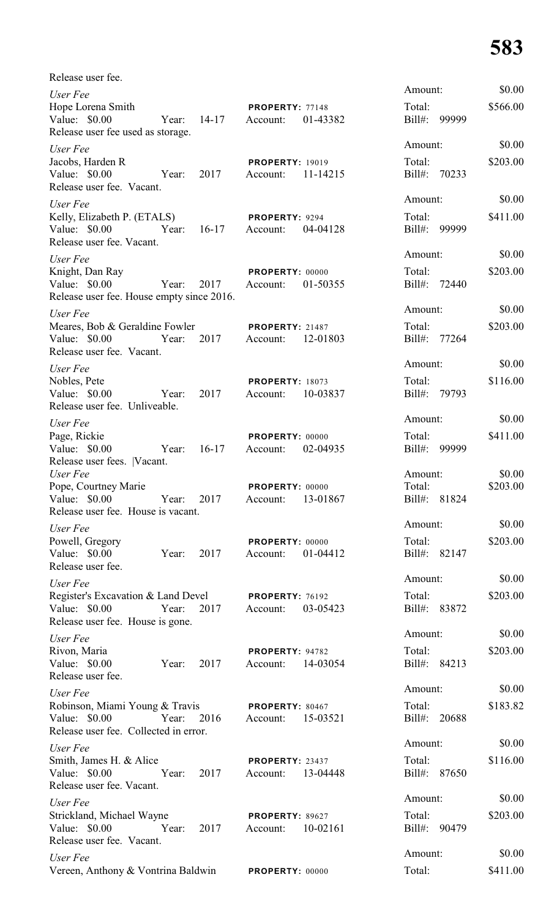| Release user fee.                                      |       |             |                                    |          |                        |          |
|--------------------------------------------------------|-------|-------------|------------------------------------|----------|------------------------|----------|
| User Fee                                               |       |             |                                    |          | Amount:                | \$0.00   |
| Hope Lorena Smith<br>Value: \$0.00                     |       | Year: 14-17 | <b>PROPERTY: 77148</b><br>Account: | 01-43382 | Total:<br>Bill#: 99999 | \$566.00 |
| Release user fee used as storage.                      |       |             |                                    |          |                        |          |
| User Fee                                               |       |             |                                    |          | Amount:                | \$0.00   |
| Jacobs, Harden R                                       |       |             | <b>PROPERTY: 19019</b>             |          | Total:                 | \$203.00 |
| Value: \$0.00                                          | Year: | 2017        | Account:                           | 11-14215 | Bill#: 70233           |          |
| Release user fee. Vacant.                              |       |             |                                    |          | Amount:                | \$0.00   |
| User Fee<br>Kelly, Elizabeth P. (ETALS)                |       |             | PROPERTY: 9294                     |          | Total:                 | \$411.00 |
| Value: \$0.00                                          |       | Year: 16-17 | Account:                           | 04-04128 | Bill#: 99999           |          |
| Release user fee. Vacant.                              |       |             |                                    |          |                        |          |
| User Fee                                               |       |             |                                    |          | Amount:                | \$0.00   |
| Knight, Dan Ray                                        |       |             | PROPERTY: 00000                    |          | Total:                 | \$203.00 |
| Value: $$0.00$                                         | Year: | 2017        | Account:                           | 01-50355 | Bill#: 72440           |          |
| Release user fee. House empty since 2016.              |       |             |                                    |          |                        |          |
| User Fee                                               |       |             |                                    |          | Amount:                | \$0.00   |
| Meares, Bob & Geraldine Fowler                         |       | 2017        | <b>PROPERTY: 21487</b>             | 12-01803 | Total:<br>Bill#: 77264 | \$203.00 |
| Value: \$0.00<br>Release user fee. Vacant.             | Year: |             | Account:                           |          |                        |          |
| User Fee                                               |       |             |                                    |          | Amount:                | \$0.00   |
| Nobles, Pete                                           |       |             | <b>PROPERTY: 18073</b>             |          | Total:                 | \$116.00 |
| Value: \$0.00                                          | Year: | 2017        | Account:                           | 10-03837 | Bill#: 79793           |          |
| Release user fee. Unliveable.                          |       |             |                                    |          |                        |          |
| User Fee                                               |       |             |                                    |          | Amount:                | \$0.00   |
| Page, Rickie                                           |       |             | PROPERTY: 00000                    |          | Total:                 | \$411.00 |
| Value: \$0.00                                          | Year: | $16-17$     | Account:                           | 02-04935 | $Bill#$ :<br>99999     |          |
| Release user fees.  Vacant.<br>User Fee                |       |             |                                    |          | Amount:                | \$0.00   |
| Pope, Courtney Marie                                   |       |             | PROPERTY: 00000                    |          | Total:                 | \$203.00 |
| Value: $$0.00$                                         | Year: | 2017        | Account:                           | 13-01867 | Bill#: 81824           |          |
| Release user fee. House is vacant.                     |       |             |                                    |          |                        |          |
| User Fee                                               |       |             |                                    |          | Amount:                | \$0.00   |
| Powell, Gregory                                        |       |             | PROPERTY: 00000                    |          | Total:                 | \$203.00 |
| Value: \$0.00                                          | Year: | 2017        | Account:                           | 01-04412 | Bill#: 82147           |          |
| Release user fee.                                      |       |             |                                    |          | Amount:                | \$0.00   |
| User Fee                                               |       |             |                                    |          | Total:                 | \$203.00 |
| Register's Excavation & Land Devel<br>Value: $$0.00$   | Year: | 2017        | PROPERTY: 76192<br>Account:        | 03-05423 | Bill#: 83872           |          |
| Release user fee. House is gone.                       |       |             |                                    |          |                        |          |
| User Fee                                               |       |             |                                    |          | Amount:                | \$0.00   |
| Rivon, Maria                                           |       |             | PROPERTY: 94782                    |          | Total:                 | \$203.00 |
| Value: \$0.00                                          | Year: | 2017        | Account:                           | 14-03054 | Bill#: 84213           |          |
| Release user fee.                                      |       |             |                                    |          |                        |          |
| User Fee                                               |       |             |                                    |          | Amount:                | \$0.00   |
| Robinson, Miami Young & Travis                         |       |             | PROPERTY: 80467                    |          | Total:                 | \$183.82 |
| Value: \$0.00<br>Release user fee. Collected in error. | Year: | 2016        | Account:                           | 15-03521 | Bill#:<br>20688        |          |
|                                                        |       |             |                                    |          | Amount:                | \$0.00   |
| User Fee<br>Smith, James H. & Alice                    |       |             | PROPERTY: 23437                    |          | Total:                 | \$116.00 |
| Value: $$0.00$                                         | Year: | 2017        | Account:                           | 13-04448 | 87650<br>Bill#:        |          |
| Release user fee. Vacant.                              |       |             |                                    |          |                        |          |
| User Fee                                               |       |             |                                    |          | Amount:                | \$0.00   |
| Strickland, Michael Wayne                              |       |             | PROPERTY: 89627                    |          | Total:                 | \$203.00 |
| Value: $$0.00$                                         | Year: | 2017        | Account:                           | 10-02161 | Bill#:<br>90479        |          |
| Release user fee. Vacant.                              |       |             |                                    |          | Amount:                | \$0.00   |
| User Fee                                               |       |             |                                    |          |                        |          |
| Vereen, Anthony & Vontrina Baldwin                     |       |             | PROPERTY: 00000                    |          | Total:                 | \$411.00 |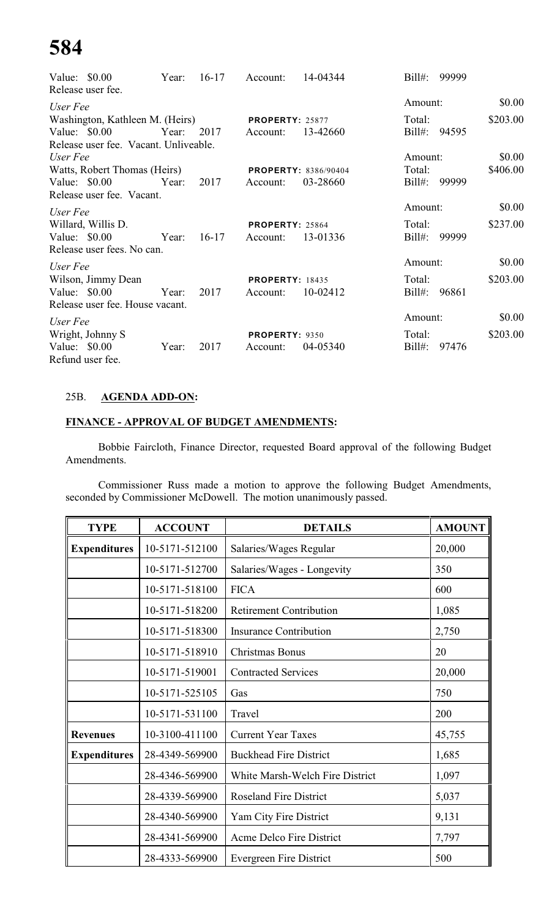| Value: $$0.00$ | Release user fee.                     | Year: | $16-17$ | Account:               | 14-04344                    | $Bill#$ : | 99999 |          |
|----------------|---------------------------------------|-------|---------|------------------------|-----------------------------|-----------|-------|----------|
| User Fee       |                                       |       |         |                        |                             | Amount:   |       | \$0.00   |
|                | Washington, Kathleen M. (Heirs)       |       |         | <b>PROPERTY: 25877</b> |                             | Total:    |       | \$203.00 |
| Value: \$0.00  |                                       | Year: | 2017    | Account:               | 13-42660                    | Bill#:    | 94595 |          |
|                | Release user fee. Vacant. Unliveable. |       |         |                        |                             |           |       |          |
| User Fee       |                                       |       |         |                        |                             | Amount:   |       | \$0.00   |
|                | Watts, Robert Thomas (Heirs)          |       |         |                        | <b>PROPERTY: 8386/90404</b> | Total:    |       | \$406.00 |
|                | Value: $$0.00$                        | Year: | 2017    | Account:               | 03-28660                    | Bill#:    | 99999 |          |
|                | Release user fee. Vacant.             |       |         |                        |                             |           |       |          |
| User Fee       |                                       |       |         |                        |                             | Amount:   |       | \$0.00   |
|                | Willard, Willis D.                    |       |         | <b>PROPERTY: 25864</b> |                             | Total:    |       | \$237.00 |
|                | Value: $$0.00$                        | Year: | $16-17$ | Account:               | 13-01336                    | $Bill#$ : | 99999 |          |
|                | Release user fees. No can.            |       |         |                        |                             |           |       |          |
| User Fee       |                                       |       |         |                        |                             | Amount:   |       | \$0.00   |
|                | Wilson, Jimmy Dean                    |       |         | <b>PROPERTY: 18435</b> |                             | Total:    |       | \$203.00 |
|                | Value: $$0.00$                        | Year: | 2017    | Account:               | 10-02412                    | $Bill#$ : | 96861 |          |
|                | Release user fee. House vacant.       |       |         |                        |                             |           |       |          |
| User Fee       |                                       |       |         |                        |                             | Amount:   |       | \$0.00   |
|                | Wright, Johnny S                      |       |         | <b>PROPERTY: 9350</b>  |                             | Total:    |       | \$203.00 |
| Value: $$0.00$ |                                       | Year: | 2017    | Account:               | 04-05340                    | $Bill#$ : | 97476 |          |
|                | Refund user fee.                      |       |         |                        |                             |           |       |          |

# 25B. **AGENDA ADD-ON:**

# **FINANCE - APPROVAL OF BUDGET AMENDMENTS:**

Bobbie Faircloth, Finance Director, requested Board approval of the following Budget Amendments.

Commissioner Russ made a motion to approve the following Budget Amendments, seconded by Commissioner McDowell. The motion unanimously passed.

| <b>TYPE</b>         | <b>ACCOUNT</b> | <b>DETAILS</b>                  | <b>AMOUNT</b> |
|---------------------|----------------|---------------------------------|---------------|
| <b>Expenditures</b> | 10-5171-512100 | Salaries/Wages Regular          | 20,000        |
|                     | 10-5171-512700 | Salaries/Wages - Longevity      | 350           |
|                     | 10-5171-518100 | <b>FICA</b>                     | 600           |
|                     | 10-5171-518200 | <b>Retirement Contribution</b>  | 1,085         |
|                     | 10-5171-518300 | <b>Insurance Contribution</b>   | 2,750         |
|                     | 10-5171-518910 | Christmas Bonus                 | 20            |
|                     | 10-5171-519001 | <b>Contracted Services</b>      | 20,000        |
|                     | 10-5171-525105 | Gas                             | 750           |
|                     | 10-5171-531100 | Travel                          | 200           |
| <b>Revenues</b>     | 10-3100-411100 | <b>Current Year Taxes</b>       | 45,755        |
| <b>Expenditures</b> | 28-4349-569900 | <b>Buckhead Fire District</b>   | 1,685         |
|                     | 28-4346-569900 | White Marsh-Welch Fire District | 1,097         |
|                     | 28-4339-569900 | <b>Roseland Fire District</b>   | 5,037         |
|                     | 28-4340-569900 | Yam City Fire District          | 9,131         |
|                     | 28-4341-569900 | Acme Delco Fire District        | 7,797         |
|                     | 28-4333-569900 | <b>Evergreen Fire District</b>  | 500           |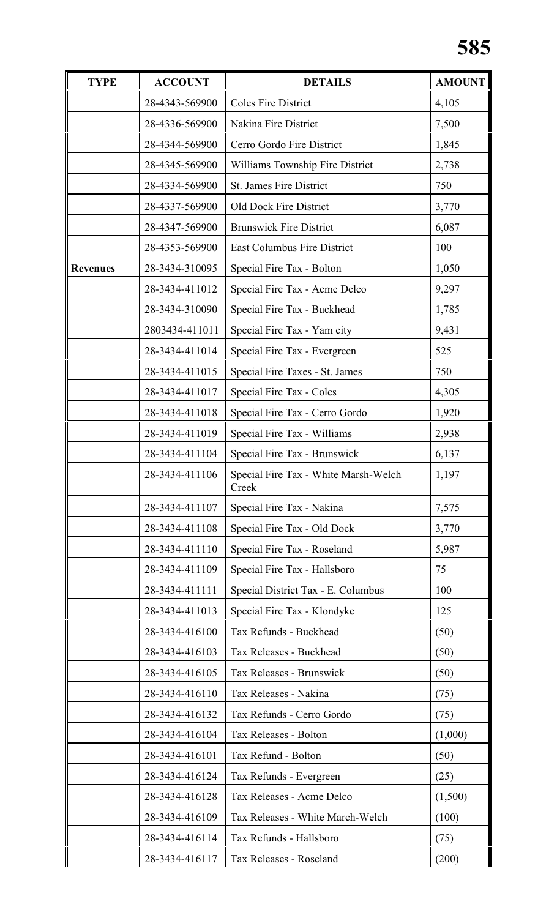| <b>TYPE</b>                               | <b>ACCOUNT</b> | <b>DETAILS</b>                                                                                       | <b>AMOUNT</b> |
|-------------------------------------------|----------------|------------------------------------------------------------------------------------------------------|---------------|
|                                           | 28-4343-569900 | <b>Coles Fire District</b>                                                                           | 4,105         |
|                                           | 28-4336-569900 | Nakina Fire District<br>7,500<br>Cerro Gordo Fire District<br>1,845                                  |               |
|                                           | 28-4344-569900 |                                                                                                      |               |
|                                           | 28-4345-569900 | Williams Township Fire District                                                                      | 2,738         |
|                                           | 28-4334-569900 | St. James Fire District                                                                              | 750           |
|                                           | 28-4337-569900 | Old Dock Fire District                                                                               | 3,770         |
|                                           | 28-4347-569900 | <b>Brunswick Fire District</b>                                                                       | 6,087         |
|                                           | 28-4353-569900 | <b>East Columbus Fire District</b>                                                                   | 100           |
| <b>Revenues</b>                           | 28-3434-310095 | Special Fire Tax - Bolton                                                                            | 1,050         |
|                                           | 28-3434-411012 | Special Fire Tax - Acme Delco                                                                        | 9,297         |
|                                           | 28-3434-310090 | Special Fire Tax - Buckhead                                                                          | 1,785         |
|                                           | 2803434-411011 | Special Fire Tax - Yam city                                                                          | 9,431         |
|                                           | 28-3434-411014 | Special Fire Tax - Evergreen                                                                         | 525           |
|                                           | 28-3434-411015 | Special Fire Taxes - St. James                                                                       | 750           |
|                                           | 28-3434-411017 | Special Fire Tax - Coles                                                                             | 4,305         |
|                                           | 28-3434-411018 | Special Fire Tax - Cerro Gordo                                                                       | 1,920         |
|                                           | 28-3434-411019 | Special Fire Tax - Williams                                                                          | 2,938         |
|                                           | 28-3434-411104 | Special Fire Tax - Brunswick                                                                         | 6,137         |
|                                           | 28-3434-411106 | Special Fire Tax - White Marsh-Welch<br>Creek                                                        | 1,197         |
|                                           | 28-3434-411107 | Special Fire Tax - Nakina                                                                            | 7,575         |
|                                           | 28-3434-411108 | Special Fire Tax - Old Dock                                                                          | 3,770         |
|                                           | 28-3434-411110 | Special Fire Tax - Roseland                                                                          | 5,987         |
|                                           | 28-3434-411109 | Special Fire Tax - Hallsboro                                                                         | 75            |
|                                           | 28-3434-411111 | Special District Tax - E. Columbus                                                                   | 100           |
|                                           | 28-3434-411013 | Special Fire Tax - Klondyke                                                                          | 125           |
|                                           | 28-3434-416100 | Tax Refunds - Buckhead                                                                               | (50)          |
|                                           | 28-3434-416103 | Tax Releases - Buckhead                                                                              | (50)          |
|                                           | 28-3434-416105 | Tax Releases - Brunswick                                                                             | (50)          |
|                                           | 28-3434-416110 | Tax Releases - Nakina                                                                                | (75)          |
|                                           | 28-3434-416132 | Tax Refunds - Cerro Gordo<br>(75)<br>Tax Releases - Bolton<br>(1,000)<br>Tax Refund - Bolton<br>(50) |               |
|                                           | 28-3434-416104 |                                                                                                      |               |
|                                           | 28-3434-416101 |                                                                                                      |               |
|                                           | 28-3434-416124 | Tax Refunds - Evergreen                                                                              | (25)          |
|                                           | 28-3434-416128 | Tax Releases - Acme Delco                                                                            | (1,500)       |
|                                           | 28-3434-416109 | Tax Releases - White March-Welch                                                                     | (100)         |
|                                           | 28-3434-416114 | Tax Refunds - Hallsboro                                                                              | (75)          |
| 28-3434-416117<br>Tax Releases - Roseland | (200)          |                                                                                                      |               |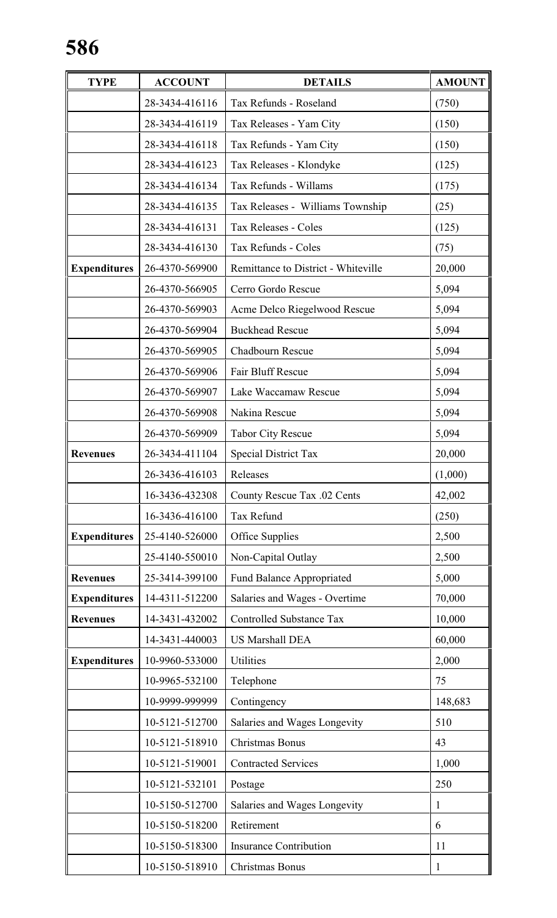| <b>TYPE</b>         | <b>ACCOUNT</b> | <b>DETAILS</b>                      | <b>AMOUNT</b> |
|---------------------|----------------|-------------------------------------|---------------|
|                     | 28-3434-416116 | Tax Refunds - Roseland              | (750)         |
|                     | 28-3434-416119 | Tax Releases - Yam City             | (150)         |
|                     | 28-3434-416118 | Tax Refunds - Yam City              | (150)         |
|                     | 28-3434-416123 | Tax Releases - Klondyke             | (125)         |
|                     | 28-3434-416134 | Tax Refunds - Willams               | (175)         |
|                     | 28-3434-416135 | Tax Releases - Williams Township    | (25)          |
|                     | 28-3434-416131 | Tax Releases - Coles                | (125)         |
|                     | 28-3434-416130 | Tax Refunds - Coles                 | (75)          |
| <b>Expenditures</b> | 26-4370-569900 | Remittance to District - Whiteville | 20,000        |
|                     | 26-4370-566905 | Cerro Gordo Rescue                  | 5,094         |
|                     | 26-4370-569903 | Acme Delco Riegelwood Rescue        | 5,094         |
|                     | 26-4370-569904 | <b>Buckhead Rescue</b>              | 5,094         |
|                     | 26-4370-569905 | Chadbourn Rescue                    | 5,094         |
|                     | 26-4370-569906 | Fair Bluff Rescue                   | 5,094         |
|                     | 26-4370-569907 | Lake Waccamaw Rescue                | 5,094         |
|                     | 26-4370-569908 | Nakina Rescue                       | 5,094         |
|                     | 26-4370-569909 | <b>Tabor City Rescue</b>            | 5,094         |
| <b>Revenues</b>     | 26-3434-411104 | <b>Special District Tax</b>         | 20,000        |
|                     | 26-3436-416103 | Releases                            | (1,000)       |
|                     | 16-3436-432308 | County Rescue Tax .02 Cents         | 42,002        |
|                     | 16-3436-416100 | Tax Refund                          | (250)         |
| <b>Expenditures</b> | 25-4140-526000 | Office Supplies                     | 2,500         |
|                     | 25-4140-550010 | Non-Capital Outlay                  | 2,500         |
| <b>Revenues</b>     | 25-3414-399100 | <b>Fund Balance Appropriated</b>    | 5,000         |
| <b>Expenditures</b> | 14-4311-512200 | Salaries and Wages - Overtime       | 70,000        |
| <b>Revenues</b>     | 14-3431-432002 | <b>Controlled Substance Tax</b>     | 10,000        |
|                     | 14-3431-440003 | <b>US Marshall DEA</b>              | 60,000        |
| <b>Expenditures</b> | 10-9960-533000 | Utilities                           | 2,000         |
|                     | 10-9965-532100 | Telephone                           | 75            |
|                     | 10-9999-999999 | Contingency                         | 148,683       |
|                     | 10-5121-512700 | Salaries and Wages Longevity        | 510           |
|                     | 10-5121-518910 | Christmas Bonus                     | 43            |
|                     | 10-5121-519001 | <b>Contracted Services</b>          | 1,000         |
|                     | 10-5121-532101 | Postage                             | 250           |
|                     | 10-5150-512700 | Salaries and Wages Longevity        | 1             |
|                     | 10-5150-518200 | Retirement                          | 6             |
|                     | 10-5150-518300 | <b>Insurance Contribution</b>       | 11            |
|                     | 10-5150-518910 | Christmas Bonus                     | 1             |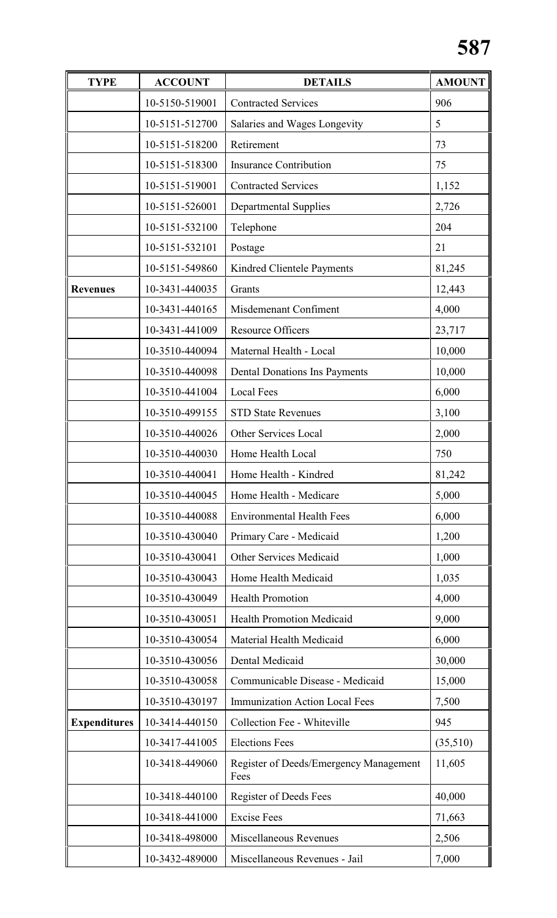| <b>TYPE</b>            | <b>ACCOUNT</b>                         | <b>DETAILS</b>                        | <b>AMOUNT</b> |
|------------------------|----------------------------------------|---------------------------------------|---------------|
|                        | 10-5150-519001                         | <b>Contracted Services</b>            | 906           |
|                        | 10-5151-512700                         | Salaries and Wages Longevity          | 5             |
|                        | 10-5151-518200<br>Retirement           |                                       | 73            |
|                        | 10-5151-518300                         | <b>Insurance Contribution</b>         | 75            |
|                        | 10-5151-519001                         | <b>Contracted Services</b>            | 1,152         |
|                        | 10-5151-526001                         | <b>Departmental Supplies</b>          | 2,726         |
|                        | 10-5151-532100                         | Telephone                             | 204           |
|                        | 10-5151-532101                         | Postage                               | 21            |
|                        | 10-5151-549860                         | Kindred Clientele Payments            | 81,245        |
| <b>Revenues</b>        | 10-3431-440035                         | Grants                                | 12,443        |
|                        | 10-3431-440165                         | Misdemenant Confiment                 | 4,000         |
|                        | 10-3431-441009                         | <b>Resource Officers</b>              | 23,717        |
|                        | 10-3510-440094                         | Maternal Health - Local               | 10,000        |
|                        | 10-3510-440098                         | <b>Dental Donations Ins Payments</b>  | 10,000        |
|                        | 10-3510-441004                         | <b>Local Fees</b>                     | 6,000         |
|                        | 10-3510-499155                         | <b>STD State Revenues</b>             | 3,100         |
|                        | 10-3510-440026                         | <b>Other Services Local</b>           | 2,000         |
|                        | 10-3510-440030                         | Home Health Local                     | 750           |
|                        | 10-3510-440041                         | Home Health - Kindred                 | 81,242        |
|                        | 10-3510-440045                         | Home Health - Medicare                | 5,000         |
|                        | 10-3510-440088                         | <b>Environmental Health Fees</b>      | 6,000         |
|                        | 10-3510-430040                         | Primary Care - Medicaid               | 1,200         |
|                        | 10-3510-430041                         | Other Services Medicaid               | 1,000         |
|                        | 10-3510-430043                         | Home Health Medicaid                  | 1,035         |
|                        | 10-3510-430049                         | <b>Health Promotion</b>               | 4,000         |
|                        | 10-3510-430051                         | <b>Health Promotion Medicaid</b>      | 9,000         |
|                        | 10-3510-430054                         | Material Health Medicaid              | 6,000         |
|                        | 10-3510-430056                         | Dental Medicaid                       | 30,000        |
|                        | 10-3510-430058                         | Communicable Disease - Medicaid       | 15,000        |
|                        | 10-3510-430197                         | <b>Immunization Action Local Fees</b> | 7,500         |
| <b>Expenditures</b>    | 10-3414-440150                         | Collection Fee - Whiteville           | 945           |
|                        | 10-3417-441005                         | <b>Elections Fees</b>                 | (35,510)      |
| 10-3418-449060<br>Fees | Register of Deeds/Emergency Management | 11,605                                |               |
|                        | 10-3418-440100                         | Register of Deeds Fees                | 40,000        |
| 10-3418-441000         |                                        | <b>Excise Fees</b>                    | 71,663        |
|                        | 10-3418-498000                         | Miscellaneous Revenues                | 2,506         |
|                        | 10-3432-489000                         | Miscellaneous Revenues - Jail         | 7,000         |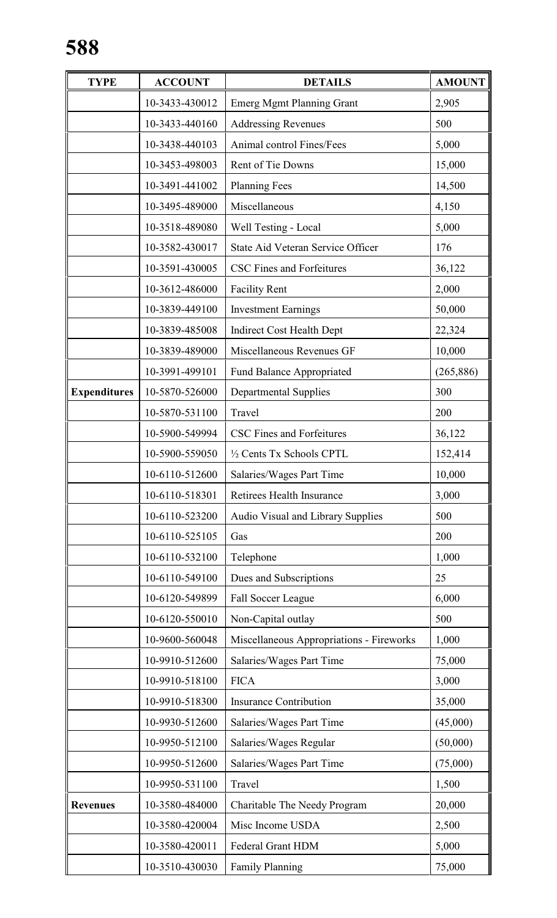| <b>TYPE</b>         | <b>ACCOUNT</b> | <b>DETAILS</b>                           | <b>AMOUNT</b> |
|---------------------|----------------|------------------------------------------|---------------|
|                     | 10-3433-430012 | <b>Emerg Mgmt Planning Grant</b>         | 2,905         |
|                     | 10-3433-440160 | <b>Addressing Revenues</b>               | 500           |
|                     | 10-3438-440103 | Animal control Fines/Fees                | 5,000         |
|                     | 10-3453-498003 | Rent of Tie Downs                        | 15,000        |
|                     | 10-3491-441002 | <b>Planning Fees</b>                     | 14,500        |
|                     | 10-3495-489000 | Miscellaneous                            | 4,150         |
|                     | 10-3518-489080 | Well Testing - Local                     | 5,000         |
|                     | 10-3582-430017 | State Aid Veteran Service Officer        | 176           |
|                     | 10-3591-430005 | <b>CSC Fines and Forfeitures</b>         | 36,122        |
|                     | 10-3612-486000 | <b>Facility Rent</b>                     | 2,000         |
|                     | 10-3839-449100 | <b>Investment Earnings</b>               | 50,000        |
|                     | 10-3839-485008 | <b>Indirect Cost Health Dept</b>         | 22,324        |
|                     | 10-3839-489000 | Miscellaneous Revenues GF                | 10,000        |
|                     | 10-3991-499101 | <b>Fund Balance Appropriated</b>         | (265, 886)    |
| <b>Expenditures</b> | 10-5870-526000 | <b>Departmental Supplies</b>             | 300           |
|                     | 10-5870-531100 | Travel                                   | 200           |
|                     | 10-5900-549994 | CSC Fines and Forfeitures                | 36,122        |
|                     | 10-5900-559050 | 1/2 Cents Tx Schools CPTL                | 152,414       |
|                     | 10-6110-512600 | Salaries/Wages Part Time                 | 10,000        |
|                     | 10-6110-518301 | Retirees Health Insurance                | 3,000         |
|                     | 10-6110-523200 | Audio Visual and Library Supplies        | 500           |
|                     | 10-6110-525105 | Gas                                      | 200           |
|                     | 10-6110-532100 | Telephone                                | 1,000         |
|                     | 10-6110-549100 | Dues and Subscriptions<br>25             |               |
|                     | 10-6120-549899 | Fall Soccer League                       | 6,000         |
|                     | 10-6120-550010 | Non-Capital outlay                       | 500           |
|                     | 10-9600-560048 | Miscellaneous Appropriations - Fireworks | 1,000         |
|                     | 10-9910-512600 | Salaries/Wages Part Time                 | 75,000        |
|                     | 10-9910-518100 | <b>FICA</b>                              | 3,000         |
|                     | 10-9910-518300 | <b>Insurance Contribution</b>            | 35,000        |
|                     | 10-9930-512600 | Salaries/Wages Part Time                 |               |
|                     | 10-9950-512100 | Salaries/Wages Regular                   | (50,000)      |
|                     | 10-9950-512600 | Salaries/Wages Part Time                 | (75,000)      |
|                     | 10-9950-531100 | Travel                                   | 1,500         |
| <b>Revenues</b>     | 10-3580-484000 | Charitable The Needy Program             | 20,000        |
|                     | 10-3580-420004 | Misc Income USDA                         | 2,500         |
|                     | 10-3580-420011 | <b>Federal Grant HDM</b>                 | 5,000         |
|                     | 10-3510-430030 | <b>Family Planning</b>                   | 75,000        |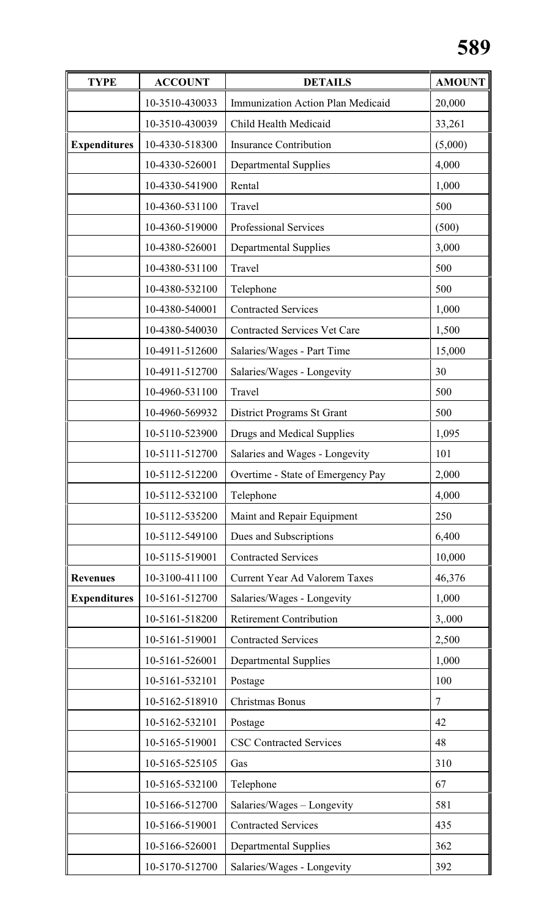| <b>TYPE</b>         | <b>ACCOUNT</b>                                  | <b>DETAILS</b>                                                      | <b>AMOUNT</b> |
|---------------------|-------------------------------------------------|---------------------------------------------------------------------|---------------|
|                     | 10-3510-430033                                  | Immunization Action Plan Medicaid                                   | 20,000        |
|                     | 10-3510-430039                                  | Child Health Medicaid                                               | 33,261        |
| <b>Expenditures</b> | 10-4330-518300<br><b>Insurance Contribution</b> |                                                                     | (5,000)       |
|                     | 10-4330-526001                                  | <b>Departmental Supplies</b>                                        | 4,000         |
|                     | 10-4330-541900                                  | Rental                                                              | 1,000         |
|                     | 10-4360-531100                                  | Travel                                                              | 500           |
|                     | 10-4360-519000                                  | <b>Professional Services</b>                                        | (500)         |
|                     | 10-4380-526001                                  | Departmental Supplies                                               | 3,000         |
|                     | 10-4380-531100                                  | Travel                                                              | 500           |
|                     | 10-4380-532100                                  | Telephone                                                           | 500           |
|                     | 10-4380-540001                                  | <b>Contracted Services</b>                                          | 1,000         |
|                     | 10-4380-540030                                  | <b>Contracted Services Vet Care</b>                                 | 1,500         |
|                     | 10-4911-512600                                  | Salaries/Wages - Part Time                                          | 15,000        |
|                     | 10-4911-512700                                  | Salaries/Wages - Longevity                                          | 30            |
|                     | 10-4960-531100                                  | Travel                                                              | 500           |
|                     | 10-4960-569932                                  | District Programs St Grant                                          | 500           |
|                     | 10-5110-523900                                  | Drugs and Medical Supplies                                          | 1,095         |
|                     | 10-5111-512700                                  | Salaries and Wages - Longevity<br>Overtime - State of Emergency Pay |               |
|                     | 10-5112-512200                                  |                                                                     |               |
|                     | 10-5112-532100                                  | Telephone                                                           | 4,000         |
|                     | 10-5112-535200                                  | Maint and Repair Equipment                                          | 250           |
|                     | 10-5112-549100                                  | Dues and Subscriptions                                              | 6,400         |
|                     | 10-5115-519001                                  | <b>Contracted Services</b>                                          | 10,000        |
| <b>Revenues</b>     | 10-3100-411100                                  | <b>Current Year Ad Valorem Taxes</b>                                | 46,376        |
| <b>Expenditures</b> | 10-5161-512700                                  | Salaries/Wages - Longevity                                          | 1,000         |
|                     | 10-5161-518200                                  | <b>Retirement Contribution</b>                                      | 3,.000        |
|                     | 10-5161-519001                                  | <b>Contracted Services</b>                                          | 2,500         |
|                     | 10-5161-526001                                  | <b>Departmental Supplies</b>                                        | 1,000         |
|                     | 10-5161-532101                                  | Postage                                                             | 100           |
|                     | 10-5162-518910                                  | Christmas Bonus                                                     | $\tau$        |
|                     | 10-5162-532101                                  | 42<br>Postage                                                       |               |
|                     | 10-5165-519001                                  | <b>CSC Contracted Services</b>                                      | 48            |
|                     | 10-5165-525105                                  | Gas                                                                 | 310           |
|                     | 10-5165-532100                                  | Telephone                                                           | 67            |
|                     | 10-5166-512700                                  | Salaries/Wages - Longevity                                          | 581           |
|                     | 10-5166-519001                                  | <b>Contracted Services</b>                                          | 435           |
|                     | 10-5166-526001                                  | <b>Departmental Supplies</b>                                        | 362           |
|                     | 10-5170-512700                                  | Salaries/Wages - Longevity                                          | 392           |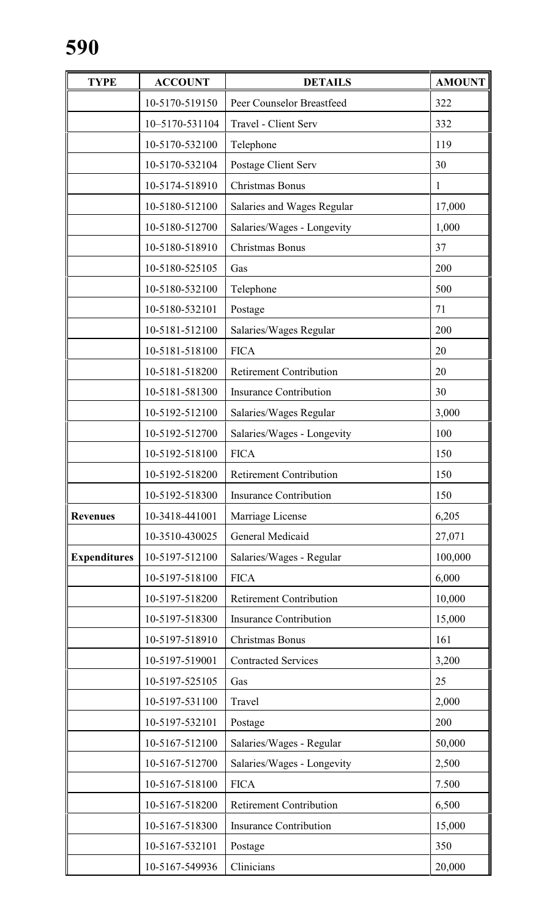| <b>TYPE</b>         | <b>ACCOUNT</b>                                                                           | <b>DETAILS</b>                 | <b>AMOUNT</b> |
|---------------------|------------------------------------------------------------------------------------------|--------------------------------|---------------|
|                     | 10-5170-519150                                                                           | Peer Counselor Breastfeed      | 322           |
|                     | 10-5170-531104                                                                           | <b>Travel - Client Serv</b>    | 332           |
|                     | 10-5170-532100                                                                           | Telephone                      | 119           |
|                     | 10-5170-532104                                                                           | Postage Client Serv            | 30            |
|                     | 10-5174-518910                                                                           | Christmas Bonus                | 1             |
|                     | 10-5180-512100                                                                           | Salaries and Wages Regular     | 17,000        |
|                     | 10-5180-512700                                                                           | Salaries/Wages - Longevity     | 1,000         |
|                     | 10-5180-518910                                                                           | Christmas Bonus                | 37            |
|                     | 10-5180-525105                                                                           | Gas                            | 200           |
|                     | 10-5180-532100                                                                           | Telephone                      | 500           |
|                     | 10-5180-532101                                                                           | Postage                        | 71            |
|                     | 10-5181-512100                                                                           | Salaries/Wages Regular         | 200           |
|                     | 10-5181-518100                                                                           | <b>FICA</b>                    | 20            |
|                     | 10-5181-518200                                                                           | <b>Retirement Contribution</b> | 20            |
|                     | 10-5181-581300                                                                           | <b>Insurance Contribution</b>  | 30            |
|                     | 10-5192-512100<br>Salaries/Wages Regular<br>10-5192-512700<br>Salaries/Wages - Longevity |                                | 3,000         |
|                     |                                                                                          |                                | 100           |
|                     | 10-5192-518100                                                                           | <b>FICA</b>                    | 150           |
|                     | 10-5192-518200                                                                           | <b>Retirement Contribution</b> | 150           |
|                     | 10-5192-518300                                                                           | <b>Insurance Contribution</b>  | 150           |
| <b>Revenues</b>     | 10-3418-441001                                                                           | Marriage License               | 6,205         |
|                     | 10-3510-430025                                                                           | General Medicaid               | 27,071        |
| <b>Expenditures</b> | 10-5197-512100                                                                           | Salaries/Wages - Regular       | 100,000       |
|                     | 10-5197-518100                                                                           | <b>FICA</b>                    | 6,000         |
|                     | 10-5197-518200                                                                           | <b>Retirement Contribution</b> | 10,000        |
|                     | 10-5197-518300                                                                           | <b>Insurance Contribution</b>  | 15,000        |
|                     | 10-5197-518910                                                                           | Christmas Bonus                | 161           |
|                     | 10-5197-519001                                                                           | <b>Contracted Services</b>     | 3,200         |
|                     | 10-5197-525105                                                                           | Gas                            | 25            |
|                     | 10-5197-531100                                                                           | Travel                         | 2,000         |
|                     | 10-5197-532101                                                                           | Postage                        | 200           |
|                     | 10-5167-512100                                                                           | Salaries/Wages - Regular       | 50,000        |
|                     | 10-5167-512700                                                                           | Salaries/Wages - Longevity     | 2,500         |
|                     | 10-5167-518100                                                                           | <b>FICA</b>                    | 7.500         |
|                     | 10-5167-518200                                                                           | <b>Retirement Contribution</b> | 6,500         |
|                     | 10-5167-518300                                                                           | <b>Insurance Contribution</b>  | 15,000        |
|                     | 10-5167-532101                                                                           | Postage                        | 350           |
|                     | 10-5167-549936                                                                           | Clinicians                     | 20,000        |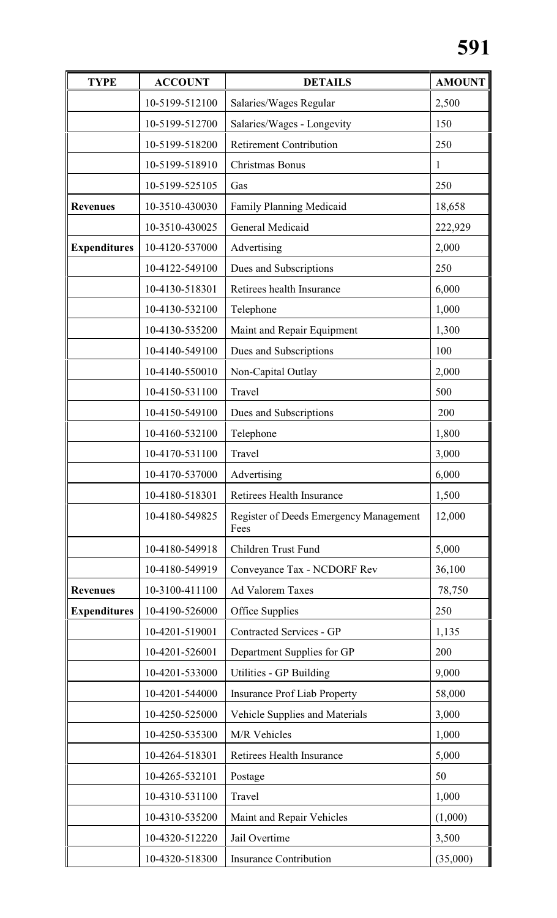| <b>TYPE</b>         | <b>ACCOUNT</b> | <b>DETAILS</b>                                        | <b>AMOUNT</b> |
|---------------------|----------------|-------------------------------------------------------|---------------|
|                     | 10-5199-512100 | Salaries/Wages Regular                                | 2,500         |
|                     | 10-5199-512700 | Salaries/Wages - Longevity                            | 150           |
|                     | 10-5199-518200 | <b>Retirement Contribution</b>                        | 250           |
|                     | 10-5199-518910 | Christmas Bonus                                       | 1             |
|                     | 10-5199-525105 | Gas                                                   | 250           |
| <b>Revenues</b>     | 10-3510-430030 | <b>Family Planning Medicaid</b>                       | 18,658        |
|                     | 10-3510-430025 | General Medicaid                                      | 222,929       |
| <b>Expenditures</b> | 10-4120-537000 | Advertising                                           | 2,000         |
|                     | 10-4122-549100 | Dues and Subscriptions                                | 250           |
|                     | 10-4130-518301 | Retirees health Insurance                             | 6,000         |
|                     | 10-4130-532100 | Telephone                                             | 1,000         |
|                     | 10-4130-535200 | Maint and Repair Equipment                            | 1,300         |
|                     | 10-4140-549100 | Dues and Subscriptions                                | 100           |
|                     | 10-4140-550010 | Non-Capital Outlay                                    | 2,000         |
|                     | 10-4150-531100 | Travel                                                | 500           |
|                     | 10-4150-549100 | Dues and Subscriptions                                | 200           |
|                     | 10-4160-532100 | Telephone                                             | 1,800         |
|                     | 10-4170-531100 | Travel                                                | 3,000         |
|                     | 10-4170-537000 | Advertising                                           | 6,000         |
|                     | 10-4180-518301 | Retirees Health Insurance                             | 1,500         |
|                     | 10-4180-549825 | <b>Register of Deeds Emergency Management</b><br>Fees | 12,000        |
|                     | 10-4180-549918 | <b>Children Trust Fund</b>                            | 5,000         |
|                     | 10-4180-549919 | Conveyance Tax - NCDORF Rev                           | 36,100        |
| <b>Revenues</b>     | 10-3100-411100 | <b>Ad Valorem Taxes</b>                               | 78,750        |
| <b>Expenditures</b> | 10-4190-526000 | Office Supplies                                       | 250           |
|                     | 10-4201-519001 | <b>Contracted Services - GP</b>                       | 1,135         |
|                     | 10-4201-526001 | Department Supplies for GP                            | 200           |
|                     | 10-4201-533000 | Utilities - GP Building                               | 9,000         |
|                     | 10-4201-544000 | <b>Insurance Prof Liab Property</b>                   | 58,000        |
|                     | 10-4250-525000 | Vehicle Supplies and Materials                        | 3,000         |
|                     | 10-4250-535300 | M/R Vehicles                                          | 1,000         |
|                     | 10-4264-518301 | Retirees Health Insurance                             | 5,000         |
|                     | 10-4265-532101 | Postage                                               | 50            |
|                     | 10-4310-531100 | Travel                                                | 1,000         |
|                     | 10-4310-535200 | Maint and Repair Vehicles                             | (1,000)       |
|                     | 10-4320-512220 | Jail Overtime                                         | 3,500         |
|                     | 10-4320-518300 | <b>Insurance Contribution</b>                         | (35,000)      |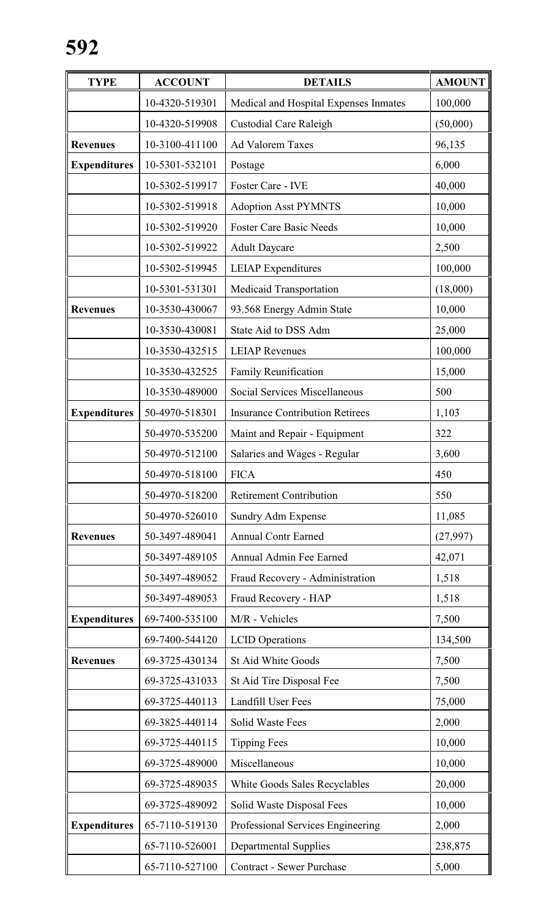| <b>TYPE</b>         | <b>ACCOUNT</b> | <b>DETAILS</b>                         | <b>AMOUNT</b> |
|---------------------|----------------|----------------------------------------|---------------|
|                     | 10-4320-519301 | Medical and Hospital Expenses Inmates  | 100,000       |
|                     | 10-4320-519908 | <b>Custodial Care Raleigh</b>          | (50,000)      |
| <b>Revenues</b>     | 10-3100-411100 | <b>Ad Valorem Taxes</b>                | 96,135        |
| <b>Expenditures</b> | 10-5301-532101 | Postage                                | 6,000         |
|                     | 10-5302-519917 | Foster Care - IVE                      | 40,000        |
|                     | 10-5302-519918 | <b>Adoption Asst PYMNTS</b>            | 10,000        |
|                     | 10-5302-519920 | <b>Foster Care Basic Needs</b>         | 10,000        |
|                     | 10-5302-519922 | <b>Adult Daycare</b>                   | 2,500         |
|                     | 10-5302-519945 | <b>LEIAP</b> Expenditures              | 100,000       |
|                     | 10-5301-531301 | Medicaid Transportation                | (18,000)      |
| <b>Revenues</b>     | 10-3530-430067 | 93.568 Energy Admin State              | 10,000        |
|                     | 10-3530-430081 | State Aid to DSS Adm                   | 25,000        |
|                     | 10-3530-432515 | <b>LEIAP</b> Revenues                  | 100,000       |
|                     | 10-3530-432525 | Family Reunification                   | 15,000        |
|                     | 10-3530-489000 | Social Services Miscellaneous          | 500           |
| <b>Expenditures</b> | 50-4970-518301 | <b>Insurance Contribution Retirees</b> | 1,103         |
|                     | 50-4970-535200 | Maint and Repair - Equipment           | 322           |
|                     | 50-4970-512100 | Salaries and Wages - Regular           | 3,600         |
|                     | 50-4970-518100 | <b>FICA</b>                            | 450           |
|                     | 50-4970-518200 | <b>Retirement Contribution</b>         | 550           |
|                     | 50-4970-526010 | Sundry Adm Expense                     | 11,085        |
| <b>Revenues</b>     | 50-3497-489041 | <b>Annual Contr Earned</b>             | (27,997)      |
|                     | 50-3497-489105 | Annual Admin Fee Earned                | 42,071        |
|                     | 50-3497-489052 | Fraud Recovery - Administration        | 1,518         |
|                     | 50-3497-489053 | Fraud Recovery - HAP                   | 1,518         |
| <b>Expenditures</b> | 69-7400-535100 | M/R - Vehicles                         | 7,500         |
|                     | 69-7400-544120 | <b>LCID</b> Operations                 | 134,500       |
| <b>Revenues</b>     | 69-3725-430134 | St Aid White Goods                     | 7,500         |
|                     | 69-3725-431033 | St Aid Tire Disposal Fee               | 7,500         |
|                     | 69-3725-440113 | Landfill User Fees                     | 75,000        |
|                     | 69-3825-440114 | <b>Solid Waste Fees</b>                | 2,000         |
|                     | 69-3725-440115 | <b>Tipping Fees</b>                    | 10,000        |
|                     | 69-3725-489000 | Miscellaneous                          | 10,000        |
|                     | 69-3725-489035 | White Goods Sales Recyclables          | 20,000        |
|                     | 69-3725-489092 | Solid Waste Disposal Fees              | 10,000        |
| <b>Expenditures</b> | 65-7110-519130 | Professional Services Engineering      | 2,000         |
|                     | 65-7110-526001 | <b>Departmental Supplies</b>           | 238,875       |
|                     | 65-7110-527100 | <b>Contract - Sewer Purchase</b>       | 5,000         |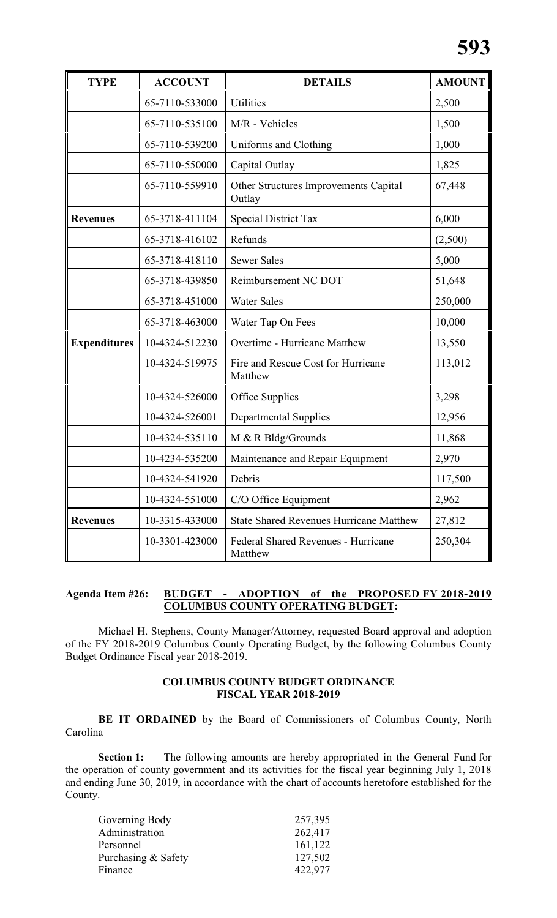| <b>TYPE</b>         | <b>ACCOUNT</b> | <b>DETAILS</b>                                  | <b>AMOUNT</b> |
|---------------------|----------------|-------------------------------------------------|---------------|
|                     | 65-7110-533000 | Utilities                                       | 2,500         |
|                     | 65-7110-535100 | M/R - Vehicles                                  | 1,500         |
|                     | 65-7110-539200 | Uniforms and Clothing                           | 1,000         |
|                     | 65-7110-550000 | Capital Outlay                                  | 1,825         |
|                     | 65-7110-559910 | Other Structures Improvements Capital<br>Outlay | 67,448        |
| <b>Revenues</b>     | 65-3718-411104 | Special District Tax                            | 6,000         |
|                     | 65-3718-416102 | Refunds                                         | (2,500)       |
|                     | 65-3718-418110 | <b>Sewer Sales</b>                              | 5,000         |
|                     | 65-3718-439850 | Reimbursement NC DOT                            | 51,648        |
|                     | 65-3718-451000 | <b>Water Sales</b>                              | 250,000       |
|                     | 65-3718-463000 | Water Tap On Fees                               | 10,000        |
| <b>Expenditures</b> | 10-4324-512230 | Overtime - Hurricane Matthew                    | 13,550        |
|                     | 10-4324-519975 | Fire and Rescue Cost for Hurricane<br>Matthew   | 113,012       |
|                     | 10-4324-526000 | Office Supplies                                 | 3,298         |
|                     | 10-4324-526001 | <b>Departmental Supplies</b>                    | 12,956        |
|                     | 10-4324-535110 | M & R Bldg/Grounds                              | 11,868        |
|                     | 10-4234-535200 | Maintenance and Repair Equipment                | 2,970         |
|                     | 10-4324-541920 | Debris                                          | 117,500       |
|                     | 10-4324-551000 | C/O Office Equipment                            | 2,962         |
| <b>Revenues</b>     | 10-3315-433000 | <b>State Shared Revenues Hurricane Matthew</b>  | 27,812        |
|                     | 10-3301-423000 | Federal Shared Revenues - Hurricane<br>Matthew  | 250,304       |

### **Agenda Item #26: BUDGET - ADOPTION of the PROPOSED FY 2018-2019 COLUMBUS COUNTY OPERATING BUDGET:**

Michael H. Stephens, County Manager/Attorney, requested Board approval and adoption of the FY 2018-2019 Columbus County Operating Budget, by the following Columbus County Budget Ordinance Fiscal year 2018-2019.

## **COLUMBUS COUNTY BUDGET ORDINANCE FISCAL YEAR 2018-2019**

**BE IT ORDAINED** by the Board of Commissioners of Columbus County, North Carolina

**Section 1:** The following amounts are hereby appropriated in the General Fund for the operation of county government and its activities for the fiscal year beginning July 1, 2018 and ending June 30, 2019, in accordance with the chart of accounts heretofore established for the County.

| Governing Body      | 257,395 |
|---------------------|---------|
| Administration      | 262,417 |
| Personnel           | 161,122 |
| Purchasing & Safety | 127,502 |
| Finance             | 422,977 |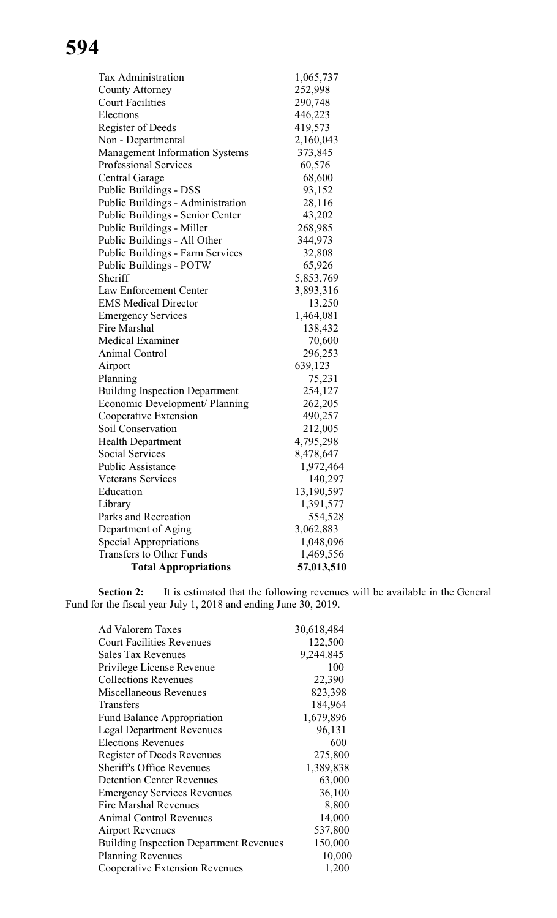| 1,065,737  |
|------------|
| 252,998    |
| 290,748    |
| 446,223    |
| 419,573    |
| 2,160,043  |
| 373,845    |
| 60,576     |
| 68,600     |
| 93,152     |
| 28,116     |
| 43,202     |
| 268,985    |
| 344,973    |
| 32,808     |
| 65,926     |
| 5,853,769  |
| 3,893,316  |
| 13,250     |
| 1,464,081  |
| 138,432    |
| 70,600     |
| 296,253    |
| 639,123    |
| 75,231     |
| 254,127    |
| 262,205    |
| 490,257    |
| 212,005    |
| 4,795,298  |
| 8,478,647  |
| 1,972,464  |
| 140,297    |
| 13,190,597 |
| 1,391,577  |
| 554,528    |
| 3,062,883  |
| 1,048,096  |
| 1,469,556  |
| 57,013,510 |
|            |

**Section 2:** It is estimated that the following revenues will be available in the General Fund for the fiscal year July 1, 2018 and ending June 30, 2019.

| Ad Valorem Taxes                               | 30,618,484 |
|------------------------------------------------|------------|
| <b>Court Facilities Revenues</b>               | 122,500    |
| <b>Sales Tax Revenues</b>                      | 9,244.845  |
| Privilege License Revenue                      | 100        |
| <b>Collections Revenues</b>                    | 22,390     |
| Miscellaneous Revenues                         | 823,398    |
| Transfers                                      | 184,964    |
| <b>Fund Balance Appropriation</b>              | 1,679,896  |
| <b>Legal Department Revenues</b>               | 96,131     |
| <b>Elections Revenues</b>                      | 600        |
| Register of Deeds Revenues                     | 275,800    |
| <b>Sheriff's Office Revenues</b>               | 1,389,838  |
| <b>Detention Center Revenues</b>               | 63,000     |
| <b>Emergency Services Revenues</b>             | 36,100     |
| <b>Fire Marshal Revenues</b>                   | 8,800      |
| <b>Animal Control Revenues</b>                 | 14,000     |
| <b>Airport Revenues</b>                        | 537,800    |
| <b>Building Inspection Department Revenues</b> | 150,000    |
| <b>Planning Revenues</b>                       | 10,000     |
| <b>Cooperative Extension Revenues</b>          | 1,200      |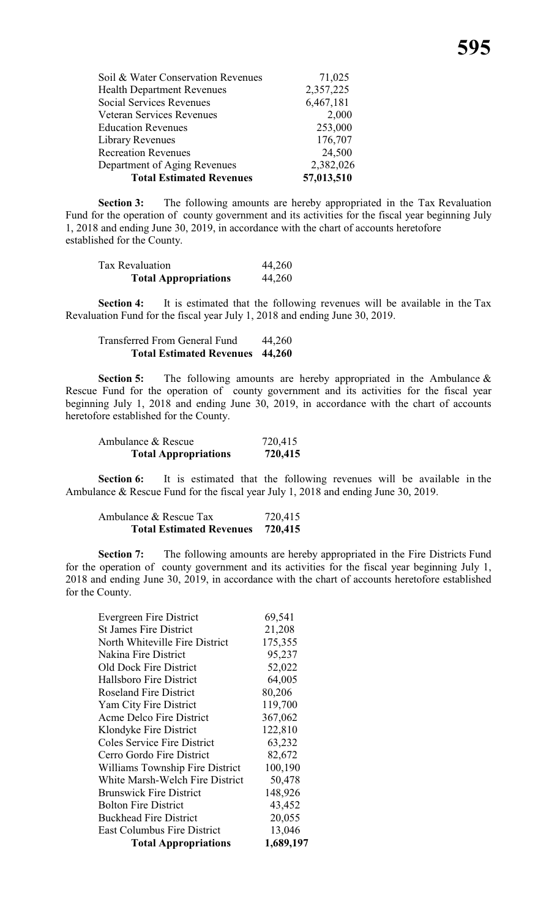| Soil & Water Conservation Revenues | 71,025     |
|------------------------------------|------------|
| <b>Health Department Revenues</b>  | 2,357,225  |
| <b>Social Services Revenues</b>    | 6,467,181  |
| <b>Veteran Services Revenues</b>   | 2,000      |
| <b>Education Revenues</b>          | 253,000    |
| Library Revenues                   | 176,707    |
| <b>Recreation Revenues</b>         | 24,500     |
| Department of Aging Revenues       | 2,382,026  |
| <b>Total Estimated Revenues</b>    | 57,013,510 |

**Section 3:** The following amounts are hereby appropriated in the Tax Revaluation Fund for the operation of county government and its activities for the fiscal year beginning July 1, 2018 and ending June 30, 2019, in accordance with the chart of accounts heretofore established for the County.

| Tax Revaluation             | 44,260 |
|-----------------------------|--------|
| <b>Total Appropriations</b> | 44,260 |

**Section 4:** It is estimated that the following revenues will be available in the Tax Revaluation Fund for the fiscal year July 1, 2018 and ending June 30, 2019.

Transferred From General Fund 44,260 **Total Estimated Revenues 44,260**

**Section 5:** The following amounts are hereby appropriated in the Ambulance  $\&$ Rescue Fund for the operation of county government and its activities for the fiscal year beginning July 1, 2018 and ending June 30, 2019, in accordance with the chart of accounts heretofore established for the County.

| <b>Total Appropriations</b> | 720,415 |
|-----------------------------|---------|
| Ambulance & Rescue          | 720,415 |

**Section 6:** It is estimated that the following revenues will be available in the Ambulance & Rescue Fund for the fiscal year July 1, 2018 and ending June 30, 2019.

| Ambulance & Rescue Tax          | 720,415 |
|---------------------------------|---------|
| <b>Total Estimated Revenues</b> | 720,415 |

**Section 7:** The following amounts are hereby appropriated in the Fire Districts Fund for the operation of county government and its activities for the fiscal year beginning July 1, 2018 and ending June 30, 2019, in accordance with the chart of accounts heretofore established for the County.

| <b>Total Appropriations</b>        | 1,689,197 |
|------------------------------------|-----------|
| <b>East Columbus Fire District</b> | 13,046    |
| <b>Buckhead Fire District</b>      | 20,055    |
| <b>Bolton Fire District</b>        | 43,452    |
| <b>Brunswick Fire District</b>     | 148,926   |
| White Marsh-Welch Fire District    | 50,478    |
| Williams Township Fire District    | 100,190   |
| Cerro Gordo Fire District          | 82,672    |
| <b>Coles Service Fire District</b> | 63,232    |
| Klondyke Fire District             | 122,810   |
| Acme Delco Fire District           | 367,062   |
| Yam City Fire District             | 119,700   |
| <b>Roseland Fire District</b>      | 80,206    |
| <b>Hallsboro Fire District</b>     | 64,005    |
| <b>Old Dock Fire District</b>      | 52,022    |
| Nakina Fire District               | 95,237    |
| North Whiteville Fire District     | 175,355   |
| <b>St James Fire District</b>      | 21,208    |
| <b>Evergreen Fire District</b>     | 69,541    |
|                                    |           |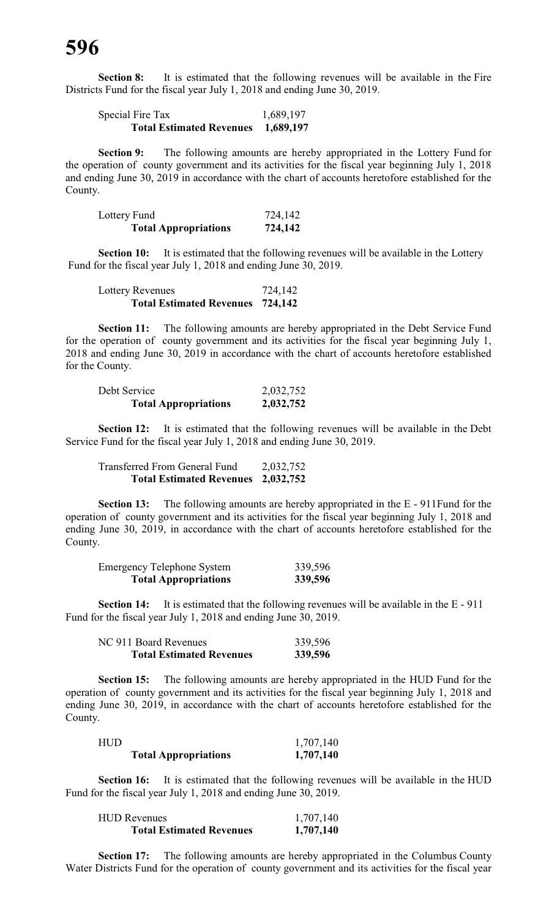**Section 8:** It is estimated that the following revenues will be available in the Fire Districts Fund for the fiscal year July 1, 2018 and ending June 30, 2019.

| Special Fire Tax                | 1,689,197 |
|---------------------------------|-----------|
| <b>Total Estimated Revenues</b> | 1,689,197 |

**Section 9:** The following amounts are hereby appropriated in the Lottery Fund for the operation of county government and its activities for the fiscal year beginning July 1, 2018 and ending June 30, 2019 in accordance with the chart of accounts heretofore established for the County.

| Lottery Fund                | 724,142 |
|-----------------------------|---------|
| <b>Total Appropriations</b> | 724,142 |

**Section 10:** It is estimated that the following revenues will be available in the Lottery Fund for the fiscal year July 1, 2018 and ending June 30, 2019.

| Lottery Revenues                        | 724,142 |
|-----------------------------------------|---------|
| <b>Total Estimated Revenues 724,142</b> |         |

**Section 11:** The following amounts are hereby appropriated in the Debt Service Fund for the operation of county government and its activities for the fiscal year beginning July 1, 2018 and ending June 30, 2019 in accordance with the chart of accounts heretofore established for the County.

| Debt Service                | 2,032,752 |
|-----------------------------|-----------|
| <b>Total Appropriations</b> | 2,032,752 |

**Section 12:** It is estimated that the following revenues will be available in the Debt Service Fund for the fiscal year July 1, 2018 and ending June 30, 2019.

Transferred From General Fund 2,032,752 **Total Estimated Revenues 2,032,752**

**Section 13:** The following amounts are hereby appropriated in the E - 911Fund for the operation of county government and its activities for the fiscal year beginning July 1, 2018 and ending June 30, 2019, in accordance with the chart of accounts heretofore established for the County.

| <b>Emergency Telephone System</b> | 339,596 |
|-----------------------------------|---------|
| <b>Total Appropriations</b>       | 339,596 |

**Section 14:** It is estimated that the following revenues will be available in the E - 911 Fund for the fiscal year July 1, 2018 and ending June 30, 2019.

| NC 911 Board Revenues           | 339,596 |
|---------------------------------|---------|
| <b>Total Estimated Revenues</b> | 339,596 |

**Section 15:** The following amounts are hereby appropriated in the HUD Fund for the operation of county government and its activities for the fiscal year beginning July 1, 2018 and ending June 30, 2019, in accordance with the chart of accounts heretofore established for the County.

| HUD |                             | 1,707,140 |
|-----|-----------------------------|-----------|
|     | <b>Total Appropriations</b> | 1,707,140 |

**Section 16:** It is estimated that the following revenues will be available in the HUD Fund for the fiscal year July 1, 2018 and ending June 30, 2019.

| <b>HUD Revenues</b>             | 1,707,140 |
|---------------------------------|-----------|
| <b>Total Estimated Revenues</b> | 1,707,140 |

**Section 17:** The following amounts are hereby appropriated in the Columbus County Water Districts Fund for the operation of county government and its activities for the fiscal year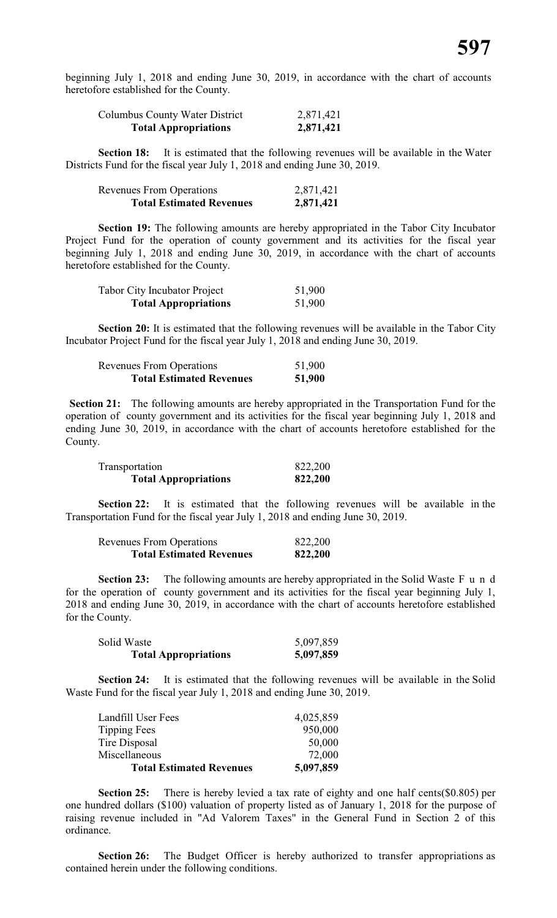beginning July 1, 2018 and ending June 30, 2019, in accordance with the chart of accounts heretofore established for the County.

| Columbus County Water District | 2,871,421 |
|--------------------------------|-----------|
| <b>Total Appropriations</b>    | 2,871,421 |

**Section 18:** It is estimated that the following revenues will be available in the Water Districts Fund for the fiscal year July 1, 2018 and ending June 30, 2019.

| <b>Revenues From Operations</b> | 2,871,421 |
|---------------------------------|-----------|
| <b>Total Estimated Revenues</b> | 2,871,421 |

**Section 19:** The following amounts are hereby appropriated in the Tabor City Incubator Project Fund for the operation of county government and its activities for the fiscal year beginning July 1, 2018 and ending June 30, 2019, in accordance with the chart of accounts heretofore established for the County.

| <b>Tabor City Incubator Project</b> | 51,900 |
|-------------------------------------|--------|
| <b>Total Appropriations</b>         | 51,900 |

**Section 20:** It is estimated that the following revenues will be available in the Tabor City Incubator Project Fund for the fiscal year July 1, 2018 and ending June 30, 2019.

| <b>Revenues From Operations</b> | 51,900 |
|---------------------------------|--------|
| <b>Total Estimated Revenues</b> | 51,900 |

**Section 21:** The following amounts are hereby appropriated in the Transportation Fund for the operation of county government and its activities for the fiscal year beginning July 1, 2018 and ending June 30, 2019, in accordance with the chart of accounts heretofore established for the County.

| Transportation              | 822,200 |
|-----------------------------|---------|
| <b>Total Appropriations</b> | 822,200 |

**Section 22:** It is estimated that the following revenues will be available in the Transportation Fund for the fiscal year July 1, 2018 and ending June 30, 2019.

| <b>Revenues From Operations</b> | 822,200 |
|---------------------------------|---------|
| <b>Total Estimated Revenues</b> | 822,200 |

**Section 23:** The following amounts are hereby appropriated in the Solid Waste F u n d for the operation of county government and its activities for the fiscal year beginning July 1, 2018 and ending June 30, 2019, in accordance with the chart of accounts heretofore established for the County.

| Solid Waste | 5,097,859 |
|-------------|-----------|

**Section 24:** It is estimated that the following revenues will be available in the Solid Waste Fund for the fiscal year July 1, 2018 and ending June 30, 2019.

| <b>Total Estimated Revenues</b> | 5,097,859 |
|---------------------------------|-----------|
| Miscellaneous                   | 72,000    |
| Tire Disposal                   | 50,000    |
| Tipping Fees                    | 950,000   |
| Landfill User Fees              | 4,025,859 |

**Section 25:** There is hereby levied a tax rate of eighty and one half cents(\$0.805) per one hundred dollars (\$100) valuation of property listed as of January 1, 2018 for the purpose of raising revenue included in "Ad Valorem Taxes" in the General Fund in Section 2 of this ordinance.

**Section 26:** The Budget Officer is hereby authorized to transfer appropriations as contained herein under the following conditions.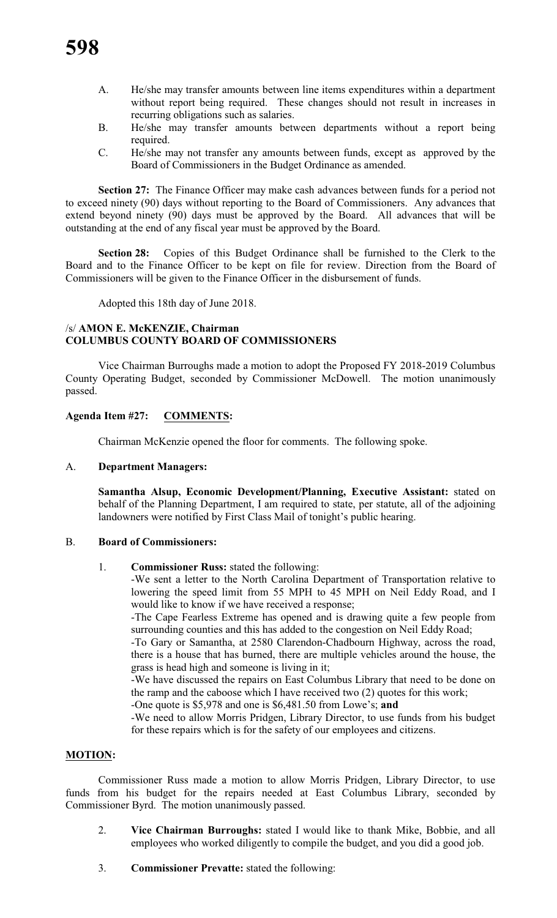- A. He/she may transfer amounts between line items expenditures within a department without report being required. These changes should not result in increases in recurring obligations such as salaries.
- B. He/she may transfer amounts between departments without a report being required.
- C. He/she may not transfer any amounts between funds, except as approved by the Board of Commissioners in the Budget Ordinance as amended.

**Section 27:** The Finance Officer may make cash advances between funds for a period not to exceed ninety (90) days without reporting to the Board of Commissioners. Any advances that extend beyond ninety (90) days must be approved by the Board. All advances that will be outstanding at the end of any fiscal year must be approved by the Board.

**Section 28:** Copies of this Budget Ordinance shall be furnished to the Clerk to the Board and to the Finance Officer to be kept on file for review. Direction from the Board of Commissioners will be given to the Finance Officer in the disbursement of funds.

Adopted this 18th day of June 2018.

#### /s/ **AMON E. McKENZIE, Chairman COLUMBUS COUNTY BOARD OF COMMISSIONERS**

Vice Chairman Burroughs made a motion to adopt the Proposed FY 2018-2019 Columbus County Operating Budget, seconded by Commissioner McDowell. The motion unanimously passed.

# **Agenda Item #27: COMMENTS:**

Chairman McKenzie opened the floor for comments. The following spoke.

### A. **Department Managers:**

**Samantha Alsup, Economic Development/Planning, Executive Assistant:** stated on behalf of the Planning Department, I am required to state, per statute, all of the adjoining landowners were notified by First Class Mail of tonight's public hearing.

### B. **Board of Commissioners:**

1. **Commissioner Russ:** stated the following:

-We sent a letter to the North Carolina Department of Transportation relative to lowering the speed limit from 55 MPH to 45 MPH on Neil Eddy Road, and I would like to know if we have received a response;

-The Cape Fearless Extreme has opened and is drawing quite a few people from surrounding counties and this has added to the congestion on Neil Eddy Road;

-To Gary or Samantha, at 2580 Clarendon-Chadbourn Highway, across the road, there is a house that has burned, there are multiple vehicles around the house, the grass is head high and someone is living in it;

-We have discussed the repairs on East Columbus Library that need to be done on the ramp and the caboose which I have received two (2) quotes for this work;

-One quote is \$5,978 and one is \$6,481.50 from Lowe's; **and**

-We need to allow Morris Pridgen, Library Director, to use funds from his budget for these repairs which is for the safety of our employees and citizens.

### **MOTION:**

Commissioner Russ made a motion to allow Morris Pridgen, Library Director, to use funds from his budget for the repairs needed at East Columbus Library, seconded by Commissioner Byrd. The motion unanimously passed.

- 2. **Vice Chairman Burroughs:** stated I would like to thank Mike, Bobbie, and all employees who worked diligently to compile the budget, and you did a good job.
- 3. **Commissioner Prevatte:** stated the following: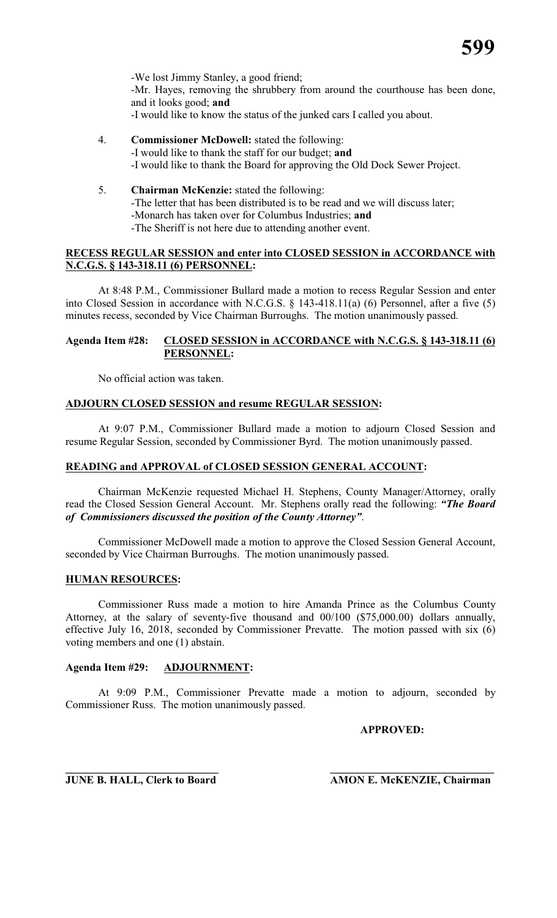

-We lost Jimmy Stanley, a good friend; -Mr. Hayes, removing the shrubbery from around the courthouse has been done, and it looks good; **and** -I would like to know the status of the junked cars I called you about.

- 4. **Commissioner McDowell:** stated the following: -I would like to thank the staff for our budget; **and** -I would like to thank the Board for approving the Old Dock Sewer Project.
- 5. **Chairman McKenzie:** stated the following: -The letter that has been distributed is to be read and we will discuss later; -Monarch has taken over for Columbus Industries; **and** -The Sheriff is not here due to attending another event.

# **RECESS REGULAR SESSION and enter into CLOSED SESSION in ACCORDANCE with N.C.G.S. § 143-318.11 (6) PERSONNEL:**

At 8:48 P.M., Commissioner Bullard made a motion to recess Regular Session and enter into Closed Session in accordance with N.C.G.S. § 143-418.11(a) (6) Personnel, after a five (5) minutes recess, seconded by Vice Chairman Burroughs. The motion unanimously passed.

### **Agenda Item #28: CLOSED SESSION in ACCORDANCE with N.C.G.S. § 143-318.11 (6) PERSONNEL:**

No official action was taken.

### **ADJOURN CLOSED SESSION and resume REGULAR SESSION:**

At 9:07 P.M., Commissioner Bullard made a motion to adjourn Closed Session and resume Regular Session, seconded by Commissioner Byrd. The motion unanimously passed.

### **READING and APPROVAL of CLOSED SESSION GENERAL ACCOUNT:**

Chairman McKenzie requested Michael H. Stephens, County Manager/Attorney, orally read the Closed Session General Account. Mr. Stephens orally read the following: *"The Board of Commissioners discussed the position of the County Attorney"*.

Commissioner McDowell made a motion to approve the Closed Session General Account, seconded by Vice Chairman Burroughs. The motion unanimously passed.

### **HUMAN RESOURCES:**

Commissioner Russ made a motion to hire Amanda Prince as the Columbus County Attorney, at the salary of seventy-five thousand and 00/100 (\$75,000.00) dollars annually, effective July 16, 2018, seconded by Commissioner Prevatte. The motion passed with six (6) voting members and one (1) abstain.

# **Agenda Item #29: ADJOURNMENT:**

At 9:09 P.M., Commissioner Prevatte made a motion to adjourn, seconded by Commissioner Russ. The motion unanimously passed.

**APPROVED:**

**\_\_\_\_\_\_\_\_\_\_\_\_\_\_\_\_\_\_\_\_\_\_\_\_\_\_\_\_ \_\_\_\_\_\_\_\_\_\_\_\_\_\_\_\_\_\_\_\_\_\_\_\_\_\_\_\_\_\_ JUNE B. HALL, Clerk to Board AMON E. McKENZIE, Chairman**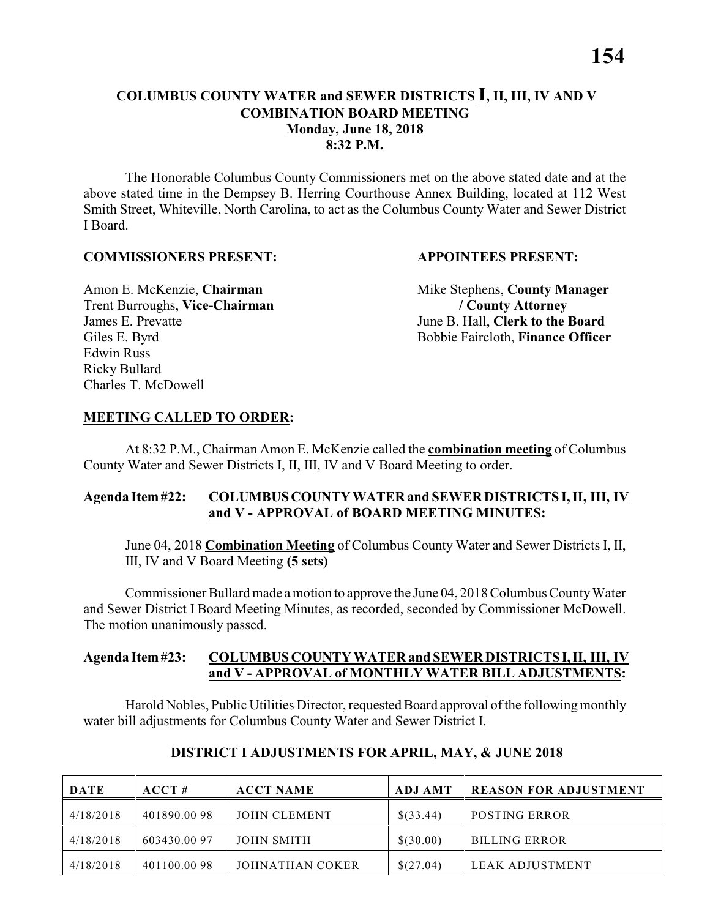### **COLUMBUS COUNTY WATER and SEWER DISTRICTS I, II, III, IV AND V COMBINATION BOARD MEETING Monday, June 18, 2018 8:32 P.M.**

The Honorable Columbus County Commissioners met on the above stated date and at the above stated time in the Dempsey B. Herring Courthouse Annex Building, located at 112 West Smith Street, Whiteville, North Carolina, to act as the Columbus County Water and Sewer District I Board.

### **COMMISSIONERS PRESENT: APPOINTEES PRESENT:**

Trent Burroughs, **Vice-Chairman / County Attorney** James E. Prevatte June B. Hall, **Clerk to the Board** Edwin Russ Ricky Bullard Charles T. McDowell

Amon E. McKenzie, **Chairman** Mike Stephens, **County Manager** Giles E. Byrd Bobbie Faircloth, **Finance Officer** 

### **MEETING CALLED TO ORDER:**

At 8:32 P.M., Chairman Amon E. McKenzie called the **combination meeting** of Columbus County Water and Sewer Districts I, II, III, IV and V Board Meeting to order.

### **Agenda Item #22: COLUMBUS COUNTY WATER and SEWER DISTRICTS I, II, III, IV and V - APPROVAL of BOARD MEETING MINUTES:**

June 04, 2018 **Combination Meeting** of Columbus County Water and Sewer Districts I, II, III, IV and V Board Meeting **(5 sets)**

Commissioner Bullard made a motion to approve the June 04, 2018 Columbus County Water and Sewer District I Board Meeting Minutes, as recorded, seconded by Commissioner McDowell. The motion unanimously passed.

### **Agenda Item #23: COLUMBUS COUNTY WATER and SEWER DISTRICTS I, II, III, IV and V - APPROVAL of MONTHLY WATER BILL ADJUSTMENTS:**

Harold Nobles, Public Utilities Director, requested Board approval ofthe following monthly water bill adjustments for Columbus County Water and Sewer District I.

| <b>DATE</b> | ACCT#       | <b>ACCT NAME</b> | <b>ADJ AMT</b> | <b>REASON FOR ADJUSTMENT</b> |
|-------------|-------------|------------------|----------------|------------------------------|
| 4/18/2018   | 401890.0098 | JOHN CLEMENT     | \$(33.44)      | <b>POSTING ERROR</b>         |
| 4/18/2018   | 603430.0097 | JOHN SMITH       | \$(30.00)      | <b>BILLING ERROR</b>         |
| 4/18/2018   | 401100.0098 | JOHNATHAN COKER  | \$(27.04)      | LEAK ADJUSTMENT              |

#### **DISTRICT I ADJUSTMENTS FOR APRIL, MAY, & JUNE 2018**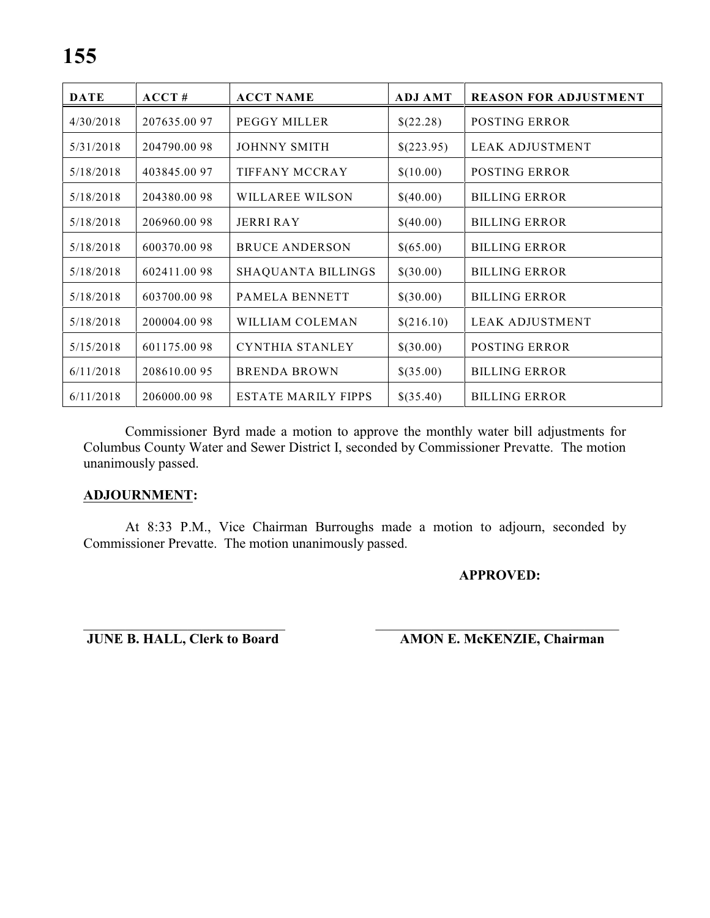| <b>DATE</b> | ACCT#        | <b>ACCT NAME</b>           | <b>ADJ AMT</b> | <b>REASON FOR ADJUSTMENT</b> |
|-------------|--------------|----------------------------|----------------|------------------------------|
| 4/30/2018   | 207635.00 97 | PEGGY MILLER               | \$(22.28)      | <b>POSTING ERROR</b>         |
| 5/31/2018   | 204790.0098  | <b>JOHNNY SMITH</b>        | \$(223.95)     | LEAK ADJUSTMENT              |
| 5/18/2018   | 403845.0097  | TIFFANY MCCRAY             | \$(10.00)      | POSTING ERROR                |
| 5/18/2018   | 204380.0098  | WILLAREE WILSON            | \$(40.00)      | <b>BILLING ERROR</b>         |
| 5/18/2018   | 206960.0098  | <b>JERRI RAY</b>           | \$(40.00)      | <b>BILLING ERROR</b>         |
| 5/18/2018   | 600370.0098  | <b>BRUCE ANDERSON</b>      | \$(65.00)      | <b>BILLING ERROR</b>         |
| 5/18/2018   | 602411.0098  | <b>SHAQUANTA BILLINGS</b>  | \$(30.00)      | <b>BILLING ERROR</b>         |
| 5/18/2018   | 603700.0098  | <b>PAMELA BENNETT</b>      | \$(30.00)      | <b>BILLING ERROR</b>         |
| 5/18/2018   | 200004.0098  | WILLIAM COLEMAN            | \$(216.10)     | <b>LEAK ADJUSTMENT</b>       |
| 5/15/2018   | 601175.0098  | <b>CYNTHIA STANLEY</b>     | \$(30.00)      | <b>POSTING ERROR</b>         |
| 6/11/2018   | 208610.0095  | <b>BRENDA BROWN</b>        | \$(35.00)      | <b>BILLING ERROR</b>         |
| 6/11/2018   | 206000.0098  | <b>ESTATE MARILY FIPPS</b> | \$(35.40)      | <b>BILLING ERROR</b>         |

Commissioner Byrd made a motion to approve the monthly water bill adjustments for Columbus County Water and Sewer District I, seconded by Commissioner Prevatte. The motion unanimously passed.

### **ADJOURNMENT:**

At 8:33 P.M., Vice Chairman Burroughs made a motion to adjourn, seconded by Commissioner Prevatte. The motion unanimously passed.

### **APPROVED:**

\_\_\_\_\_\_\_\_\_\_\_\_\_\_\_\_\_\_\_\_\_\_\_\_\_\_\_\_\_ \_\_\_\_\_\_\_\_\_\_\_\_\_\_\_\_\_\_\_\_\_\_\_\_\_\_\_\_\_\_\_\_\_\_\_ **JUNE B. HALL, Clerk to Board AMON E. McKENZIE, Chairman**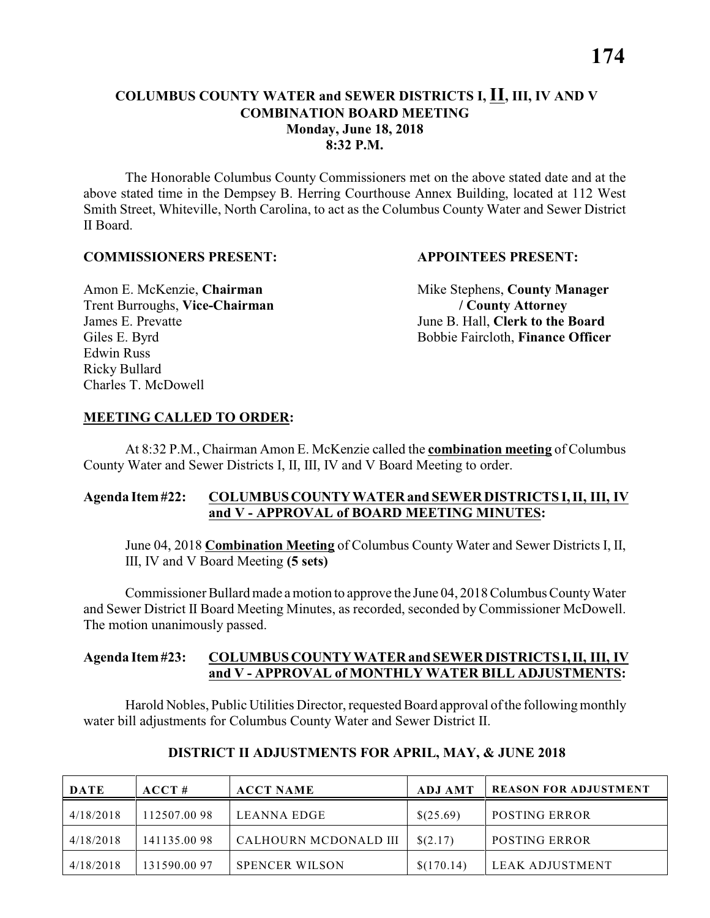### **COLUMBUS COUNTY WATER and SEWER DISTRICTS I, II, III, IV AND V COMBINATION BOARD MEETING Monday, June 18, 2018 8:32 P.M.**

The Honorable Columbus County Commissioners met on the above stated date and at the above stated time in the Dempsey B. Herring Courthouse Annex Building, located at 112 West Smith Street, Whiteville, North Carolina, to act as the Columbus County Water and Sewer District II Board.

### **COMMISSIONERS PRESENT: APPOINTEES PRESENT:**

Trent Burroughs, **Vice-Chairman / County Attorney** James E. Prevatte June B. Hall, **Clerk to the Board** Edwin Russ Ricky Bullard Charles T. McDowell

Amon E. McKenzie, **Chairman** Mike Stephens, **County Manager** Giles E. Byrd Bobbie Faircloth, **Finance Officer** 

### **MEETING CALLED TO ORDER:**

At 8:32 P.M., Chairman Amon E. McKenzie called the **combination meeting** of Columbus County Water and Sewer Districts I, II, III, IV and V Board Meeting to order.

### **Agenda Item #22: COLUMBUS COUNTY WATER and SEWER DISTRICTS I, II, III, IV and V - APPROVAL of BOARD MEETING MINUTES:**

June 04, 2018 **Combination Meeting** of Columbus County Water and Sewer Districts I, II, III, IV and V Board Meeting **(5 sets)**

Commissioner Bullard made a motion to approve the June 04, 2018 Columbus County Water and Sewer District II Board Meeting Minutes, as recorded, seconded by Commissioner McDowell. The motion unanimously passed.

### **Agenda Item #23: COLUMBUS COUNTY WATER and SEWER DISTRICTS I, II, III, IV and V - APPROVAL of MONTHLY WATER BILL ADJUSTMENTS:**

Harold Nobles, Public Utilities Director, requested Board approval ofthe following monthly water bill adjustments for Columbus County Water and Sewer District II.

| <b>DATE</b> | ACCT#       | <b>ACCT NAME</b>      | <b>ADJ AMT</b> | <b>REASON FOR ADJUSTMENT</b> |
|-------------|-------------|-----------------------|----------------|------------------------------|
| 4/18/2018   | 112507.0098 | LEANNA EDGE           | \$(25.69)      | <b>POSTING ERROR</b>         |
| 4/18/2018   | 141135.0098 | CALHOURN MCDONALD III | \$(2.17)       | <b>POSTING ERROR</b>         |
| 4/18/2018   | 131590.0097 | <b>SPENCER WILSON</b> | \$(170.14)     | LEAK ADJUSTMENT              |

### **DISTRICT II ADJUSTMENTS FOR APRIL, MAY, & JUNE 2018**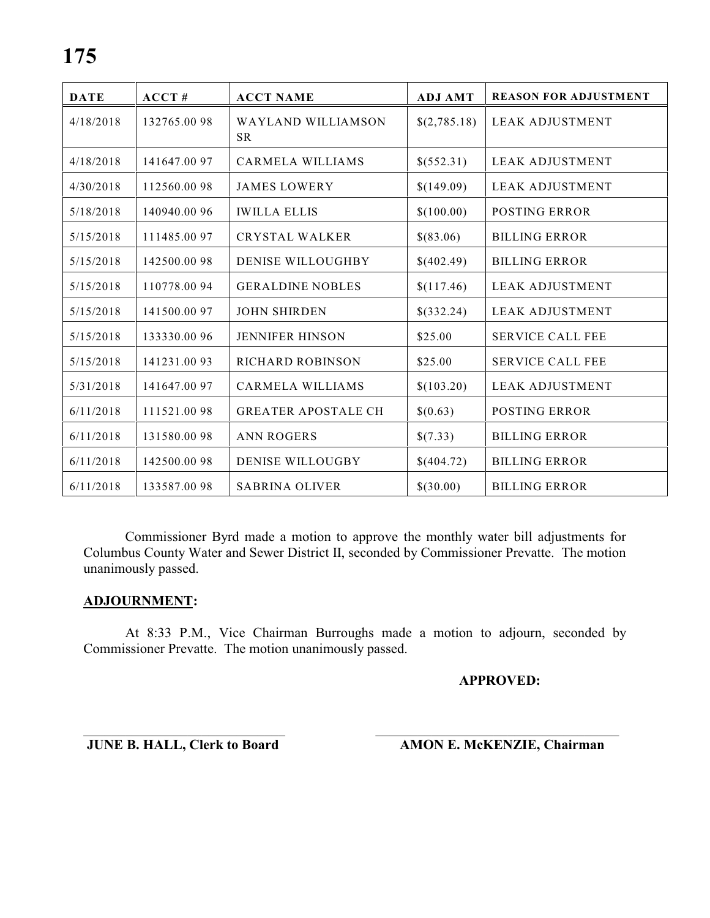| <b>DATE</b> | ACCT#        | <b>ACCT NAME</b>           | <b>ADJ AMT</b> | <b>REASON FOR ADJUSTMENT</b> |
|-------------|--------------|----------------------------|----------------|------------------------------|
| 4/18/2018   | 132765.0098  | WAYLAND WILLIAMSON<br>SR.  | \$(2,785.18)   | <b>LEAK ADJUSTMENT</b>       |
| 4/18/2018   | 141647.0097  | <b>CARMELA WILLIAMS</b>    | \$(552.31)     | <b>LEAK ADJUSTMENT</b>       |
| 4/30/2018   | 112560.0098  | <b>JAMES LOWERY</b>        | \$(149.09)     | <b>LEAK ADJUSTMENT</b>       |
| 5/18/2018   | 140940.0096  | <b>IWILLA ELLIS</b>        | \$(100.00)     | <b>POSTING ERROR</b>         |
| 5/15/2018   | 111485.0097  | <b>CRYSTAL WALKER</b>      | \$(83.06)      | <b>BILLING ERROR</b>         |
| 5/15/2018   | 142500.0098  | <b>DENISE WILLOUGHBY</b>   | \$(402.49)     | <b>BILLING ERROR</b>         |
| 5/15/2018   | 110778.0094  | <b>GERALDINE NOBLES</b>    | \$(117.46)     | <b>LEAK ADJUSTMENT</b>       |
| 5/15/2018   | 141500.0097  | <b>JOHN SHIRDEN</b>        | \$(332.24)     | <b>LEAK ADJUSTMENT</b>       |
| 5/15/2018   | 133330.00 96 | <b>JENNIFER HINSON</b>     | \$25.00        | <b>SERVICE CALL FEE</b>      |
| 5/15/2018   | 141231.0093  | <b>RICHARD ROBINSON</b>    | \$25.00        | <b>SERVICE CALL FEE</b>      |
| 5/31/2018   | 141647.0097  | <b>CARMELA WILLIAMS</b>    | \$(103.20)     | <b>LEAK ADJUSTMENT</b>       |
| 6/11/2018   | 111521.0098  | <b>GREATER APOSTALE CH</b> | \$(0.63)       | <b>POSTING ERROR</b>         |
| 6/11/2018   | 131580.0098  | <b>ANN ROGERS</b>          | \$(7.33)       | <b>BILLING ERROR</b>         |
| 6/11/2018   | 142500.0098  | <b>DENISE WILLOUGBY</b>    | \$(404.72)     | <b>BILLING ERROR</b>         |
| 6/11/2018   | 133587.0098  | <b>SABRINA OLIVER</b>      | \$(30.00)      | <b>BILLING ERROR</b>         |

Commissioner Byrd made a motion to approve the monthly water bill adjustments for Columbus County Water and Sewer District II, seconded by Commissioner Prevatte. The motion unanimously passed.

### **ADJOURNMENT:**

At 8:33 P.M., Vice Chairman Burroughs made a motion to adjourn, seconded by Commissioner Prevatte. The motion unanimously passed.

#### **APPROVED:**

\_\_\_\_\_\_\_\_\_\_\_\_\_\_\_\_\_\_\_\_\_\_\_\_\_\_\_\_\_ \_\_\_\_\_\_\_\_\_\_\_\_\_\_\_\_\_\_\_\_\_\_\_\_\_\_\_\_\_\_\_\_\_\_\_ **JUNE B. HALL, Clerk to Board AMON E. McKENZIE, Chairman**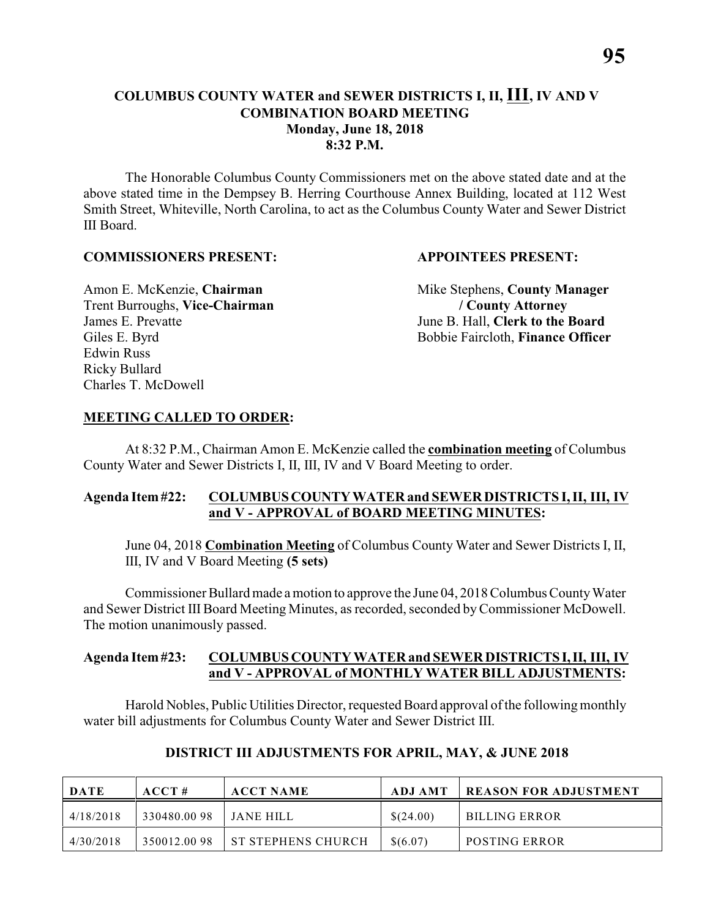### **COLUMBUS COUNTY WATER and SEWER DISTRICTS I, II, III, IV AND V COMBINATION BOARD MEETING Monday, June 18, 2018 8:32 P.M.**

The Honorable Columbus County Commissioners met on the above stated date and at the above stated time in the Dempsey B. Herring Courthouse Annex Building, located at 112 West Smith Street, Whiteville, North Carolina, to act as the Columbus County Water and Sewer District III Board.

### **COMMISSIONERS PRESENT: APPOINTEES PRESENT:**

Trent Burroughs, **Vice-Chairman / County Attorney** James E. Prevatte June B. Hall, **Clerk to the Board** Edwin Russ Ricky Bullard Charles T. McDowell

Amon E. McKenzie, **Chairman** Mike Stephens, **County Manager** Giles E. Byrd Bobbie Faircloth, **Finance Officer** 

### **MEETING CALLED TO ORDER:**

At 8:32 P.M., Chairman Amon E. McKenzie called the **combination meeting** of Columbus County Water and Sewer Districts I, II, III, IV and V Board Meeting to order.

### **Agenda Item #22: COLUMBUS COUNTY WATER and SEWER DISTRICTS I, II, III, IV and V - APPROVAL of BOARD MEETING MINUTES:**

June 04, 2018 **Combination Meeting** of Columbus County Water and Sewer Districts I, II, III, IV and V Board Meeting **(5 sets)**

Commissioner Bullard made a motion to approve the June 04, 2018 Columbus County Water and Sewer District III Board Meeting Minutes, as recorded, seconded by Commissioner McDowell. The motion unanimously passed.

### **Agenda Item #23: COLUMBUS COUNTY WATER and SEWER DISTRICTS I, II, III, IV and V - APPROVAL of MONTHLY WATER BILL ADJUSTMENTS:**

Harold Nobles, Public Utilities Director, requested Board approval ofthe following monthly water bill adjustments for Columbus County Water and Sewer District III.

| <b>DATE</b> | ACCT#       | <b>ACCT NAME</b>          | ADJ AMT   | <b>REASON FOR ADJUSTMENT</b> |
|-------------|-------------|---------------------------|-----------|------------------------------|
| 4/18/2018   | 330480.0098 | - JANE HILL               | \$(24.00) | BILLING ERROR                |
| 4/30/2018   | 350012.0098 | <b>ST STEPHENS CHURCH</b> | \$(6.07)  | <b>POSTING ERROR</b>         |

### **DISTRICT III ADJUSTMENTS FOR APRIL, MAY, & JUNE 2018**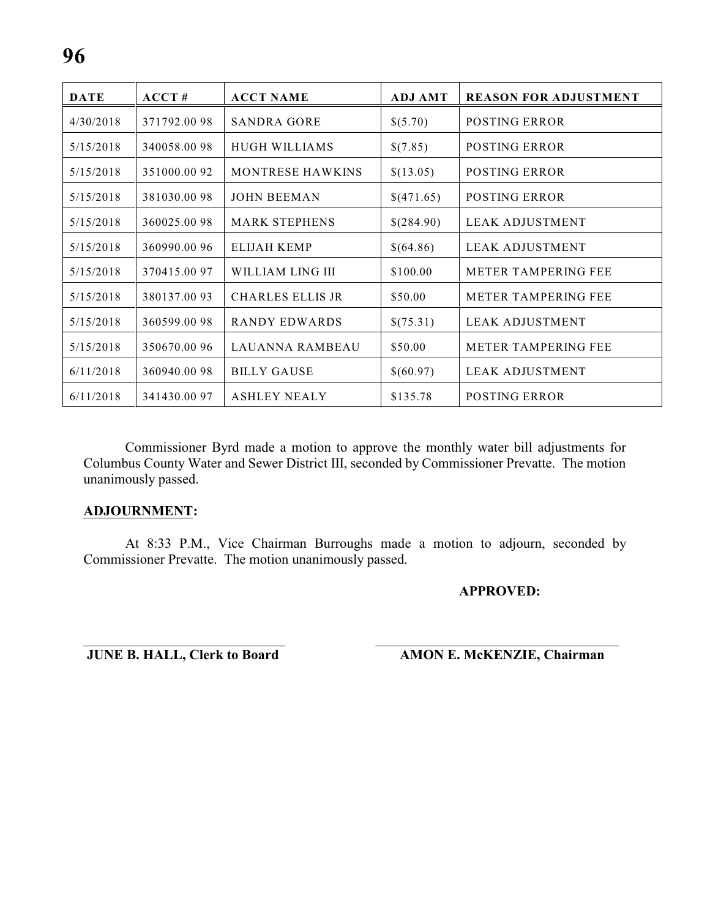| <b>DATE</b> | ACCT#       | <b>ACCT NAME</b>        | <b>ADJ AMT</b> | <b>REASON FOR ADJUSTMENT</b> |
|-------------|-------------|-------------------------|----------------|------------------------------|
| 4/30/2018   | 371792.0098 | <b>SANDRA GORE</b>      | \$(5.70)       | <b>POSTING ERROR</b>         |
| 5/15/2018   | 340058.0098 | <b>HUGH WILLIAMS</b>    | \$(7.85)       | <b>POSTING ERROR</b>         |
| 5/15/2018   | 351000.0092 | <b>MONTRESE HAWKINS</b> | \$(13.05)      | <b>POSTING ERROR</b>         |
| 5/15/2018   | 381030.0098 | <b>JOHN BEEMAN</b>      | \$(471.65)     | <b>POSTING ERROR</b>         |
| 5/15/2018   | 360025.0098 | <b>MARK STEPHENS</b>    | \$(284.90)     | <b>LEAK ADJUSTMENT</b>       |
| 5/15/2018   | 360990.0096 | ELIJAH KEMP             | \$(64.86)      | LEAK ADJUSTMENT              |
| 5/15/2018   | 370415.0097 | WILLIAM LING III        | \$100.00       | <b>METER TAMPERING FEE</b>   |
| 5/15/2018   | 380137.0093 | <b>CHARLES ELLIS JR</b> | \$50.00        | <b>METER TAMPERING FEE</b>   |
| 5/15/2018   | 360599.0098 | <b>RANDY EDWARDS</b>    | \$(75.31)      | <b>LEAK ADJUSTMENT</b>       |
| 5/15/2018   | 350670.0096 | <b>LAUANNA RAMBEAU</b>  | \$50.00        | <b>METER TAMPERING FEE</b>   |
| 6/11/2018   | 360940.0098 | <b>BILLY GAUSE</b>      | \$(60.97)      | <b>LEAK ADJUSTMENT</b>       |
| 6/11/2018   | 341430.0097 | <b>ASHLEY NEALY</b>     | \$135.78       | POSTING ERROR                |

Commissioner Byrd made a motion to approve the monthly water bill adjustments for Columbus County Water and Sewer District III, seconded by Commissioner Prevatte. The motion unanimously passed.

### **ADJOURNMENT:**

At 8:33 P.M., Vice Chairman Burroughs made a motion to adjourn, seconded by Commissioner Prevatte. The motion unanimously passed.

### **APPROVED:**

\_\_\_\_\_\_\_\_\_\_\_\_\_\_\_\_\_\_\_\_\_\_\_\_\_\_\_\_\_ \_\_\_\_\_\_\_\_\_\_\_\_\_\_\_\_\_\_\_\_\_\_\_\_\_\_\_\_\_\_\_\_\_\_\_ **JUNE B. HALL, Clerk to Board AMON E. McKENZIE, Chairman**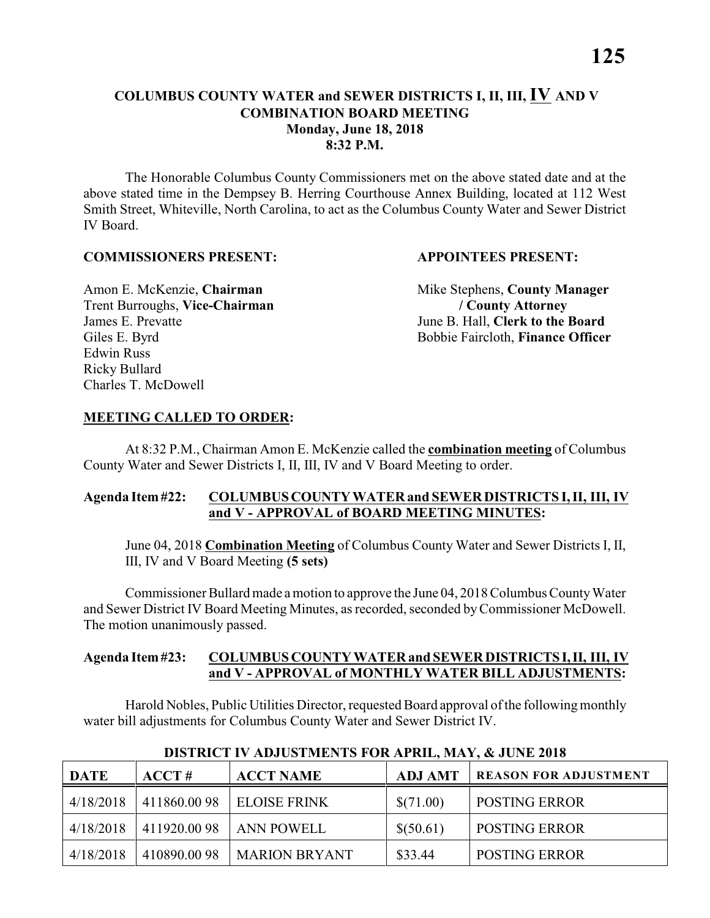### **COLUMBUS COUNTY WATER and SEWER DISTRICTS I, II, III, IV AND V COMBINATION BOARD MEETING Monday, June 18, 2018 8:32 P.M.**

The Honorable Columbus County Commissioners met on the above stated date and at the above stated time in the Dempsey B. Herring Courthouse Annex Building, located at 112 West Smith Street, Whiteville, North Carolina, to act as the Columbus County Water and Sewer District IV Board.

### **COMMISSIONERS PRESENT: APPOINTEES PRESENT:**

Trent Burroughs, **Vice-Chairman / County Attorney** James E. Prevatte June B. Hall, **Clerk to the Board** Edwin Russ Ricky Bullard Charles T. McDowell

Amon E. McKenzie, **Chairman** Mike Stephens, **County Manager** Giles E. Byrd Bobbie Faircloth, **Finance Officer** 

### **MEETING CALLED TO ORDER:**

At 8:32 P.M., Chairman Amon E. McKenzie called the **combination meeting** of Columbus County Water and Sewer Districts I, II, III, IV and V Board Meeting to order.

### **Agenda Item #22: COLUMBUS COUNTY WATER and SEWER DISTRICTS I, II, III, IV and V - APPROVAL of BOARD MEETING MINUTES:**

June 04, 2018 **Combination Meeting** of Columbus County Water and Sewer Districts I, II, III, IV and V Board Meeting **(5 sets)**

Commissioner Bullard made a motion to approve the June 04, 2018 Columbus County Water and Sewer District IV Board Meeting Minutes, as recorded, seconded by Commissioner McDowell. The motion unanimously passed.

### **Agenda Item #23: COLUMBUS COUNTY WATER and SEWER DISTRICTS I, II, III, IV and V - APPROVAL of MONTHLY WATER BILL ADJUSTMENTS:**

Harold Nobles, Public Utilities Director, requested Board approval ofthe following monthly water bill adjustments for Columbus County Water and Sewer District IV.

| <b>DATE</b> | ACCT#       | <b>ACCT NAME</b>     | <b>ADJ AMT</b> | <b>REASON FOR ADJUSTMENT</b> |
|-------------|-------------|----------------------|----------------|------------------------------|
| 4/18/2018   | 411860.0098 | <b>ELOISE FRINK</b>  | \$(71.00)      | <b>POSTING ERROR</b>         |
| 4/18/2018   | 411920.0098 | ANN POWELL           | \$(50.61)      | <b>POSTING ERROR</b>         |
| 4/18/2018   | 410890.0098 | <b>MARION BRYANT</b> | \$33.44        | <b>POSTING ERROR</b>         |

#### **DISTRICT IV ADJUSTMENTS FOR APRIL, MAY, & JUNE 2018**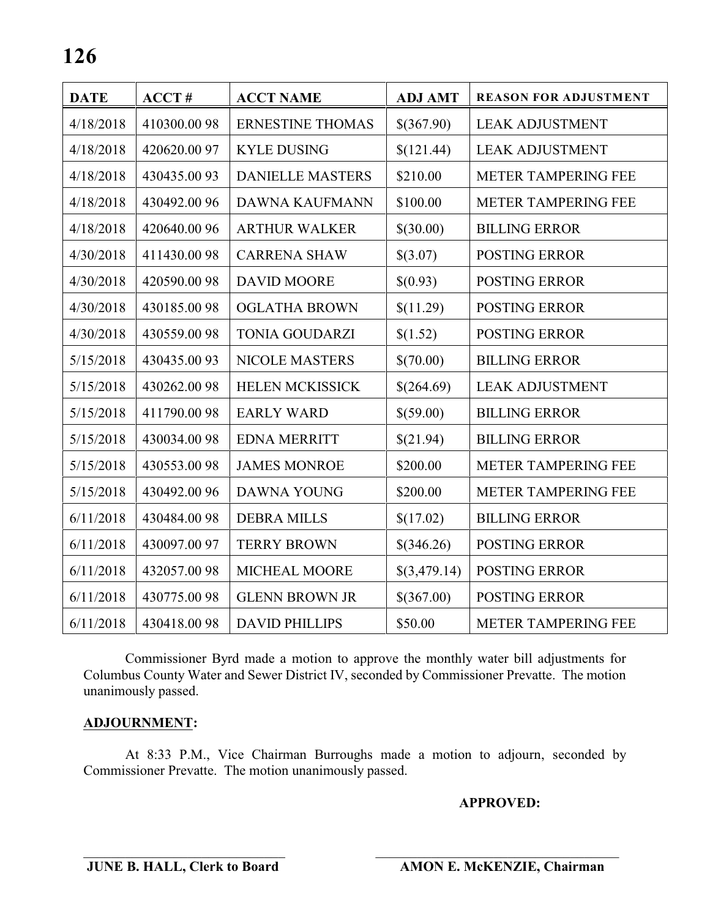| <b>DATE</b> | ACCT#        | <b>ACCT NAME</b>        | <b>ADJ AMT</b> | <b>REASON FOR ADJUSTMENT</b> |
|-------------|--------------|-------------------------|----------------|------------------------------|
| 4/18/2018   | 410300.0098  | <b>ERNESTINE THOMAS</b> | \$(367.90)     | <b>LEAK ADJUSTMENT</b>       |
| 4/18/2018   | 420620.0097  | <b>KYLE DUSING</b>      | \$(121.44)     | <b>LEAK ADJUSTMENT</b>       |
| 4/18/2018   | 430435.0093  | <b>DANIELLE MASTERS</b> | \$210.00       | METER TAMPERING FEE          |
| 4/18/2018   | 430492.0096  | <b>DAWNA KAUFMANN</b>   | \$100.00       | METER TAMPERING FEE          |
| 4/18/2018   | 420640.0096  | <b>ARTHUR WALKER</b>    | \$(30.00)      | <b>BILLING ERROR</b>         |
| 4/30/2018   | 411430.0098  | <b>CARRENA SHAW</b>     | \$(3.07)       | <b>POSTING ERROR</b>         |
| 4/30/2018   | 420590.0098  | <b>DAVID MOORE</b>      | \$(0.93)       | <b>POSTING ERROR</b>         |
| 4/30/2018   | 430185.0098  | <b>OGLATHA BROWN</b>    | \$(11.29)      | POSTING ERROR                |
| 4/30/2018   | 430559.0098  | <b>TONIA GOUDARZI</b>   | \$(1.52)       | POSTING ERROR                |
| 5/15/2018   | 430435.0093  | NICOLE MASTERS          | \$(70.00)      | <b>BILLING ERROR</b>         |
| 5/15/2018   | 430262.0098  | <b>HELEN MCKISSICK</b>  | \$(264.69)     | <b>LEAK ADJUSTMENT</b>       |
| 5/15/2018   | 411790.0098  | <b>EARLY WARD</b>       | \$(59.00)      | <b>BILLING ERROR</b>         |
| 5/15/2018   | 430034.0098  | <b>EDNA MERRITT</b>     | \$(21.94)      | <b>BILLING ERROR</b>         |
| 5/15/2018   | 430553.0098  | <b>JAMES MONROE</b>     | \$200.00       | METER TAMPERING FEE          |
| 5/15/2018   | 430492.00 96 | DAWNA YOUNG             | \$200.00       | METER TAMPERING FEE          |
| 6/11/2018   | 430484.0098  | <b>DEBRA MILLS</b>      | \$(17.02)      | <b>BILLING ERROR</b>         |
| 6/11/2018   | 430097.0097  | <b>TERRY BROWN</b>      | \$(346.26)     | POSTING ERROR                |
| 6/11/2018   | 432057.0098  | MICHEAL MOORE           | \$(3,479.14)   | POSTING ERROR                |
| 6/11/2018   | 430775.0098  | <b>GLENN BROWN JR</b>   | \$(367.00)     | POSTING ERROR                |
| 6/11/2018   | 430418.0098  | <b>DAVID PHILLIPS</b>   | \$50.00        | METER TAMPERING FEE          |

Commissioner Byrd made a motion to approve the monthly water bill adjustments for Columbus County Water and Sewer District IV, seconded by Commissioner Prevatte. The motion unanimously passed.

### **ADJOURNMENT:**

At 8:33 P.M., Vice Chairman Burroughs made a motion to adjourn, seconded by Commissioner Prevatte. The motion unanimously passed.

### **APPROVED:**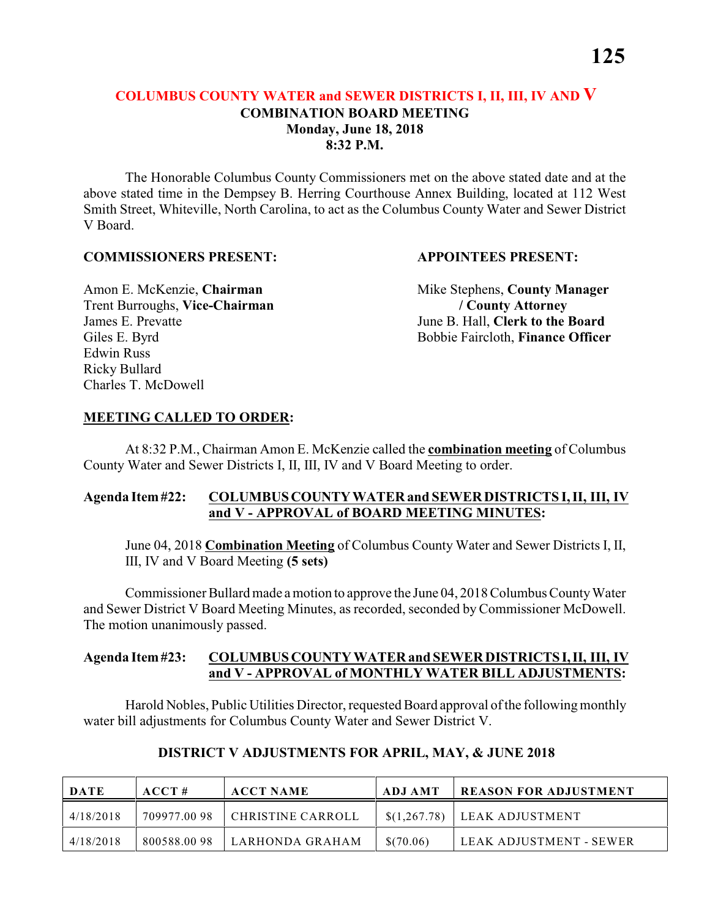## **COLUMBUS COUNTY WATER and SEWER DISTRICTS I, II, III, IV AND V COMBINATION BOARD MEETING Monday, June 18, 2018 8:32 P.M.**

The Honorable Columbus County Commissioners met on the above stated date and at the above stated time in the Dempsey B. Herring Courthouse Annex Building, located at 112 West Smith Street, Whiteville, North Carolina, to act as the Columbus County Water and Sewer District V Board.

### **COMMISSIONERS PRESENT: APPOINTEES PRESENT:**

Trent Burroughs, **Vice-Chairman / County Attorney** James E. Prevatte June B. Hall, **Clerk to the Board** Edwin Russ Ricky Bullard Charles T. McDowell

Amon E. McKenzie, **Chairman** Mike Stephens, **County Manager** Giles E. Byrd Bobbie Faircloth, **Finance Officer** 

### **MEETING CALLED TO ORDER:**

At 8:32 P.M., Chairman Amon E. McKenzie called the **combination meeting** of Columbus County Water and Sewer Districts I, II, III, IV and V Board Meeting to order.

### **Agenda Item #22: COLUMBUS COUNTY WATER and SEWER DISTRICTS I, II, III, IV and V - APPROVAL of BOARD MEETING MINUTES:**

June 04, 2018 **Combination Meeting** of Columbus County Water and Sewer Districts I, II, III, IV and V Board Meeting **(5 sets)**

Commissioner Bullard made a motion to approve the June 04, 2018 Columbus County Water and Sewer District V Board Meeting Minutes, as recorded, seconded by Commissioner McDowell. The motion unanimously passed.

### **Agenda Item #23: COLUMBUS COUNTY WATER and SEWER DISTRICTS I, II, III, IV and V - APPROVAL of MONTHLY WATER BILL ADJUSTMENTS:**

Harold Nobles, Public Utilities Director, requested Board approval ofthe following monthly water bill adjustments for Columbus County Water and Sewer District V.

| <b>DATE</b> | $\bf ACCT#$ | <b>ACCT NAME</b>  | ADJ AMT      | <b>REASON FOR ADJUSTMENT</b> |
|-------------|-------------|-------------------|--------------|------------------------------|
| 4/18/2018   | 709977.0098 | CHRISTINE CARROLL | \$(1,267.78) | LEAK ADJUSTMENT              |
| 4/18/2018   | 800588.0098 | LARHONDA GRAHAM   | \$(70.06)    | ' LEAK ADJUSTMENT - SEWER    |

### **DISTRICT V ADJUSTMENTS FOR APRIL, MAY, & JUNE 2018**